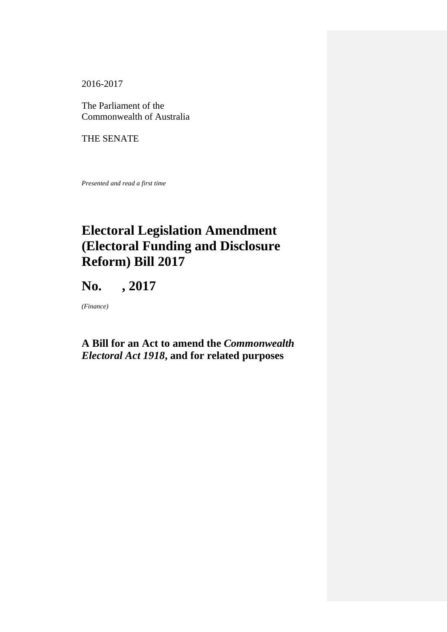2016-2017

The Parliament of the Commonwealth of Australia

THE SENATE

*Presented and read a first time*

# **Electoral Legislation Amendment (Electoral Funding and Disclosure Reform) Bill 2017**

**No. , 2017**

*(Finance)*

# **A Bill for an Act to amend the** *Commonwealth Electoral Act 1918***, and for related purposes**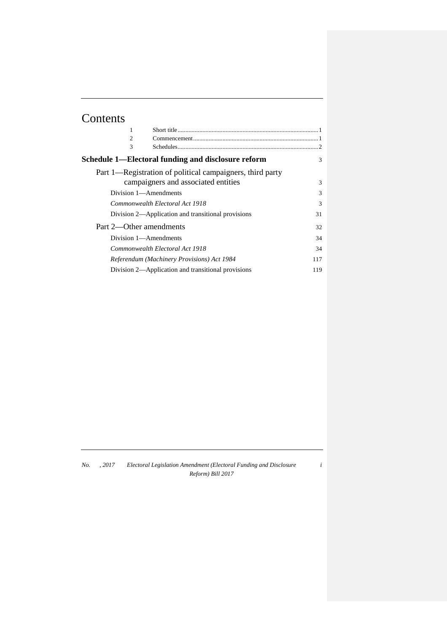# Contents

| 1<br>$\overline{c}$<br>3                                  |               |
|-----------------------------------------------------------|---------------|
| Schedule 1—Electoral funding and disclosure reform        | 3             |
| Part 1—Registration of political campaigners, third party |               |
| campaigners and associated entities                       | $\mathcal{F}$ |
| Division 1—Amendments                                     | 3             |
| Commonwealth Electoral Act 1918                           | 3             |
| Division 2—Application and transitional provisions        | 31            |
| Part 2—Other amendments                                   | 32            |
| Division 1—Amendments                                     | 34            |
| Commonwealth Electoral Act 1918                           | 34            |
| Referendum (Machinery Provisions) Act 1984                | 117           |
| Division 2—Application and transitional provisions        | 119           |

*No. , 2017 Electoral Legislation Amendment (Electoral Funding and Disclosure Reform) Bill 2017*

*i*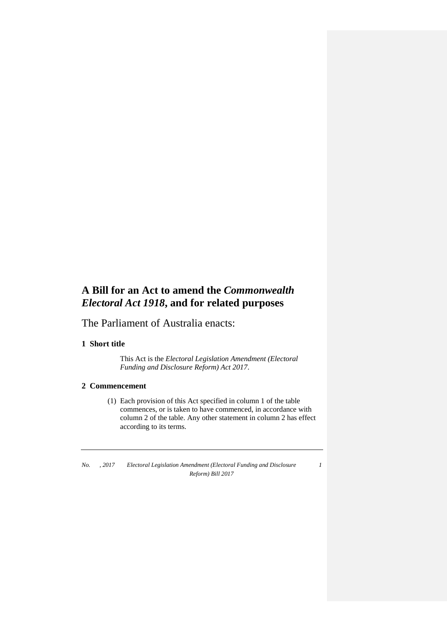# **A Bill for an Act to amend the** *Commonwealth Electoral Act 1918***, and for related purposes**

The Parliament of Australia enacts:

#### **1 Short title**

This Act is the *Electoral Legislation Amendment (Electoral Funding and Disclosure Reform) Act 2017*.

#### **2 Commencement**

(1) Each provision of this Act specified in column 1 of the table commences, or is taken to have commenced, in accordance with column 2 of the table. Any other statement in column 2 has effect according to its terms.

*No. , 2017 Electoral Legislation Amendment (Electoral Funding and Disclosure Reform) Bill 2017*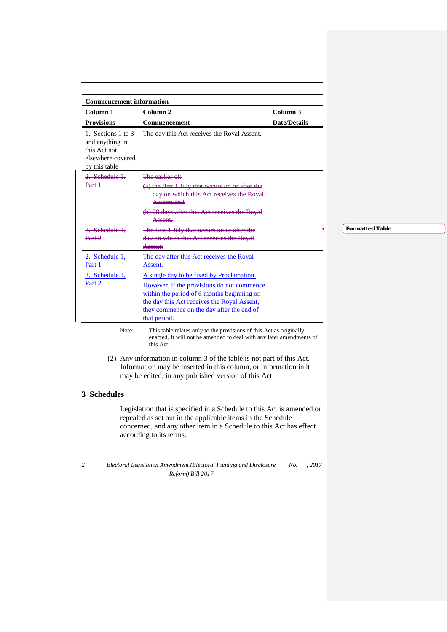| <b>Commencement information</b>                                                             |                                                                                                            |                     |
|---------------------------------------------------------------------------------------------|------------------------------------------------------------------------------------------------------------|---------------------|
| Column 1                                                                                    | Column <sub>2</sub>                                                                                        | Column <sub>3</sub> |
| <b>Provisions</b>                                                                           | Commencement                                                                                               | <b>Date/Details</b> |
| 1. Sections 1 to 3<br>and anything in<br>this Act not<br>elsewhere covered<br>by this table | The day this Act receives the Royal Assent.                                                                |                     |
| Schedule 1                                                                                  | The corlier of:                                                                                            |                     |
|                                                                                             | first 1 July that occurs on or after the<br>on which this Act receives the Royal<br><del>Assent; and</del> |                     |
|                                                                                             | 28 days ofter this Act receives the Poval<br><del>Assent.</del>                                            |                     |
| Schedule 1                                                                                  | 1 Inter that against                                                                                       |                     |
|                                                                                             | this <i>Antrop</i><br><del>ttu y</del><br><del>Assent.</del>                                               |                     |
| 2. Schedule 1,<br>Part 1                                                                    | The day after this Act receives the Royal<br>Assent.                                                       |                     |
| 3. Schedule 1,                                                                              | A single day to be fixed by Proclamation.                                                                  |                     |
| Part 2                                                                                      | However, if the provisions do not commence                                                                 |                     |
|                                                                                             | within the period of 6 months beginning on                                                                 |                     |
|                                                                                             | the day this Act receives the Royal Assent,                                                                |                     |
|                                                                                             | they commence on the day after the end of                                                                  |                     |
|                                                                                             | that period.                                                                                               |                     |

Note: This table relates only to the provisions of this Act as originally enacted. It will not be amended to deal with any later amendments of this Act.

(2) Any information in column 3 of the table is not part of this Act. Information may be inserted in this column, or information in it may be edited, in any published version of this Act.

#### **3 Schedules**

Legislation that is specified in a Schedule to this Act is amended or repealed as set out in the applicable items in the Schedule concerned, and any other item in a Schedule to this Act has effect according to its terms.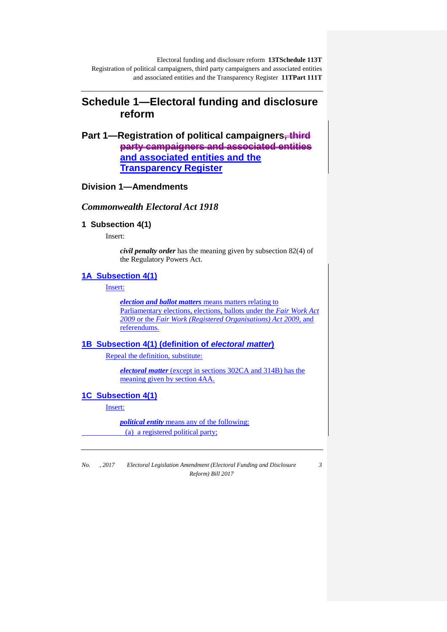# **Schedule 1—Electoral funding and disclosure reform**

**Part 1—Registration of political campaigners, third party campaigners and associated entities and associated entities and the Transparency Register**

## **Division 1—Amendments**

## *Commonwealth Electoral Act 1918*

#### **1 Subsection 4(1)**

Insert:

*civil penalty order* has the meaning given by subsection 82(4) of the Regulatory Powers Act.

#### **1A Subsection 4(1)**

Insert:

*election and ballot matters* means matters relating to Parliamentary elections, elections, ballots under the *Fair Work Act 2009* or the *Fair Work (Registered Organisations) Act 2009*, and referendums.

### **1B Subsection 4(1) (definition of** *electoral matter***)**

Repeal the definition, substitute:

*electoral matter* (except in sections 302CA and 314B) has the meaning given by section 4AA.

#### **1C Subsection 4(1)**

Insert:

*political entity* means any of the following: (a) a registered political party;

*No. , 2017 Electoral Legislation Amendment (Electoral Funding and Disclosure Reform) Bill 2017*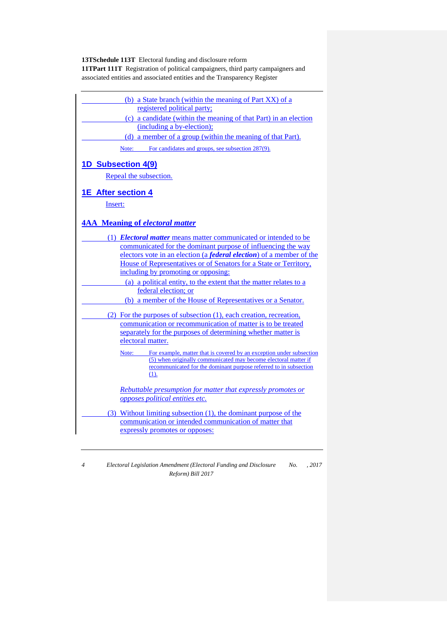| (b) a State branch (within the meaning of Part XX) of a<br>registered political party;<br>(c) a candidate (within the meaning of that Part) in an election<br>(including a by-election);<br>(d) a member of a group (within the meaning of that Part).                                                                                                                                                                                                                                                                                                                                                                                                                                                                                                                                                                                                                                                                                                     |
|------------------------------------------------------------------------------------------------------------------------------------------------------------------------------------------------------------------------------------------------------------------------------------------------------------------------------------------------------------------------------------------------------------------------------------------------------------------------------------------------------------------------------------------------------------------------------------------------------------------------------------------------------------------------------------------------------------------------------------------------------------------------------------------------------------------------------------------------------------------------------------------------------------------------------------------------------------|
| For candidates and groups, see subsection 287(9).<br>Note:                                                                                                                                                                                                                                                                                                                                                                                                                                                                                                                                                                                                                                                                                                                                                                                                                                                                                                 |
| <b>1D Subsection 4(9)</b>                                                                                                                                                                                                                                                                                                                                                                                                                                                                                                                                                                                                                                                                                                                                                                                                                                                                                                                                  |
| Repeal the subsection.                                                                                                                                                                                                                                                                                                                                                                                                                                                                                                                                                                                                                                                                                                                                                                                                                                                                                                                                     |
| 1E After section 4                                                                                                                                                                                                                                                                                                                                                                                                                                                                                                                                                                                                                                                                                                                                                                                                                                                                                                                                         |
| Insert:                                                                                                                                                                                                                                                                                                                                                                                                                                                                                                                                                                                                                                                                                                                                                                                                                                                                                                                                                    |
|                                                                                                                                                                                                                                                                                                                                                                                                                                                                                                                                                                                                                                                                                                                                                                                                                                                                                                                                                            |
| <b>4AA</b> Meaning of electoral matter                                                                                                                                                                                                                                                                                                                                                                                                                                                                                                                                                                                                                                                                                                                                                                                                                                                                                                                     |
| (1) <i>Electoral matter</i> means matter communicated or intended to be<br>communicated for the dominant purpose of influencing the way<br>electors vote in an election (a <i>federal election</i> ) of a member of the<br>House of Representatives or of Senators for a State or Territory,<br>including by promoting or opposing:<br>(a) a political entity, to the extent that the matter relates to a<br>federal election; or<br>(b) a member of the House of Representatives or a Senator.<br>(2) For the purposes of subsection (1), each creation, recreation,<br>communication or recommunication of matter is to be treated<br>separately for the purposes of determining whether matter is<br>electoral matter.<br>For example, matter that is covered by an exception under subsection<br>Note:<br>(5) when originally communicated may become electoral matter if<br>recommunicated for the dominant purpose referred to in subsection<br>(1). |
| Rebuttable presumption for matter that expressly promotes or<br>opposes political entities etc.<br>(3) Without limiting subsection (1), the dominant purpose of the<br>communication or intended communication of matter that<br>expressly promotes or opposes:                                                                                                                                                                                                                                                                                                                                                                                                                                                                                                                                                                                                                                                                                            |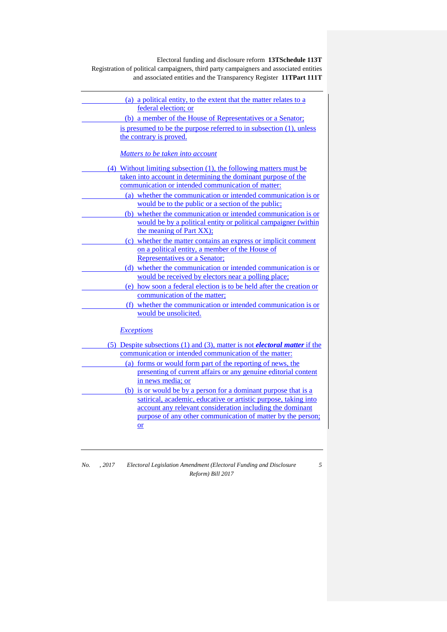| (a) a political entity, to the extent that the matter relates to a                |
|-----------------------------------------------------------------------------------|
| federal election; or                                                              |
| (b) a member of the House of Representatives or a Senator;                        |
| is presumed to be the purpose referred to in subsection (1), unless               |
| the contrary is proved.                                                           |
|                                                                                   |
| Matters to be taken into account                                                  |
| (4) Without limiting subsection (1), the following matters must be                |
| taken into account in determining the dominant purpose of the                     |
| communication or intended communication of matter:                                |
| (a) whether the communication or intended communication is or                     |
| would be to the public or a section of the public;                                |
| (b) whether the communication or intended communication is or                     |
| would be by a political entity or political campaigner (within                    |
| the meaning of Part XX);                                                          |
| (c) whether the matter contains an express or implicit comment                    |
| on a political entity, a member of the House of                                   |
| Representatives or a Senator;                                                     |
| (d) whether the communication or intended communication is or                     |
| would be received by electors near a polling place;                               |
| (e) how soon a federal election is to be held after the creation or               |
| communication of the matter;                                                      |
| (f) whether the communication or intended communication is or                     |
| would be unsolicited.                                                             |
|                                                                                   |
| <b>Exceptions</b>                                                                 |
| (5) Despite subsections (1) and (3), matter is not <i>electoral matter</i> if the |
| communication or intended communication of the matter:                            |
| (a) forms or would form part of the reporting of news, the                        |
| presenting of current affairs or any genuine editorial content                    |
| in news media; or                                                                 |
| (b) is or would be by a person for a dominant purpose that is a                   |
| satirical, academic, educative or artistic purpose, taking into                   |
| account any relevant consideration including the dominant                         |
| purpose of any other communication of matter by the person;                       |
| $\overline{\text{or}}$                                                            |
|                                                                                   |
|                                                                                   |

*No. , 2017 Electoral Legislation Amendment (Electoral Funding and Disclosure Reform) Bill 2017*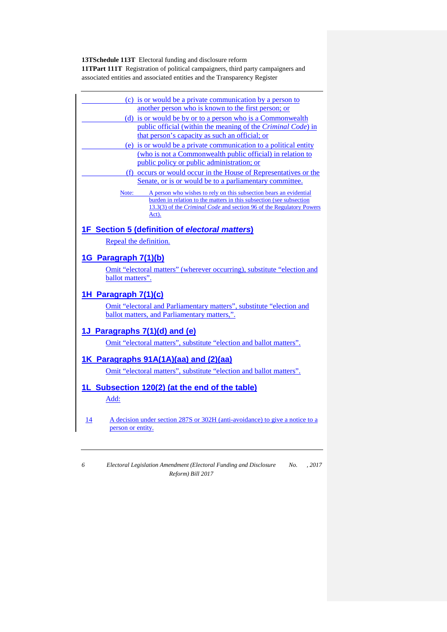| (c) is or would be a private communication by a person to                                                                                                                                                                                      |
|------------------------------------------------------------------------------------------------------------------------------------------------------------------------------------------------------------------------------------------------|
| another person who is known to the first person; or                                                                                                                                                                                            |
| (d) is or would be by or to a person who is a Commonwealth                                                                                                                                                                                     |
| public official (within the meaning of the Criminal Code) in                                                                                                                                                                                   |
| that person's capacity as such an official; or                                                                                                                                                                                                 |
| (e) is or would be a private communication to a political entity                                                                                                                                                                               |
| (who is not a Commonwealth public official) in relation to                                                                                                                                                                                     |
| public policy or public administration; or                                                                                                                                                                                                     |
| (f) occurs or would occur in the House of Representatives or the                                                                                                                                                                               |
| Senate, or is or would be to a parliamentary committee.                                                                                                                                                                                        |
| A person who wishes to rely on this subsection bears an evidential<br>Note:<br>burden in relation to the matters in this subsection (see subsection<br>13.3(3) of the <i>Criminal Code</i> and section 96 of the Regulatory Powers<br>$Act)$ . |
| <b>1F</b> Section 5 (definition of electoral matters)                                                                                                                                                                                          |
| Repeal the definition.                                                                                                                                                                                                                         |
| 1G Paragraph 7(1)(b)                                                                                                                                                                                                                           |
| Omit "electoral matters" (wherever occurring), substitute "election and                                                                                                                                                                        |
| ballot matters".                                                                                                                                                                                                                               |
|                                                                                                                                                                                                                                                |
| 1H Paragraph 7(1)(c)                                                                                                                                                                                                                           |
| Omit "electoral and Parliamentary matters", substitute "election and                                                                                                                                                                           |
| ballot matters, and Parliamentary matters,".                                                                                                                                                                                                   |
|                                                                                                                                                                                                                                                |
| 1J Paragraphs 7(1)(d) and (e)                                                                                                                                                                                                                  |
| Omit "electoral matters", substitute "election and ballot matters".                                                                                                                                                                            |
|                                                                                                                                                                                                                                                |
| 1K Paragraphs 91A(1A)(aa) and (2)(aa)                                                                                                                                                                                                          |
| Omit "electoral matters", substitute "election and ballot matters".                                                                                                                                                                            |
| 1L Subsection 120(2) (at the end of the table)                                                                                                                                                                                                 |
| Add:                                                                                                                                                                                                                                           |
|                                                                                                                                                                                                                                                |
|                                                                                                                                                                                                                                                |
| A decision under section 287S or 302H (anti-avoidance) to give a notice to a<br>14<br>person or entity.                                                                                                                                        |
|                                                                                                                                                                                                                                                |
|                                                                                                                                                                                                                                                |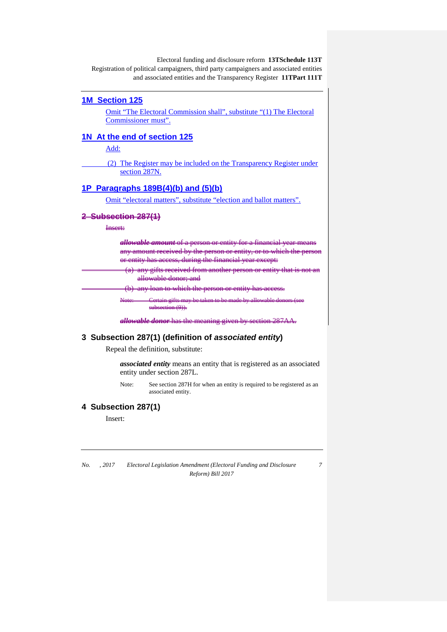#### **1M Section 125**

Omit "The Electoral Commission shall", substitute "(1) The Electoral Commissioner must".

## **1N At the end of section 125**

Add:

(2) The Register may be included on the Transparency Register under section 287N.

## **1P Paragraphs 189B(4)(b) and (5)(b)**

Omit "electoral matters", substitute "election and ballot matters".

#### **2 Subsection 287(1)**

Insert:

| $\alpha$ mtitti tov<br><u>sa matang kanyang kalendar sa mang bandang pa</u><br>--------------------<br>$\overline{\phantom{a}}$                                                                                                                                                                                                                          |
|----------------------------------------------------------------------------------------------------------------------------------------------------------------------------------------------------------------------------------------------------------------------------------------------------------------------------------------------------------|
| $\alpha$ n $\alpha$ r $\alpha$ ntity<br>$\alpha$ mur $\alpha$ r<br>------<br>$-1$<br>12000000<br>---------<br>$\overline{\phantom{a}}$                                                                                                                                                                                                                   |
| $0.000000$ during the<br>$\mathbf{X}$<br>$\sim$ $\sim$ $\sim$<br>---------------<br>, wa wasan muu wa kasan wa muu wa kwana maan kuto kwa kuto u<br>$\mathbf{r}$<br>. <del>.</del><br>$\sim$                                                                                                                                                             |
| maxmax<br>har narsan ar antiti<br>$\mathcal{L}^{\text{max}}_{\text{max}}$ and $\mathcal{L}^{\text{max}}_{\text{max}}$ and $\mathcal{L}^{\text{max}}_{\text{max}}$<br>$\mathcal{L}(\mathcal{L})$ and $\mathcal{L}(\mathcal{L})$ and $\mathcal{L}(\mathcal{L})$<br><b>STORE</b><br><b>.</b><br>--------<br>. <i>.</i><br><b><i><u>ALLESSE</u></i></b><br>. |
| amahla danam and<br>------<br>uno wuone uonon, unu                                                                                                                                                                                                                                                                                                       |
| haa aaaaaa<br>1377 C                                                                                                                                                                                                                                                                                                                                     |
|                                                                                                                                                                                                                                                                                                                                                          |

subsection (9)).

*allowable donor* has the meaning given by section 287AA.

#### **3 Subsection 287(1) (definition of** *associated entity***)**

Repeal the definition, substitute:

*associated entity* means an entity that is registered as an associated entity under section 287L.

Note: See section 287H for when an entity is required to be registered as an associated entity.

#### **4 Subsection 287(1)**

Insert:

*No. , 2017 Electoral Legislation Amendment (Electoral Funding and Disclosure Reform) Bill 2017*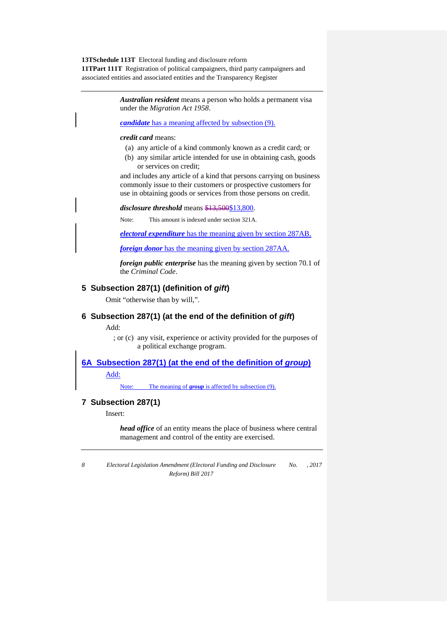> *Australian resident* means a person who holds a permanent visa under the *Migration Act 1958*.

*candidate* has a meaning affected by subsection (9).

#### *credit card* means:

- (a) any article of a kind commonly known as a credit card; or
- (b) any similar article intended for use in obtaining cash, goods or services on credit;

and includes any article of a kind that persons carrying on business commonly issue to their customers or prospective customers for use in obtaining goods or services from those persons on credit.

#### *disclosure threshold* means  $\frac{$13,500}{$13,800}$ .

Note: This amount is indexed under section 321A.

*electoral expenditure* has the meaning given by section 287AB.

*foreign donor* has the meaning given by section 287AA.

*foreign public enterprise* has the meaning given by section 70.1 of the *Criminal Code*.

#### **5 Subsection 287(1) (definition of** *gift***)**

Omit "otherwise than by will,".

#### **6 Subsection 287(1) (at the end of the definition of** *gift***)**

Add:

; or (c) any visit, experience or activity provided for the purposes of a political exchange program.

**6A Subsection 287(1) (at the end of the definition of** *group***)**

Add:

Note: The meaning of **group** is affected by subsection (9).

#### **7 Subsection 287(1)**

Insert:

*head office* of an entity means the place of business where central management and control of the entity are exercised.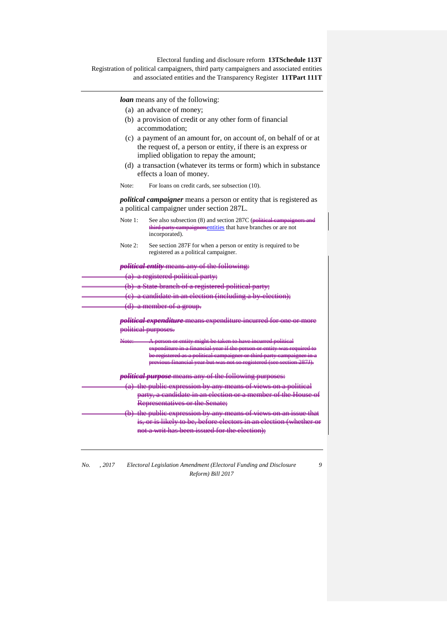*loan* means any of the following:

- (a) an advance of money;
- (b) a provision of credit or any other form of financial accommodation;
- (c) a payment of an amount for, on account of, on behalf of or at the request of, a person or entity, if there is an express or implied obligation to repay the amount;
- (d) a transaction (whatever its terms or form) which in substance effects a loan of money.
- Note: For loans on credit cards, see subsection (10).

*political campaigner* means a person or entity that is registered as a political campaigner under section 287L.

- Note 1: See also subsection (8) and section 287C ( $\theta$ olitical carry campaigners entities that have branched capacity campaigners and the state of  $\theta$ **the party cannot** measurementities that have branches or are not incorporated).
- Note 2: See section 287F for when a person or entity is required to be registered as a political campaigner.

*political entity* means any of the following:

- $\bullet$  registered political party;
	- (b) a State branch of a register

(c) a candidate in an election (including a by-election);

a member of

<u>litical expenditu</u> political purposes.

Note: A person or entity might be taken to have incurred political expenditure in a financial year if the person or entity was required to be registered as a political campaigner or third party campaigner in a previous financial year but was not so registered (see section 287J).

*political purpose* means any of the following purposes:

(a) the public expression by any means of views on a political party, a candidate in an election Representatives or the Senate;

the public expression by any means o is, or is likely to be, before electors in not a writ has been issued for the

*No. , 2017 Electoral Legislation Amendment (Electoral Funding and Disclosure Reform) Bill 2017*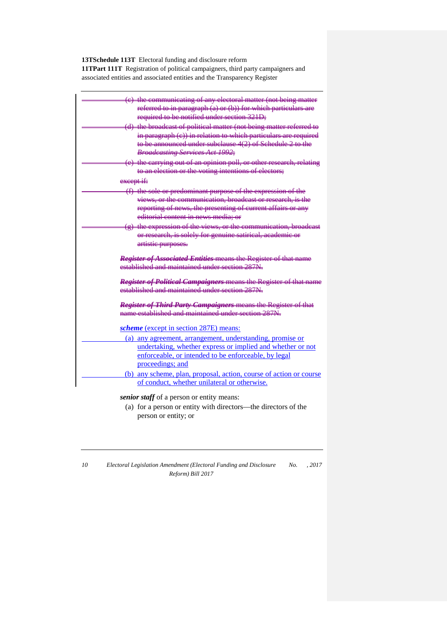**13TSchedule 113T** Electoral funding and disclosure reform

**11TPart 111T** Registration of political campaigners, third party campaigners and associated entities and associated entities and the Transparency Register

| (e) the communicating of any electoral matter (not being matter<br>referred to in paragraph (a) or (b)) for which particulars are |
|-----------------------------------------------------------------------------------------------------------------------------------|
| required to be notified under section 321D;                                                                                       |
| (d) the broadcast of political matter (not being matter referred to                                                               |
| in paragraph (e)) in relation to which particulars are required                                                                   |
| to be announced under subclause 4(2) of Schedule 2 to the                                                                         |
| <b>Broadcasting Services Act 1992;</b>                                                                                            |
| (e) the carrying out of an opinion poll, or other research, relating                                                              |
| to an election or the voting intentions of electors;                                                                              |
| except if:                                                                                                                        |
| (f) the sole or predominant purpose of the expression of the                                                                      |
| views, or the communication, broadcast or research, is the                                                                        |
| reporting of news, the presenting of current affairs or any                                                                       |
| editorial content in news media: or                                                                                               |
| (g) the expression of the views, or the communication, broadcast                                                                  |
| or research, is solely for genuine satirical, academic or                                                                         |
| artistie purposes.                                                                                                                |
| <b>Register of Associated Entities means the Register of that name</b>                                                            |
| established and maintained under section 287N.                                                                                    |
|                                                                                                                                   |
| Register of Political Campaigners means the Register of that name                                                                 |
| established and maintained under section 287N                                                                                     |
|                                                                                                                                   |
| Register of Third Party Campaigners means the Register of that<br>name established and maintained under section 287N.             |
|                                                                                                                                   |
| scheme (except in section 287E) means:                                                                                            |
| (a) any agreement, arrangement, understanding, promise or                                                                         |
| undertaking, whether express or implied and whether or not                                                                        |
| enforceable, or intended to be enforceable, by legal                                                                              |
| proceedings; and                                                                                                                  |
| (b) any scheme, plan, proposal, action, course of action or course                                                                |
| of conduct, whether unilateral or otherwise.                                                                                      |

*senior staff* of a person or entity means:

- (a) for a person or entity with directors—the directors of the person or entity; or
- *10 Electoral Legislation Amendment (Electoral Funding and Disclosure Reform) Bill 2017 No. , 2017*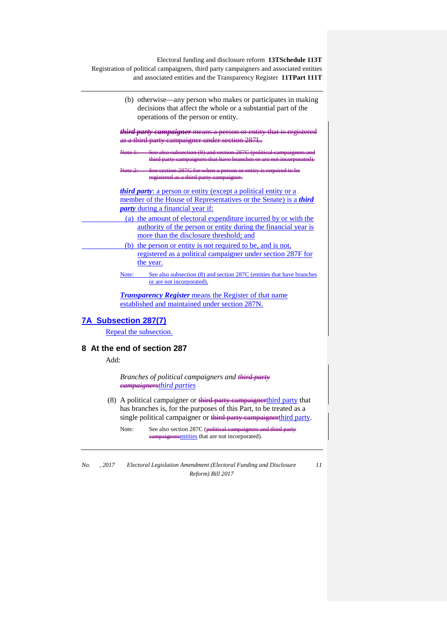> (b) otherwise—any person who makes or participates in making decisions that affect the whole or a substantial part of the operations of the person or entity.

*third party campaigner* means a person or entity that is registered <del>a third party campaign</del>e

Note 1: See also subsection (8) and section 287C (political campaigners and third party campaigners that have branches or are not incorporated).

Note 2: See section 287G for when a person or entity is required to be registered as a third party campaigner.

*third party*: a person or entity (except a political entity or a member of the House of Representatives or the Senate) is a *third party* during a financial year if:

(a) the amount of electoral expenditure incurred by or with the authority of the person or entity during the financial year is more than the disclosure threshold; and

(b) the person or entity is not required to be, and is not, registered as a political campaigner under section 287F for the year.

Note: See also subsection (8) and section 287C (entities that have branches or are not incorporated).

*Transparency Register* means the Register of that name established and maintained under section 287N.

#### **7A Subsection 287(7)**

Repeal the subsection.

## **8 At the end of section 287**

Add:

*Branches of political campaigners and third party campaignersthird parties*

- (8) A political campaigner or  $\frac{1}{2}$  and  $\frac{1}{2}$  campaigner third party that has branches is, for the purposes of this Part, to be treated as a single political campaigner or third party campaignerthird party.
	- Note: See also section 287C (political campaigners aignersentities that are not incorporated).

*No. , 2017 Electoral Legislation Amendment (Electoral Funding and Disclosure Reform) Bill 2017*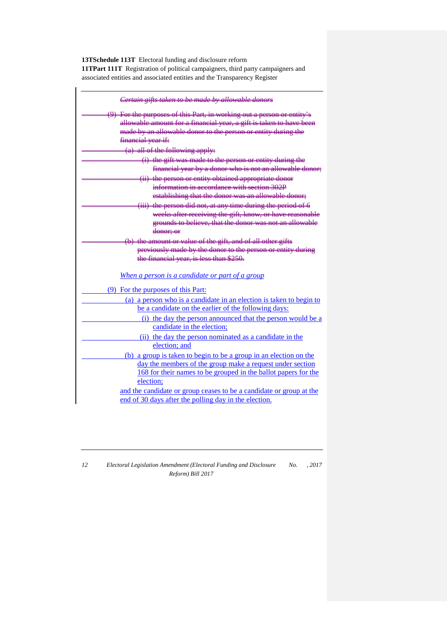| Certain gifts taken to be made by allowable donors                     |
|------------------------------------------------------------------------|
| (9) For the purposes of this Part, in working out a person or entity's |
| allowable amount for a financial year, a gift is taken to have been    |
| made by an allowable donor to the person or entity during the          |
| financial year if:                                                     |
| $(a)$ all of the following apply:                                      |
| (i) the gift was made to the person or entity during the               |
| financial year by a donor who is not an allowable donor;               |
| (ii) the person or entity obtained appropriate donor                   |
| information in accordance with section 302P                            |
| establishing that the donor was an allowable donor;                    |
| (iii) the person did not, at any time during the period of 6           |
| weeks after receiving the gift, know, or have reasonable               |
| grounds to believe, that the donor was not an allowable                |
| donor; or                                                              |
| (b) the amount or value of the gift, and of all other gifts            |
| previously made by the donor to the person or entity during            |
| the financial year, is less than \$250.                                |
| When a person is a candidate or part of a group                        |
| (9) For the purposes of this Part:                                     |
| (a) a person who is a candidate in an election is taken to begin to    |
| be a candidate on the earlier of the following days:                   |
| (i) the day the person announced that the person would be a            |
| candidate in the election;                                             |
| (ii) the day the person nominated as a candidate in the                |
| election; and                                                          |
| (b) a group is taken to begin to be a group in an election on the      |
| day the members of the group make a request under section              |
| 168 for their names to be grouped in the ballot papers for the         |
| election;                                                              |
| and the candidate or group ceases to be a candidate or group at the    |
| end of 30 days after the polling day in the election.                  |

| 12 | Electoral Legislation Amendment (Electoral Funding and Disclosure | No. | . 2017 |
|----|-------------------------------------------------------------------|-----|--------|
|    | Reform) Bill 2017                                                 |     |        |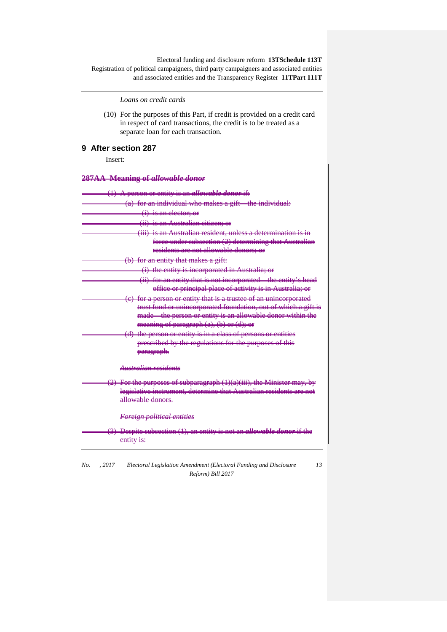*Loans on credit cards*

(10) For the purposes of this Part, if credit is provided on a credit card in respect of card transactions, the credit is to be treated as a separate loan for each transaction.

## **9 After section 287**

Insert:

#### **287AA Meaning of** *allowable donor*

| <del>A person or entity is an <i>allowable donor</i> if:</del>                |
|-------------------------------------------------------------------------------|
| (a) for an individual who makes a gift—the individual:                        |
| <del>(i) is an elector: or</del>                                              |
| <del>(ii) is an Australian citizen; or</del>                                  |
| <del>(iii) is an Australian resident, unless a determination is in</del>      |
| force under subsection (2) determining that Australian                        |
| residents are not allowable donors; or                                        |
| (b) for an entity that makes a gift:                                          |
| (i) the entity is incorporated in Australia; or                               |
| (ii) for an entity that is not incorporated the entity's head                 |
| office or principal place of activity is in Australia; or                     |
| (e) for a person or entity that is a trustee of an unincorporated             |
| trust fund or unincorporated foundation, out of which a gift is               |
| made the person or entity is an allowable donor within the                    |
| meaning of paragraph (a), (b) or (d); or                                      |
| (d) the person or entity is in a class of persons or entities                 |
| prescribed by the regulations for the purposes of this                        |
| <del>paragraph.</del>                                                         |
| <del>Australian residents</del>                                               |
|                                                                               |
| (2) For the purposes of subparagraph (1)(a)(iii), the Minister may, by        |
| legislative instrument, determine that Australian residents are not           |
| حعموهم ملطوبييمللو                                                            |
|                                                                               |
| Foreign political entities                                                    |
| (3) Despite subsection (1), an entity is not an <i>allowable donor</i> if the |
| entity is:                                                                    |
|                                                                               |

*No. , 2017 Electoral Legislation Amendment (Electoral Funding and Disclosure Reform) Bill 2017 13*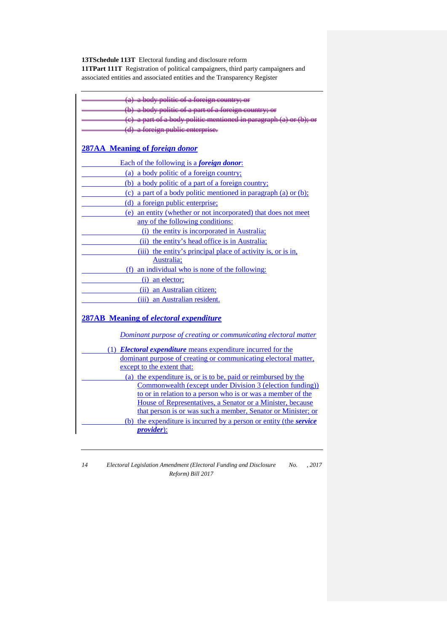| (a) a body politic of a foreign country; or                                                                                 |
|-----------------------------------------------------------------------------------------------------------------------------|
| (b) a body politic of a part of a foreign country; or                                                                       |
| $(e)$ a part of a body politic mentioned in paragraph $(a)$ or $(b)$ ;                                                      |
| (d) a foreign public enterprise.                                                                                            |
|                                                                                                                             |
| <b>287AA</b> Meaning of foreign donor                                                                                       |
| Each of the following is a <i>foreign donor</i> :                                                                           |
| (a) a body politic of a foreign country;                                                                                    |
| (b) a body politic of a part of a foreign country;                                                                          |
| (c) a part of a body politic mentioned in paragraph (a) or $(b)$ ;                                                          |
| (d) a foreign public enterprise;                                                                                            |
| (e) an entity (whether or not incorporated) that does not meet                                                              |
| any of the following conditions:                                                                                            |
| (i) the entity is incorporated in Australia;                                                                                |
| (ii) the entity's head office is in Australia;                                                                              |
| (iii) the entity's principal place of activity is, or is in,                                                                |
| Australia;                                                                                                                  |
| (f) an individual who is none of the following:                                                                             |
| (i) an elector;                                                                                                             |
| (ii) an Australian citizen;                                                                                                 |
| (iii) an Australian resident.                                                                                               |
| <b>287AB</b> Meaning of electoral expenditure<br>Dominant purpose of creating or communicating electoral matter             |
|                                                                                                                             |
| (1) <i>Electoral expenditure</i> means expenditure incurred for the                                                         |
| dominant purpose of creating or communicating electoral matter,                                                             |
| except to the extent that:                                                                                                  |
| (a) the expenditure is, or is to be, paid or reimbursed by the<br>Commonwealth (except under Division 3 (election funding)) |
| to or in relation to a person who is or was a member of the                                                                 |
| House of Representatives, a Senator or a Minister, because                                                                  |
| that person is or was such a member, Senator or Minister; or                                                                |
| (b) the expenditure is incurred by a person or entity (the service                                                          |
| <i>provider</i> ):                                                                                                          |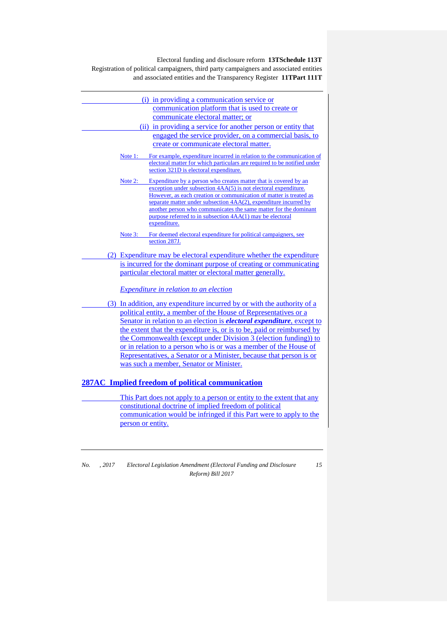| (i) in providing a communication service or                                                                                                         |
|-----------------------------------------------------------------------------------------------------------------------------------------------------|
| communication platform that is used to create or                                                                                                    |
| communicate electoral matter; or                                                                                                                    |
| (ii) in providing a service for another person or entity that                                                                                       |
| engaged the service provider, on a commercial basis, to                                                                                             |
| create or communicate electoral matter.                                                                                                             |
| For example, expenditure incurred in relation to the communication of<br>Note $1$ :                                                                 |
| electoral matter for which particulars are required to be notified under<br>section 321D is electoral expenditure.                                  |
|                                                                                                                                                     |
| Expenditure by a person who creates matter that is covered by an<br>Note $2$ :<br>exception under subsection $4AA(5)$ is not electoral expenditure. |
| However, as each creation or communication of matter is treated as                                                                                  |
| separate matter under subsection 4AA(2), expenditure incurred by                                                                                    |
| another person who communicates the same matter for the dominant<br>purpose referred to in subsection 4AA(1) may be electoral                       |
| expenditure.                                                                                                                                        |
| For deemed electoral expenditure for political campaigners, see<br>Note $3:$                                                                        |
| section 287J.                                                                                                                                       |
| (2) Expenditure may be electoral expenditure whether the expenditure                                                                                |
| is incurred for the dominant purpose of creating or communicating                                                                                   |
| particular electoral matter or electoral matter generally.                                                                                          |
| <i>Expenditure in relation to an election</i>                                                                                                       |
|                                                                                                                                                     |
| (3) In addition, any expenditure incurred by or with the authority of a                                                                             |
| political entity, a member of the House of Representatives or a                                                                                     |
| Senator in relation to an election is <i>electoral expenditure</i> , except to                                                                      |
| the extent that the expenditure is, or is to be, paid or reimbursed by<br>the Commonwealth (except under Division 3 (election funding)) to          |
| or in relation to a person who is or was a member of the House of                                                                                   |
| Representatives, a Senator or a Minister, because that person is or                                                                                 |
| was such a member, Senator or Minister.                                                                                                             |
|                                                                                                                                                     |
| 287AC Implied freedom of political communication                                                                                                    |
| This Part does not apply to a person or entity to the extent that any                                                                               |
| constitutional doctrine of implied freedom of political                                                                                             |
| communication would be infringed if this Part were to apply to the                                                                                  |
| person or entity.                                                                                                                                   |
|                                                                                                                                                     |

*No. , 2017 Electoral Legislation Amendment (Electoral Funding and Disclosure Reform) Bill 2017*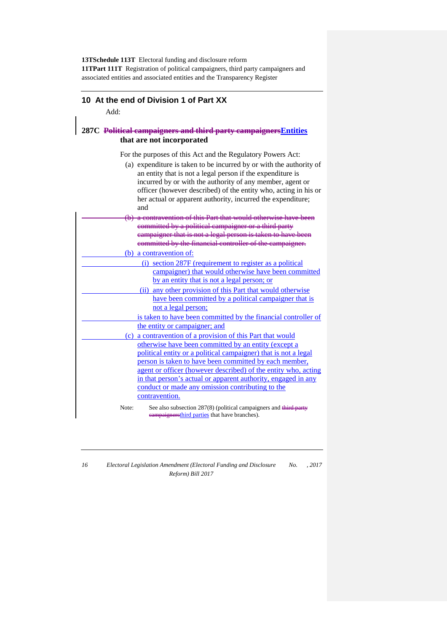#### **10 At the end of Division 1 of Part XX**

Add:

#### **287C Political campaigners and third party campaignersEntities that are not incorporated**

For the purposes of this Act and the Regulatory Powers Act:

(a) expenditure is taken to be incurred by or with the authority of an entity that is not a legal person if the expenditure is incurred by or with the authority of any member, agent or officer (however described) of the entity who, acting in his or her actual or apparent authority, incurred the expenditure;

|       | and                                                               |
|-------|-------------------------------------------------------------------|
|       | (b) a contravention of this Part that would otherwise have beer   |
|       | committed by a political campaigner or a third party              |
|       | campaigner that is not a legal person is taken to have been       |
|       | committed by the financial controller of the campaigner.          |
|       | (b) a contravention of:                                           |
|       | (i) section 287F (requirement to register as a political          |
|       | campaigner) that would otherwise have been committed              |
|       | by an entity that is not a legal person; or                       |
|       | (ii) any other provision of this Part that would otherwise        |
|       | have been committed by a political campaigner that is             |
|       | not a legal person;                                               |
|       | is taken to have been committed by the financial controller of    |
|       | the entity or campaigner; and                                     |
|       | (c) a contravention of a provision of this Part that would        |
|       | otherwise have been committed by an entity (except a              |
|       | political entity or a political campaigner) that is not a legal   |
|       | person is taken to have been committed by each member,            |
|       | agent or officer (however described) of the entity who, acting    |
|       | in that person's actual or apparent authority, engaged in any     |
|       | conduct or made any omission contributing to the                  |
|       | contravention.                                                    |
| Note: | See also subsection 287(8) (political campaigners and third party |

**example restrict** parties that have branches).

| ۰.<br>۰.<br>¢<br>۰. |
|---------------------|
|---------------------|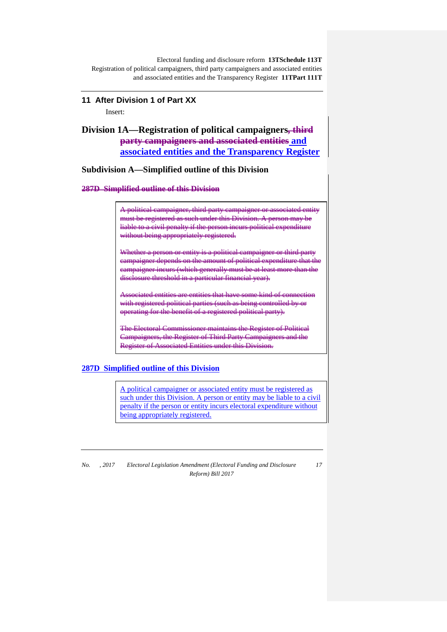## **11 After Division 1 of Part XX** Insert:

## **Division 1A—Registration of political campaigners, third party campaigners and associated entities and associated entities and the Transparency Register**

**Subdivision A—Simplified outline of this Division**

**287D Simplified outline of this Division**

A political campaigner, third party campaigner or associated entity must be registered as such under this Division. A person may be liable to a civil penalty if the person incurs political expenditure without being appropriately registered.

Whether a person or entity is a political campaigner or third party campaigner depends on the amount of political expenditure that the campaigner incurs (which generally must be at least me disclosure threshold in a particular financial year).

ociated entities are entities that have some kind with registered political parties (such as being controlled by operating for the benefit of a registered political party).

The Electoral Commissioner maintains the Register of Political Campaigners, the Register of Third Party Campaigners and the Register of Associated Entities under this Division.

## **287D Simplified outline of this Division**

A political campaigner or associated entity must be registered as such under this Division. A person or entity may be liable to a civil penalty if the person or entity incurs electoral expenditure without being appropriately registered.

*No. , 2017 Electoral Legislation Amendment (Electoral Funding and Disclosure Reform) Bill 2017*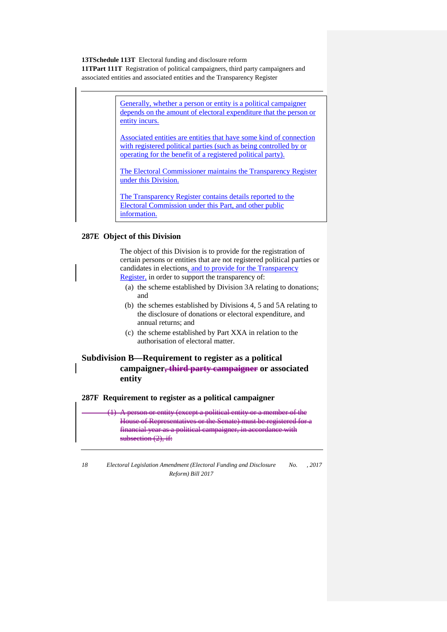> Generally, whether a person or entity is a political campaigner depends on the amount of electoral expenditure that the person or entity incurs.

> Associated entities are entities that have some kind of connection with registered political parties (such as being controlled by or operating for the benefit of a registered political party).

The Electoral Commissioner maintains the Transparency Register under this Division.

The Transparency Register contains details reported to the Electoral Commission under this Part, and other public information.

#### **287E Object of this Division**

The object of this Division is to provide for the registration of certain persons or entities that are not registered political parties or candidates in elections, and to provide for the Transparency Register, in order to support the transparency of:

(a) the scheme established by Division 3A relating to donations;

- and
- (b) the schemes established by Divisions 4, 5 and 5A relating to the disclosure of donations or electoral expenditure, and annual returns; and
- (c) the scheme established by Part XXA in relation to the authorisation of electoral matter.

### **Subdivision B—Requirement to register as a political campaigner, third party campaigner or associated entity**

**287F Requirement to register as a political campaigner**

A person or entity (except a political entity or a member of the House of Representatives or the Senate) must be registered for a financial year as a political campaigner, in accordance with subsection (2), if: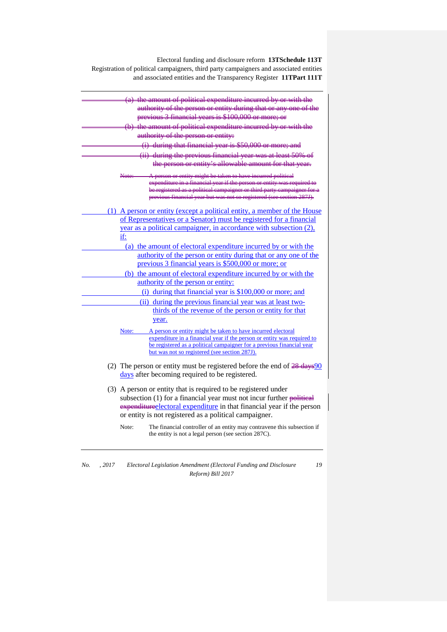| $(a)$ the amount of political expenditure incurred by or with the<br>authority of the person or entity during that or any one of the |  |
|--------------------------------------------------------------------------------------------------------------------------------------|--|
| previous 3 financial years is \$100,000 or more; or                                                                                  |  |
| (b) the amount of political expenditure incurred by or with the                                                                      |  |
| authority of the person or entity:                                                                                                   |  |
| (i) during that financial year is \$50,000 or more; and                                                                              |  |
| (ii) during the previous financial year was at least 50% of                                                                          |  |
| the person or entity's allowable amount for that year.                                                                               |  |
| A person or entity might be taken to have incurred political                                                                         |  |
| expenditure in a financial year if the person or entity was required to                                                              |  |
| be registered as a political campaigner or third party campaigner f                                                                  |  |
| previous financial year but was not so registered (see section 287J).                                                                |  |
| (1) A person or entity (except a political entity, a member of the House                                                             |  |
| of Representatives or a Senator) must be registered for a financial                                                                  |  |
| year as a political campaigner, in accordance with subsection (2),                                                                   |  |
| if:                                                                                                                                  |  |
| (a) the amount of electoral expenditure incurred by or with the                                                                      |  |
| authority of the person or entity during that or any one of the                                                                      |  |
| previous 3 financial years is \$500,000 or more; or                                                                                  |  |
| (b) the amount of electoral expenditure incurred by or with the                                                                      |  |
| authority of the person or entity:                                                                                                   |  |
| (i) during that financial year is $$100,000$ or more; and                                                                            |  |
| (ii) during the previous financial year was at least two-                                                                            |  |
| thirds of the revenue of the person or entity for that                                                                               |  |
| year.                                                                                                                                |  |
| A person or entity might be taken to have incurred electoral<br>Note:                                                                |  |
| expenditure in a financial year if the person or entity was required to                                                              |  |
| be registered as a political campaigner for a previous financial year                                                                |  |
| but was not so registered (see section 287J).                                                                                        |  |
| (2) The person or entity must be registered before the end of $\frac{28}{26}$ days 90                                                |  |
| days after becoming required to be registered.                                                                                       |  |
|                                                                                                                                      |  |
| (3) A person or entity that is required to be registered under                                                                       |  |
| subsection $(1)$ for a financial year must not incur further political                                                               |  |
| expenditure electoral expenditure in that financial year if the person                                                               |  |
| or entity is not registered as a political campaigner.                                                                               |  |
| Note:<br>The financial controller of an entity may contravene this subsection if                                                     |  |
| the entity is not a legal person (see section 287C).                                                                                 |  |

*No. , 2017 Electoral Legislation Amendment (Electoral Funding and Disclosure Reform) Bill 2017*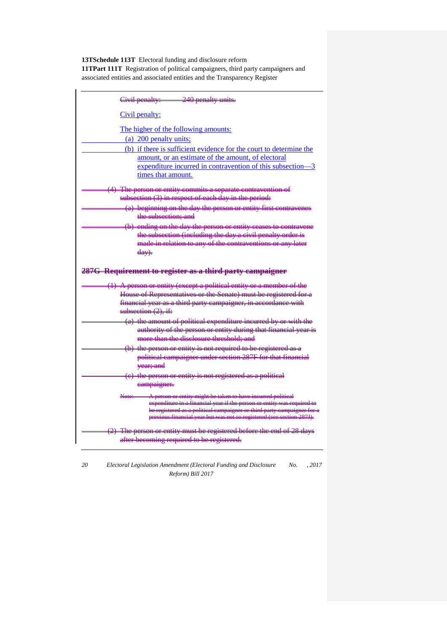| 240 penalty units.<br>Civil penalty:                                                                                                     |  |
|------------------------------------------------------------------------------------------------------------------------------------------|--|
| Civil penalty:                                                                                                                           |  |
| The higher of the following amounts:                                                                                                     |  |
| (a) 200 penalty units;                                                                                                                   |  |
| (b) if there is sufficient evidence for the court to determine the                                                                       |  |
| amount, or an estimate of the amount, of electoral                                                                                       |  |
| expenditure incurred in contravention of this subsection-3                                                                               |  |
| times that amount.                                                                                                                       |  |
| (4) The person or entity commits a separate contravention of                                                                             |  |
| subsection (3) in respect of each day in the period:                                                                                     |  |
| (a) beginning on the day the person or entity first contravenes                                                                          |  |
| <del>the subsection: and</del>                                                                                                           |  |
| (b) ending on the day the person or entity ceases to contravene                                                                          |  |
| the subsection (including the day a civil penalty order is                                                                               |  |
| made in relation to any of the contraventions or any later                                                                               |  |
| $\frac{(\text{day})}{(\text{day})}$                                                                                                      |  |
|                                                                                                                                          |  |
| 287G Requirement to register as a third party campaigner                                                                                 |  |
| (1) A person or entity (except a political entity or a member of the<br>House of Representatives or the Senate) must be registered for a |  |
|                                                                                                                                          |  |
| financial year as a third party campaigner, in accordance with                                                                           |  |
| subsection $(2)$ , if-                                                                                                                   |  |
| (a) the amount of political expenditure incurred by or with the                                                                          |  |
| authority of the person or entity during that financial year is                                                                          |  |
| more than the disclosure threshold; and                                                                                                  |  |
| (b) the person or entity is not required to be registered as a                                                                           |  |
| political campaigner under section 287F for that financial                                                                               |  |
| <del>year; and</del>                                                                                                                     |  |
| (e) the person or entity is not registered as a political                                                                                |  |
| eampaigner.                                                                                                                              |  |
| A person or entity might be taken to have ineurred political<br>Nete:                                                                    |  |
| expenditure in a financial year if the person or entity was required to                                                                  |  |
| be registered as a political campaigner or third party campaigner for                                                                    |  |
| previous financial year but was not so registered (see section 287J).                                                                    |  |
| (2) The person or entity must be registered before the end of 28 days                                                                    |  |
| after becoming required to be registered.                                                                                                |  |
|                                                                                                                                          |  |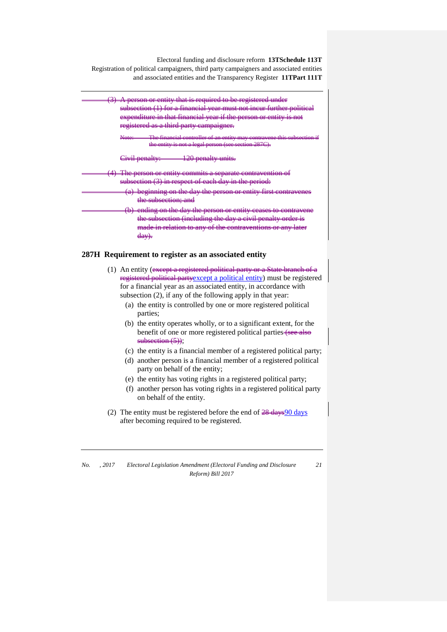

*No. , 2017 Electoral Legislation Amendment (Electoral Funding and Disclosure Reform) Bill 2017 21*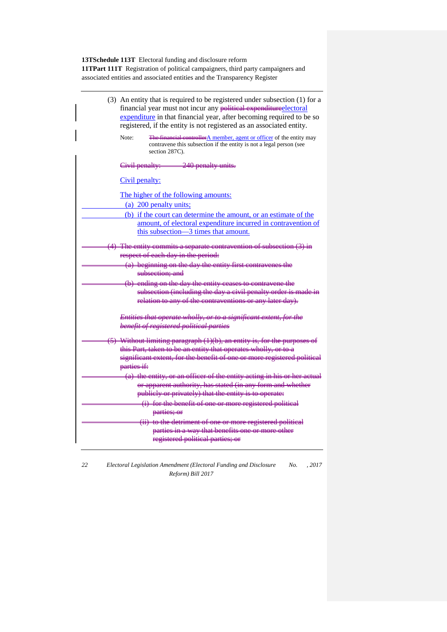| (3) An entity that is required to be registered under subsection (1) for a<br>financial year must not incur any political expenditureclectoral<br>expenditure in that financial year, after becoming required to be so<br>registered, if the entity is not registered as an associated entity. |
|------------------------------------------------------------------------------------------------------------------------------------------------------------------------------------------------------------------------------------------------------------------------------------------------|
| The financial controller A member, agent or officer of the entity may<br>Note:<br>contravene this subsection if the entity is not a legal person (see<br>section 287C).                                                                                                                        |
| 240 penalty units.<br>Civil penalty:                                                                                                                                                                                                                                                           |
| Civil penalty:                                                                                                                                                                                                                                                                                 |
| The higher of the following amounts:<br>(a) 200 penalty units;                                                                                                                                                                                                                                 |
| (b) if the court can determine the amount, or an estimate of the<br>amount, of electoral expenditure incurred in contravention of<br>this subsection—3 times that amount.                                                                                                                      |
| $(4)$ The entity commits a separate contravention of subsection $(3)$ in<br>respect of each day in the period:                                                                                                                                                                                 |
| (a) beginning on the day the entity first contravenes the<br><del>subsection: and</del>                                                                                                                                                                                                        |
| (b) ending on the day the entity ceases to contravene the<br>subsection (including the day a civil penalty order is made in<br>relation to any of the contraventions or any later day).                                                                                                        |
| Entities that operate wholly, or to a significant extent, for the<br>benefit of registered political parties                                                                                                                                                                                   |
| $(5)$ Without limiting paragraph $(1)(b)$ , an entity is, for the purposes of<br>this Part, taken to be an entity that operates wholly, or to a<br>significant extent, for the benefit of one or more registered political<br>parties if:                                                      |
| (a) the entity, or an officer of the entity acting in his or her actual<br>or apparent authority, has stated (in any form and whether<br>publiely or privately) that the entity is to operate:                                                                                                 |
| (i) for the benefit of one or more registered political<br>parties; or                                                                                                                                                                                                                         |
| (ii) to the detriment of one or more registered political<br>parties in a way that benefits one or more other<br>registered political parties; or                                                                                                                                              |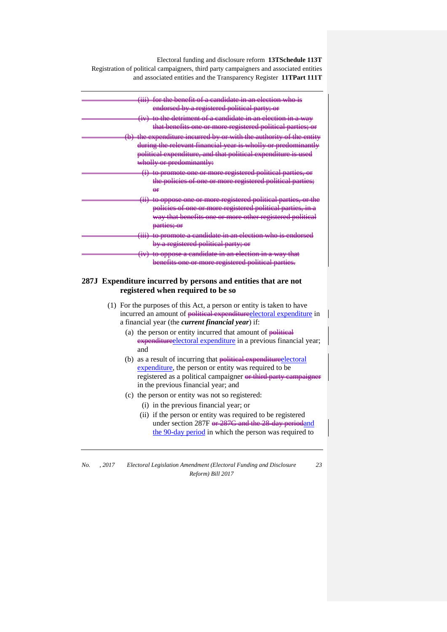| (iii) for the benefit of a candidate in an election who is                            |
|---------------------------------------------------------------------------------------|
| endorsed by a registered political party; or                                          |
| (iv) to the detriment of a candidate in an election in a way                          |
| that benefits one or more registered political parties; or                            |
| (b) the expenditure incurred by or with the authority of the entity                   |
| during the relevant financial year is wholly or predominantly                         |
| political expenditure, and that political expenditure is used                         |
| wholly or predominantly:                                                              |
| (i) to promote one or more registered political parties, or                           |
| the policies of one or more registered political parties;                             |
| ₩                                                                                     |
| to oppose one or more registered political parties, or the                            |
| policies of one or more registered political parties, in a                            |
| way that benefits one or more other registered political                              |
| parties; or                                                                           |
| <del>date in an election who is endorsc</del><br><del>(111) to promote a candid</del> |
| by a registered political party; or                                                   |
| (iv) to oppose a candidate in an election in a way                                    |
| benefits one or more registered political partie                                      |

#### **287J Expenditure incurred by persons and entities that are not registered when required to be so**

- (1) For the purposes of this Act, a person or entity is taken to have incurred an amount of political expenditure electoral expenditure in a financial year (the *current financial year*) if:
	- (a) the person or entity incurred that amount of  $p$ -bitical expenditureelectoral expenditure in a previous financial year; and
	- (b) as a result of incurring that political expenditure electoral expenditure, the person or entity was required to be registered as a political campaigner or third party campaigner in the previous financial year; and
	- (c) the person or entity was not so registered:
		- (i) in the previous financial year; or
		- (ii) if the person or entity was required to be registered under section 287F <del>or 287G and the 28-day period</del>and the 90-day period in which the person was required to

*No. , 2017 Electoral Legislation Amendment (Electoral Funding and Disclosure Reform) Bill 2017*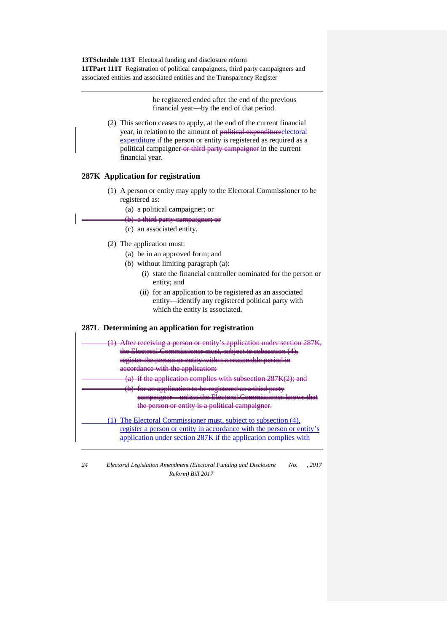> be registered ended after the end of the previous financial year—by the end of that period.

(2) This section ceases to apply, at the end of the current financial year, in relation to the amount of political expendituredlectoral expenditure if the person or entity is registered as required as a political campaigner-or third party campaigner in the current financial year.

#### **287K Application for registration**

- (1) A person or entity may apply to the Electoral Commissioner to be registered as:
	- (a) a political campaigner; or
	- $(b)$  a third party campaigner
	- (c) an associated entity.
- (2) The application must:
	- (a) be in an approved form; and
	- (b) without limiting paragraph (a):
		- (i) state the financial controller nominated for the person or entity; and
		- (ii) for an application to be registered as an associated entity—identify any registered political party with which the entity is associated.

#### **287L Determining an application for registration**

| <del>lter receiving a person or entity's application un</del><br>Compiggionor must<br>register the person or entity within a reasonable period in<br>accordance with the application.<br>if the application complies with subsection 287K(2): and<br>ication to be registered<br>eampargner<br>the person or entity is a political campaigner. |
|------------------------------------------------------------------------------------------------------------------------------------------------------------------------------------------------------------------------------------------------------------------------------------------------------------------------------------------------|
| (1) The Electoral Commissioner must, subject to subsection (4),<br>register a person or entity in accordance with the person or entity's<br>application under section 287K if the application complies with                                                                                                                                    |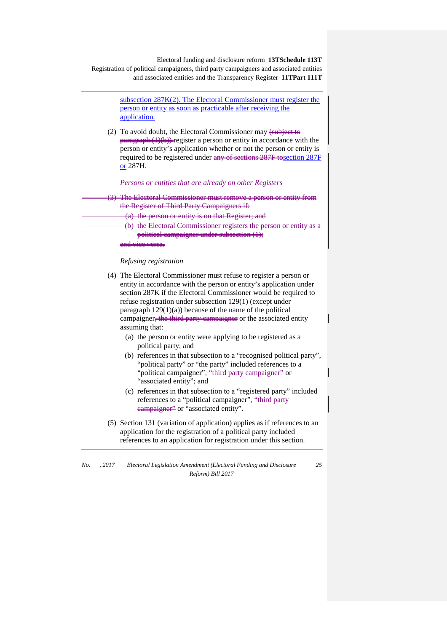

refuse registration under subsection 129(1) (except under paragraph  $129(1)(a)$ ) because of the name of the political campaigner<del>, the third party campaigner</del> or the associated entity assuming that:

- (a) the person or entity were applying to be registered as a political party; and
- (b) references in that subsection to a "recognised political party", "political party" or "the party" included references to a "political campaigner", "third party campaigner" or "associated entity"; and
- (c) references in that subsection to a "registered party" included references to a "political campaigner", "third party eampaigner<sup>22</sup> or "associated entity".
- (5) Section 131 (variation of application) applies as if references to an application for the registration of a political party included references to an application for registration under this section.

*No. , 2017 Electoral Legislation Amendment (Electoral Funding and Disclosure Reform) Bill 2017 25*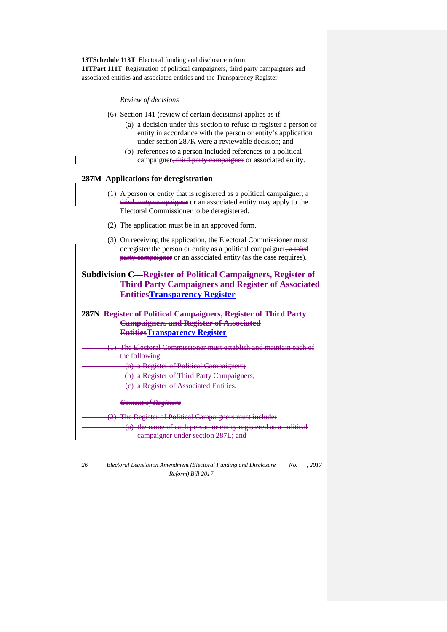*Review of decisions*

- (6) Section 141 (review of certain decisions) applies as if:
	- (a) a decision under this section to refuse to register a person or entity in accordance with the person or entity's application under section 287K were a reviewable decision; and
	- (b) references to a person included references to a political campaigner<del>, third party campaigner</del> or associated entity.

#### **287M Applications for deregistration**

- (1) A person or entity that is registered as a political campaignerthird party campaigner or an associated entity may apply to the Electoral Commissioner to be deregistered.
- (2) The application must be in an approved form.
- (3) On receiving the application, the Electoral Commissioner must deregister the person or entity as a political campaigner,  $\alpha$  third party campaigner or an associated entity (as the case requires).

## **Subdivision C—Register of Political Campaigners, Register of Third Party Campaigners and Register of Associated EntitiesTransparency Register**

## **287N Register of Political Campaigners, Register of Third Party Campaigners and Register of Associated EntitiesTransparency Register**

The Electoral Commissioner must establish and maintain each of the following: a Register of Political Campaigners; (b) a Register of Third Party Campaigners;

(c) a Register of Associated Entities.

*Content of Registers*

(2) The Register of Political Campaigners must include: (a) the name of each person or entity registered as a political campaigner under section 287L; and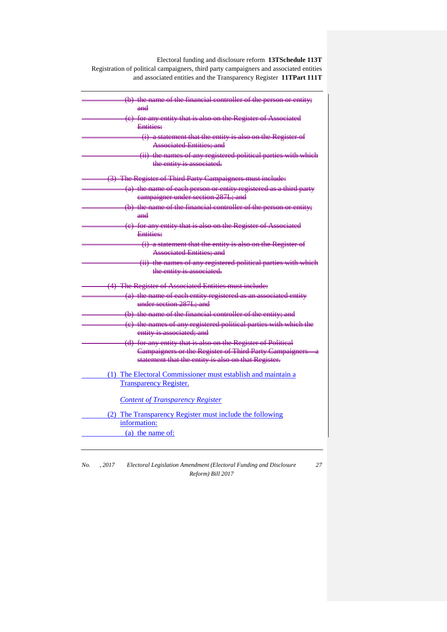| (b) the name of the financial controller of the person or entity; |
|-------------------------------------------------------------------|
| $and$                                                             |
| (e) for any entity that is also on the Register of Associated     |
| Entities:                                                         |
| (i) a statement that the entity is also on the Register of        |
| <b>Associated Entities: and</b>                                   |
| (ii) the names of any registered political parties with which     |
| the entity is associated.                                         |
| (3) The Register of Third Party Campaigners must include:         |
| (a) the name of each person or entity registered as a third party |
| eampaigner under section 287L; and                                |
| (b) the name of the financial controller of the person or entity; |
| $and$                                                             |
| (e) for any entity that is also on the Register of Associated     |
| <b>Entities:</b>                                                  |
| (i) a statement that the entity is also on the Register of        |
| <b>Associated Entities: and</b>                                   |
| (ii) the names of any registered political parties with which     |
| the entity is associated.                                         |
| (4) The Register of Associated Entities must include:             |
| (a) the name of each entity registered as an associated entity    |
| under section 287L; and                                           |
| (b) the name of the financial controller of the entity; and       |
| (e) the names of any registered political parties with which the  |
| entity is associated; and                                         |
| (d) for any entity that is also on the Register of Political      |
| Campaigners or the Register of Third Party Campaigners-           |
| statement that the entity is also on that Register.               |
| (1) The Electoral Commissioner must establish and maintain a      |
| <b>Transparency Register.</b>                                     |
|                                                                   |
| <b>Content of Transparency Register</b>                           |
| (2) The Transparency Register must include the following          |
| information:                                                      |
| (a) the name of:                                                  |
|                                                                   |

*No. , 2017 Electoral Legislation Amendment (Electoral Funding and Disclosure Reform) Bill 2017*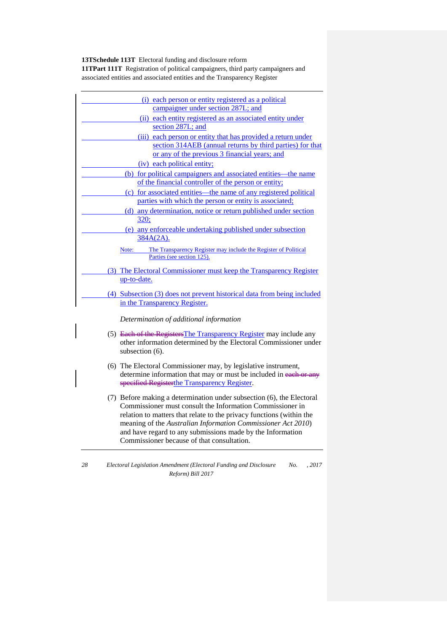| each person or entity registered as a political<br>(i)                   |
|--------------------------------------------------------------------------|
| campaigner under section 287L; and                                       |
| (ii) each entity registered as an associated entity under                |
| section 287L; and                                                        |
| each person or entity that has provided a return under<br>(iii)          |
| section 314AEB (annual returns by third parties) for that                |
| or any of the previous 3 financial years; and                            |
| (iv) each political entity;                                              |
| (b) for political campaigners and associated entities—the name           |
| of the financial controller of the person or entity;                     |
| (c) for associated entities—the name of any registered political         |
| parties with which the person or entity is associated;                   |
| (d) any determination, notice or return published under section          |
| <u>320;</u>                                                              |
| (e) any enforceable undertaking published under subsection               |
| $384A(2A)$ .                                                             |
| The Transparency Register may include the Register of Political<br>Note: |
| Parties (see section 125).                                               |
| (3) The Electoral Commissioner must keep the Transparency Register       |
| up-to-date.                                                              |
|                                                                          |
| (4) Subsection (3) does not prevent historical data from being included  |
| in the Transparency Register.                                            |
| Determination of additional information                                  |
| (5) Each of the RegistersThe Transparency Register may include any       |
| other information determined by the Electoral Commissioner under         |

- subsection (6). (6) The Electoral Commissioner may, by legislative instrument, determine information that may or must be included in each or any
- specified Registerthe Transparency Register. (7) Before making a determination under subsection (6), the Electoral
- Commissioner must consult the Information Commissioner in relation to matters that relate to the privacy functions (within the meaning of the *Australian Information Commissioner Act 2010*) and have regard to any submissions made by the Information Commissioner because of that consultation.
- *28 Electoral Legislation Amendment (Electoral Funding and Disclosure Reform) Bill 2017 No. , 2017*
-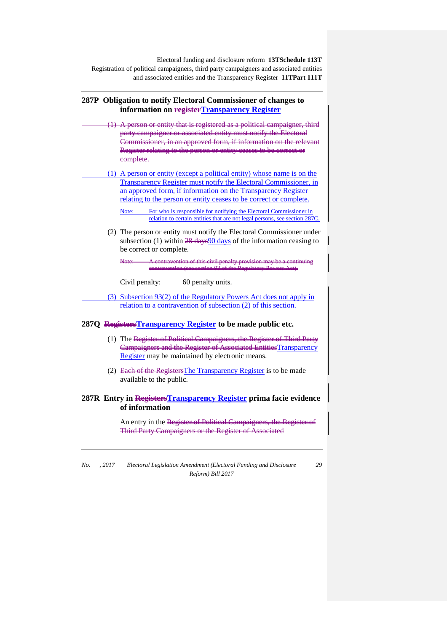## **287P Obligation to notify Electoral Commissioner of changes to information on registerTransparency Register** entity that is registered as a political party campaigner or associated entity must notify the I  $\frac{1}{\pi}$ ioner, in an approved form, if information on Register relating to the person or entity ceases to be correct or eomplete. (1) A person or entity (except a political entity) whose name is on the Transparency Register must notify the Electoral Commissioner, in an approved form, if information on the Transparency Register relating to the person or entity ceases to be correct or complete. Note: For who is responsible for notifying the Electoral Commissioner in relation to certain entities that are not legal persons, see section 287C. (2) The person or entity must notify the Electoral Commissioner under subsection (1) within  $\frac{28 \text{ days}}{90 \text{ days}}$  of the information ceasing to be correct or complete. Note: A contravention of this civil penalty provision may be a continuing contravention (see section and the regulatory Powers Act). Civil penalty: 60 penalty units. (3) Subsection 93(2) of the Regulatory Powers Act does not apply in relation to a contravention of subsection (2) of this section. **287Q RegistersTransparency Register to be made public etc.** (1) The Register of Political Campaigners, the Register of Third Party Campaigners and the Register of Associated EntitiesTransparency Register may be maintained by electronic means. (2) Each of the RegistersThe Transparency Register is to be made available to the public. **287R Entry in RegistersTransparency Register prima facie evidence of information** An entry in the Register of Political Campaigners, Third Party Campaigners or the Regi

*No. , 2017 Electoral Legislation Amendment (Electoral Funding and Disclosure Reform) Bill 2017*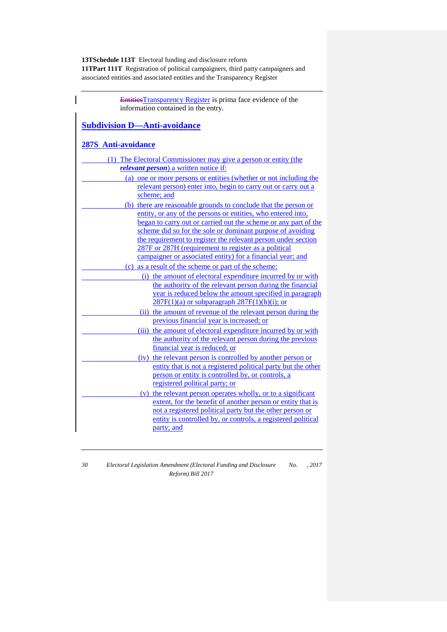| <b>EntitiesTransparency Register</b> is prima face evidence of the                                                          |
|-----------------------------------------------------------------------------------------------------------------------------|
| information contained in the entry.                                                                                         |
|                                                                                                                             |
| <b>Subdivision D-Anti-avoidance</b>                                                                                         |
|                                                                                                                             |
| <b>287S</b> Anti-avoidance                                                                                                  |
| (1) The Electoral Commissioner may give a person or entity (the                                                             |
| <i>relevant person</i> ) a written notice if:                                                                               |
| (a) one or more persons or entities (whether or not including the                                                           |
| relevant person) enter into, begin to carry out or carry out a                                                              |
| scheme; and                                                                                                                 |
| (b) there are reasonable grounds to conclude that the person or                                                             |
| entity, or any of the persons or entities, who entered into,                                                                |
| began to carry out or carried out the scheme or any part of the                                                             |
| scheme did so for the sole or dominant purpose of avoiding                                                                  |
| the requirement to register the relevant person under section                                                               |
| 287F or 287H (requirement to register as a political                                                                        |
| campaigner or associated entity) for a financial year; and                                                                  |
| (c) as a result of the scheme or part of the scheme:                                                                        |
| (i) the amount of electoral expenditure incurred by or with                                                                 |
| the authority of the relevant person during the financial                                                                   |
| year is reduced below the amount specified in paragraph                                                                     |
| $287F(1)(a)$ or subparagraph $287F(1)(b)(i)$ ; or                                                                           |
| (ii) the amount of revenue of the relevant person during the                                                                |
| previous financial year is increased; or                                                                                    |
| (iii) the amount of electoral expenditure incurred by or with                                                               |
| the authority of the relevant person during the previous<br>financial year is reduced; or                                   |
|                                                                                                                             |
| (iv) the relevant person is controlled by another person or                                                                 |
| entity that is not a registered political party but the other<br>person or entity is controlled by, or controls, a          |
| registered political party; or                                                                                              |
|                                                                                                                             |
| (v) the relevant person operates wholly, or to a significant<br>extent, for the benefit of another person or entity that is |
| not a registered political party but the other person or                                                                    |
| entity is controlled by, or controls, a registered political                                                                |
| party; and                                                                                                                  |
|                                                                                                                             |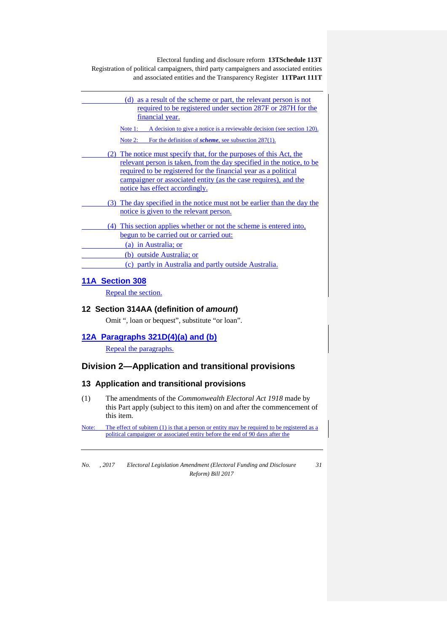| (d) as a result of the scheme or part, the relevant person is not<br><u>required to be registered under section 287F or 287H for the</u><br>financial year.                                                                                                                                                                 |
|-----------------------------------------------------------------------------------------------------------------------------------------------------------------------------------------------------------------------------------------------------------------------------------------------------------------------------|
| A decision to give a notice is a reviewable decision (see section 120).<br>Note $1$ :                                                                                                                                                                                                                                       |
| Note $2$ :<br>For the definition of <i>scheme</i> , see subsection $287(1)$ .                                                                                                                                                                                                                                               |
| (2) The notice must specify that, for the purposes of this Act, the<br>relevant person is taken, from the day specified in the notice, to be<br><u>required to be registered for the financial year as a political</u><br>campaigner or associated entity (as the case requires), and the<br>notice has effect accordingly. |
| (3) The day specified in the notice must not be earlier than the day the<br>notice is given to the relevant person.                                                                                                                                                                                                         |
| (4) This section applies whether or not the scheme is entered into,<br>begun to be carried out or carried out:                                                                                                                                                                                                              |
| (a) in Australia; or                                                                                                                                                                                                                                                                                                        |
| (b) outside Australia; or                                                                                                                                                                                                                                                                                                   |
| (c) partly in Australia and partly outside Australia.                                                                                                                                                                                                                                                                       |
|                                                                                                                                                                                                                                                                                                                             |

## **11A Section 308**

Repeal the section.

## **12 Section 314AA (definition of** *amount***)**

Omit ", loan or bequest", substitute "or loan".

## **12A Paragraphs 321D(4)(a) and (b)**

Repeal the paragraphs.

## **Division 2—Application and transitional provisions**

## **13 Application and transitional provisions**

(1) The amendments of the *Commonwealth Electoral Act 1918* made by this Part apply (subject to this item) on and after the commencement of this item.

Note: The effect of subitem (1) is that a person or entity may be required to be registered as a political campaigner or associated entity before the end of 90 days after the

*No. , 2017 Electoral Legislation Amendment (Electoral Funding and Disclosure Reform) Bill 2017*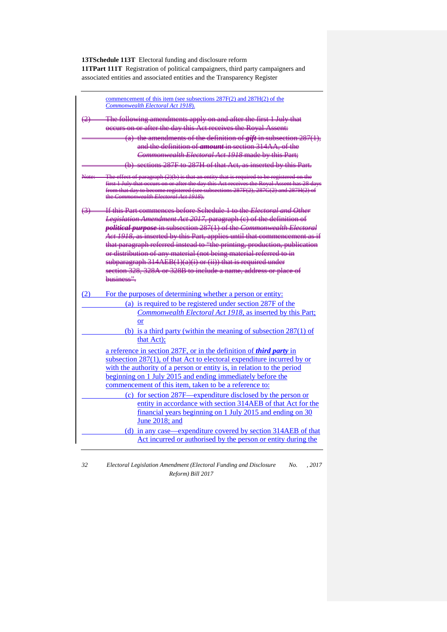|     | commencement of this item (see subsections 287F(2) and 287H(2) of the                                                                                                                 |
|-----|---------------------------------------------------------------------------------------------------------------------------------------------------------------------------------------|
|     | Commonwealth Electoral Act 1918).                                                                                                                                                     |
|     | The following amendments apply on and after the first 1 July that                                                                                                                     |
|     | occurs on or after the day this Act receives the Royal Assent:                                                                                                                        |
|     | (a) the amendments of the definition of $giff$ in subsection $287(1)$ ,                                                                                                               |
|     | and the definition of <i>amount</i> in section 314AA, of the                                                                                                                          |
|     | Commonwealth Electoral Act 1918 made by this Part;                                                                                                                                    |
|     | (b) sections 287F to 287H of that Act, as inserted by this Part.                                                                                                                      |
|     |                                                                                                                                                                                       |
|     | The effect of paragraph $(2)(b)$ is that an entity that is required to be registered on the<br>first 1 July that occurs on or after the day this Act receives the Royal Assent has 28 |
|     | from that day to become registered (see subsections 287F(2), 287G(2) and 287H(2)                                                                                                      |
|     | the Commonwealth Electoral Act 1918).                                                                                                                                                 |
| ⇔⊢  | <del>If this Part commences before Schedule 1 to the <i>Electoral and Other</i></del>                                                                                                 |
|     | Legislation Amendment Act 2017, paragraph (e) of the definition of                                                                                                                    |
|     | political purpose in subsection 287(1) of the Commonwealth Electoral                                                                                                                  |
|     | Act 1918, as inserted by this Part, applies until that commencement as if                                                                                                             |
|     | that paragraph referred instead to "the printing, production, publication                                                                                                             |
|     | or distribution of any material (not being material referred to in                                                                                                                    |
|     | subparagraph 314AEB(1)(a)(i) or (ii)) that is required under                                                                                                                          |
|     | section 328, 328A or 328B to include a name, address or place of                                                                                                                      |
|     | husiness"                                                                                                                                                                             |
| (2) | For the purposes of determining whether a person or entity:                                                                                                                           |
|     | (a) is required to be registered under section 287F of the                                                                                                                            |
|     | Commonwealth Electoral Act 1918, as inserted by this Part;                                                                                                                            |
|     | <b>or</b>                                                                                                                                                                             |
|     | (b) is a third party (within the meaning of subsection $287(1)$ of                                                                                                                    |
|     | that Act);                                                                                                                                                                            |
|     |                                                                                                                                                                                       |
|     | a reference in section 287F, or in the definition of <i>third party</i> in                                                                                                            |
|     | subsection 287(1), of that Act to electoral expenditure incurred by or                                                                                                                |
|     | with the authority of a person or entity is, in relation to the period                                                                                                                |
|     | beginning on 1 July 2015 and ending immediately before the                                                                                                                            |
|     | commencement of this item, taken to be a reference to:                                                                                                                                |
|     | (c) for section 287F—expenditure disclosed by the person or                                                                                                                           |
|     | entity in accordance with section 314AEB of that Act for the                                                                                                                          |
|     | financial years beginning on 1 July 2015 and ending on 30                                                                                                                             |
|     | June 2018; and                                                                                                                                                                        |
|     | (d) in any case—expenditure covered by section 314AEB of that                                                                                                                         |
|     | Act incurred or authorised by the person or entity during the                                                                                                                         |
|     |                                                                                                                                                                                       |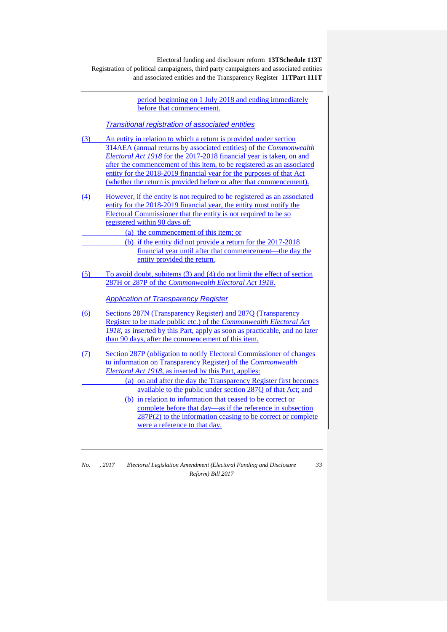Electoral funding and disclosure reform **13TSchedule 113T** Registration of political campaigners, third party campaigners and associated entities and associated entities and the Transparency Register **11TPart 111T**

|     | period beginning on 1 July 2018 and ending immediately                     |
|-----|----------------------------------------------------------------------------|
|     | before that commencement.                                                  |
|     |                                                                            |
|     | <b>Transitional registration of associated entities</b>                    |
| (3) | An entity in relation to which a return is provided under section          |
|     | 314AEA (annual returns by associated entities) of the <i>Commonwealth</i>  |
|     | Electoral Act 1918 for the 2017-2018 financial year is taken, on and       |
|     | after the commencement of this item, to be registered as an associated     |
|     | entity for the 2018-2019 financial year for the purposes of that Act       |
|     | (whether the return is provided before or after that commencement).        |
| (4) | However, if the entity is not required to be registered as an associated   |
|     | entity for the 2018-2019 financial year, the entity must notify the        |
|     | Electoral Commissioner that the entity is not required to be so            |
|     | registered within 90 days of:                                              |
|     | (a) the commencement of this item; or                                      |
|     | (b) if the entity did not provide a return for the 2017-2018               |
|     | financial year until after that commencement—the day the                   |
|     | entity provided the return.                                                |
|     |                                                                            |
| (5) | To avoid doubt, subitems (3) and (4) do not limit the effect of section    |
|     | 287H or 287P of the Commonwealth Electoral Act 1918.                       |
|     | <b>Application of Transparency Register</b>                                |
|     |                                                                            |
| (6) | Sections 287N (Transparency Register) and 287Q (Transparency               |
|     | Register to be made public etc.) of the <i>Commonwealth Electoral Act</i>  |
|     | 1918, as inserted by this Part, apply as soon as practicable, and no later |
|     | than 90 days, after the commencement of this item.                         |
| (7) | Section 287P (obligation to notify Electoral Commissioner of changes       |
|     | to information on Transparency Register) of the Commonwealth               |
|     | <i>Electoral Act 1918</i> , as inserted by this Part, applies:             |
|     | (a) on and after the day the Transparency Register first becomes           |
|     | available to the public under section 287Q of that Act; and                |
|     | (b) in relation to information that ceased to be correct or                |
|     | complete before that day—as if the reference in subsection                 |
|     | $287P(2)$ to the information ceasing to be correct or complete             |
|     | were a reference to that day.                                              |

*No. , 2017 Electoral Legislation Amendment (Electoral Funding and Disclosure Reform) Bill 2017*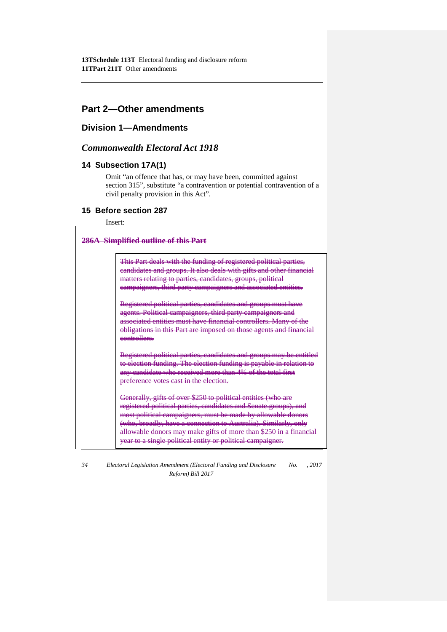# **Part 2—Other amendments**

# **Division 1—Amendments**

# *Commonwealth Electoral Act 1918*

# **14 Subsection 17A(1)**

Omit "an offence that has, or may have been, committed against section 315", substitute "a contravention or potential contravention of a civil penalty provision in this Act".

### **15 Before section 287**

Insert:

### **286A Simplified outline of this Part**

This Part deals with the funding of registered political pa candidates and groups. It also deals with gifts and other financial matters relating to parties, candidates, groups, political campaigners, third party campaigners and associated entit

Registered political parties, candidates and groups must have agents. Political campaigners, third party eiated entities must have finan obligations in this Part are imposed on those agents and financial controllers.

Registered political parties, candidates and groups may be entitled to election funding. The election funding is payable in relation to any candidate who received more than 4% of the total first preference votes cast in the election.

Generally, gifts of over \$250 to political entities (who are registered political parties, candidates and Senate groups) most political campaigners, must be made by allowable donors (who, broadly, have a connection to Australia). Similarly, only allowable donors may make gifts of more than \$250 in a fin year to a single political entity or political campaigner.

*34 Electoral Legislation Amendment (Electoral Funding and Disclosure No. , 2017 Reform) Bill 2017*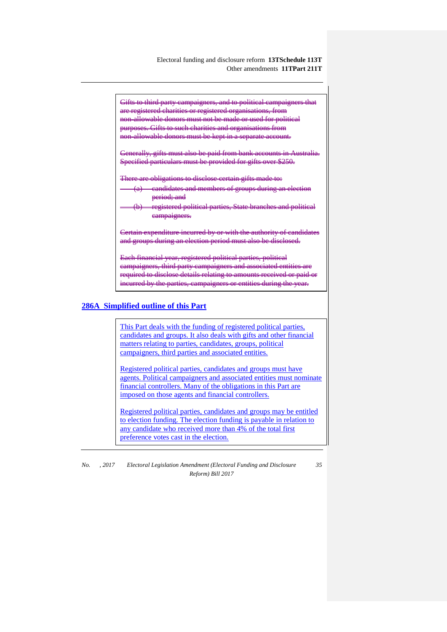Electoral funding and disclosure reform **13TSchedule 113T** Other amendments **11TPart 211T**

Gifts to third party campaigners, and to political campaigners that are registered charities or registered organisations, from<br>non-allowable donors must not be made or used for politi  $n_{\text{min}}$  allowable donors must not be m purposes. Gifts to such charities and organisations from non-allowable donors must be kept in a separate account. Generally, gifts must also be paid from bank accounts in Australia. Specified particulars must be provided for gifts over \$250. There are obligations to disclose certain gifts made to: eandidates and members of groups during period; and registered political parties, State eampaigners. Certain expenditure incurred by or with the authority of candidates.<br>and groups during an election period must also be disclosed. and groups during an election period must Each financial year, registered political parties campaigners, third party campaigners and a required to disclose details

### **286A Simplified outline of this Part**

This Part deals with the funding of registered political parties, candidates and groups. It also deals with gifts and other financial matters relating to parties, candidates, groups, political campaigners, third parties and associated entities.

incurred by the parties, campaigners or entiti

Registered political parties, candidates and groups must have agents. Political campaigners and associated entities must nominate financial controllers. Many of the obligations in this Part are imposed on those agents and financial controllers.

Registered political parties, candidates and groups may be entitled to election funding. The election funding is payable in relation to any candidate who received more than 4% of the total first preference votes cast in the election.

*No. , 2017 Electoral Legislation Amendment (Electoral Funding and Disclosure Reform) Bill 2017*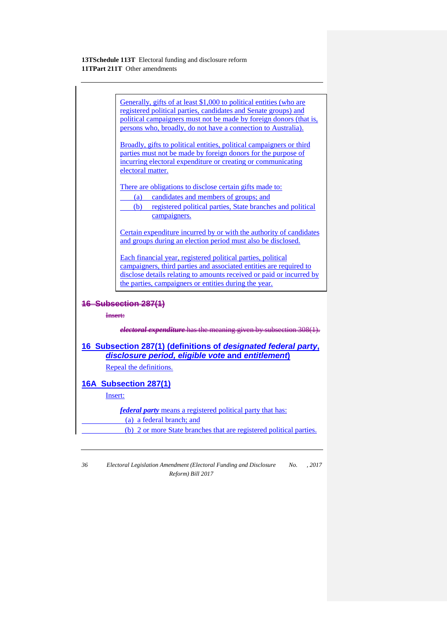Generally, gifts of at least \$1,000 to political entities (who are registered political parties, candidates and Senate groups) and political campaigners must not be made by foreign donors (that is, persons who, broadly, do not have a connection to Australia).

Broadly, gifts to political entities, political campaigners or third parties must not be made by foreign donors for the purpose of incurring electoral expenditure or creating or communicating electoral matter.

There are obligations to disclose certain gifts made to:

- (a) candidates and members of groups; and
- (b) registered political parties, State branches and political campaigners.

Certain expenditure incurred by or with the authority of candidates and groups during an election period must also be disclosed.

Each financial year, registered political parties, political campaigners, third parties and associated entities are required to disclose details relating to amounts received or paid or incurred by the parties, campaigners or entities during the year.

# **16 Subsection 287(1)**

### Insert:

*electoral expenditure* has the meaning given by subsection 308(1).

# **16 Subsection 287(1) (definitions of** *designated federal party***,**  *disclosure period, eligible vote* **and** *entitlement***)**

Repeal the definitions.

# **16A Subsection 287(1)**

Insert:

*federal party* means a registered political party that has:

(a) a federal branch; and

(b) 2 or more State branches that are registered political parties.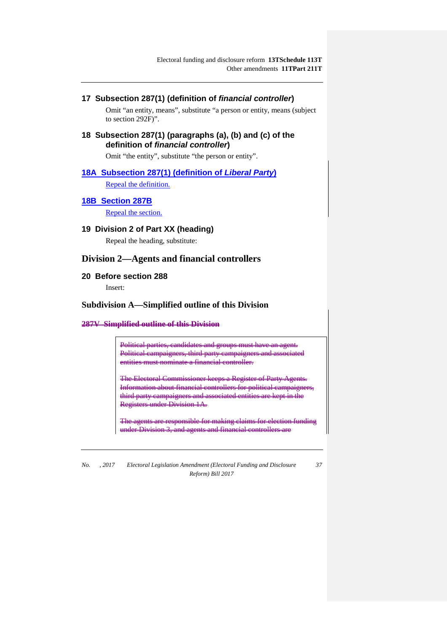# **17 Subsection 287(1) (definition of** *financial controller***)**

Omit "an entity, means", substitute "a person or entity, means (subject to section 292F)".

**18 Subsection 287(1) (paragraphs (a), (b) and (c) of the definition of** *financial controller***)**

Omit "the entity", substitute "the person or entity".

# **18A Subsection 287(1) (definition of** *Liberal Party***)**

Repeal the definition.

# **18B Section 287B**

Repeal the section.

**19 Division 2 of Part XX (heading)**

Repeal the heading, substitute:

# **Division 2—Agents and financial controllers**

### **20 Before section 288**

Insert:

# **Subdivision A—Simplified outline of this Division**

#### **287V Simplified outline of this Division**

Political parties, candidates and groups must have an agent. Political campaigners, third party campaigners and associated entities must nominate a financial controller.

The Electoral Commissioner keeps a Register of Party Agents. Information about financial controllers for political campaigners, third party campaigners and associated entities are kept in the **Registers under Division 1A.** 

The agents are responsible for m under Division 3, and agents and finan

*No. , 2017 Electoral Legislation Amendment (Electoral Funding and Disclosure Reform) Bill 2017*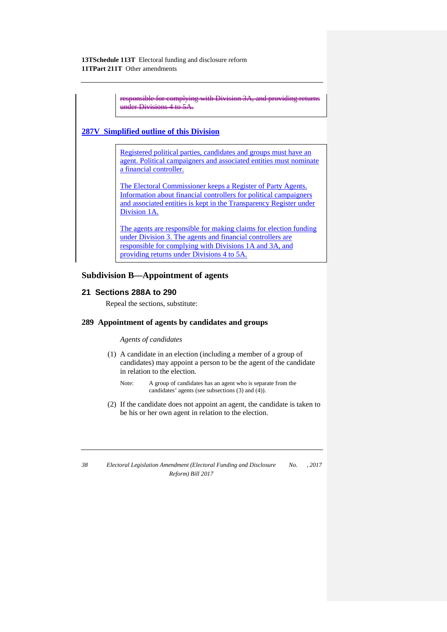| onsible for complying with Division 3A, and providing re<br>der Divisions 4 to 5A                                                                                                                                       |
|-------------------------------------------------------------------------------------------------------------------------------------------------------------------------------------------------------------------------|
| 287V Simplified outline of this Division                                                                                                                                                                                |
| Registered political parties, candidates and groups must have an<br>agent. Political campaigners and associated entities must nominate<br>a financial controller.                                                       |
| The Electoral Commissioner keeps a Register of Party Agents.<br>Information about financial controllers for political campaigners<br>and associated entities is kept in the Transparency Register under<br>Division 1A. |
| The agents are responsible for making claims for election funding<br>under Division 3. The agents and financial controllers are                                                                                         |

responsible for complying with Divisions 1A and 3A, and

**Subdivision B—Appointment of agents**

# **21 Sections 288A to 290**

Repeal the sections, substitute:

### **289 Appointment of agents by candidates and groups**

providing returns under Divisions 4 to 5A.

### *Agents of candidates*

- (1) A candidate in an election (including a member of a group of candidates) may appoint a person to be the agent of the candidate in relation to the election.
	- Note: A group of candidates has an agent who is separate from the candidates' agents (see subsections (3) and (4)).
- (2) If the candidate does not appoint an agent, the candidate is taken to be his or her own agent in relation to the election.
-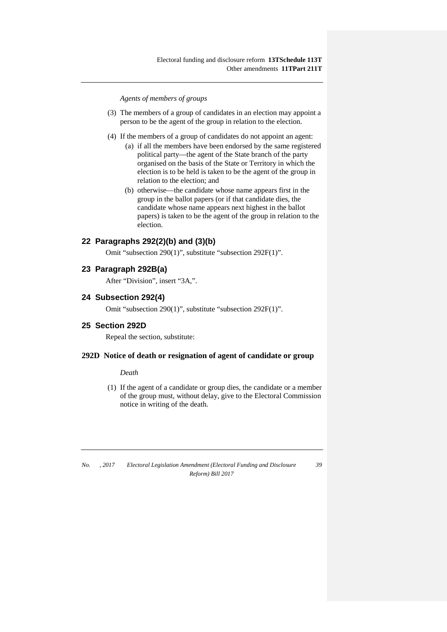*Agents of members of groups*

- (3) The members of a group of candidates in an election may appoint a person to be the agent of the group in relation to the election.
- (4) If the members of a group of candidates do not appoint an agent:
	- (a) if all the members have been endorsed by the same registered political party—the agent of the State branch of the party organised on the basis of the State or Territory in which the election is to be held is taken to be the agent of the group in relation to the election; and
	- (b) otherwise—the candidate whose name appears first in the group in the ballot papers (or if that candidate dies, the candidate whose name appears next highest in the ballot papers) is taken to be the agent of the group in relation to the election.

# **22 Paragraphs 292(2)(b) and (3)(b)**

Omit "subsection 290(1)", substitute "subsection 292F(1)".

### **23 Paragraph 292B(a)**

After "Division", insert "3A,".

### **24 Subsection 292(4)**

Omit "subsection 290(1)", substitute "subsection 292F(1)".

### **25 Section 292D**

Repeal the section, substitute:

#### **292D Notice of death or resignation of agent of candidate or group**

### *Death*

(1) If the agent of a candidate or group dies, the candidate or a member of the group must, without delay, give to the Electoral Commission notice in writing of the death.

*No. , 2017 Electoral Legislation Amendment (Electoral Funding and Disclosure Reform) Bill 2017 39*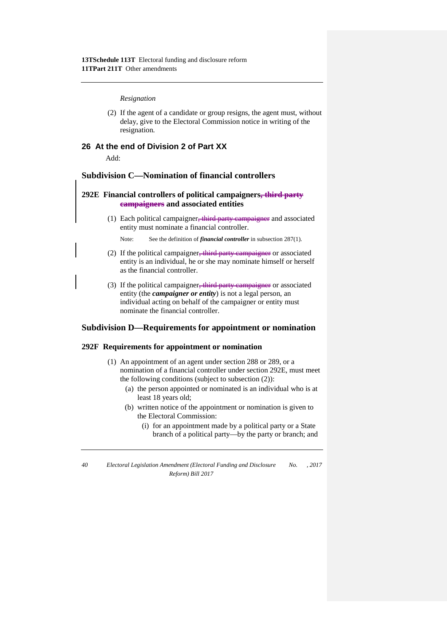#### *Resignation*

(2) If the agent of a candidate or group resigns, the agent must, without delay, give to the Electoral Commission notice in writing of the resignation.

# **26 At the end of Division 2 of Part XX**

Add:

# **Subdivision C—Nomination of financial controllers**

# **292E Financial controllers of political campaigners, third party campaigners and associated entities**

(1) Each political campaigner<del>, third party campaigner</del> and associated entity must nominate a financial controller.

Note: See the definition of *financial controller* in subsection 287(1).

- (2) If the political campaigner<del>, third party campaigner</del> or associated entity is an individual, he or she may nominate himself or herself as the financial controller.
- (3) If the political campaigner<del>, third party campaigner</del> or associated entity (the *campaigner or entity*) is not a legal person, an individual acting on behalf of the campaigner or entity must nominate the financial controller.

### **Subdivision D—Requirements for appointment or nomination**

### **292F Requirements for appointment or nomination**

- (1) An appointment of an agent under section 288 or 289, or a nomination of a financial controller under section 292E, must meet the following conditions (subject to subsection (2)):
	- (a) the person appointed or nominated is an individual who is at least 18 years old;
	- (b) written notice of the appointment or nomination is given to the Electoral Commission:
		- (i) for an appointment made by a political party or a State branch of a political party—by the party or branch; and

*<sup>40</sup> Electoral Legislation Amendment (Electoral Funding and Disclosure Reform) Bill 2017 No. , 2017*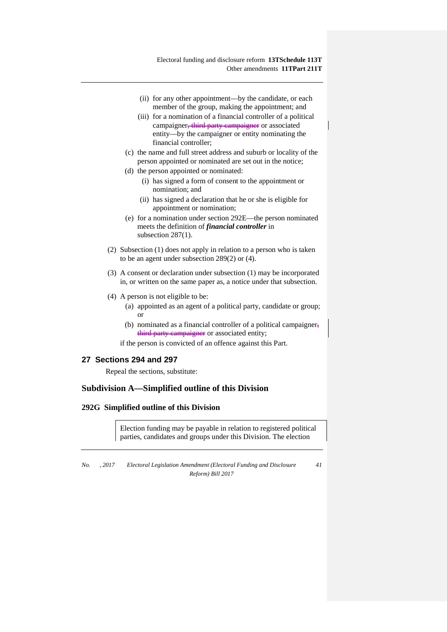- (ii) for any other appointment—by the candidate, or each member of the group, making the appointment; and
- (iii) for a nomination of a financial controller of a political campaigner<del>, third party campaigner</del> or associated entity—by the campaigner or entity nominating the financial controller;
- (c) the name and full street address and suburb or locality of the person appointed or nominated are set out in the notice;
- (d) the person appointed or nominated:
	- (i) has signed a form of consent to the appointment or nomination; and
	- (ii) has signed a declaration that he or she is eligible for appointment or nomination;
- (e) for a nomination under section 292E—the person nominated meets the definition of *financial controller* in subsection 287(1).
- (2) Subsection (1) does not apply in relation to a person who is taken to be an agent under subsection 289(2) or (4).
- (3) A consent or declaration under subsection (1) may be incorporated in, or written on the same paper as, a notice under that subsection.
- (4) A person is not eligible to be:
	- (a) appointed as an agent of a political party, candidate or group; or
	- (b) nominated as a financial controller of a political campaigner. third party campaigner or associated entity;

if the person is convicted of an offence against this Part.

# **27 Sections 294 and 297**

Repeal the sections, substitute:

### **Subdivision A—Simplified outline of this Division**

# **292G Simplified outline of this Division**

Election funding may be payable in relation to registered political parties, candidates and groups under this Division. The election

*No. , 2017 Electoral Legislation Amendment (Electoral Funding and Disclosure Reform) Bill 2017*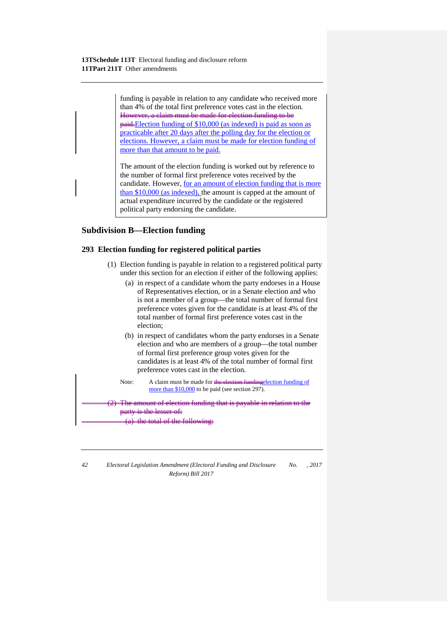funding is payable in relation to any candidate who received more than 4% of the total first preference votes cast in the election. However, a claim must be made for election funding to be paid.Election funding of \$10,000 (as indexed) is paid as soon as practicable after 20 days after the polling day for the election or elections. However, a claim must be made for election funding of more than that amount to be paid.

The amount of the election funding is worked out by reference to the number of formal first preference votes received by the candidate. However, for an amount of election funding that is more than \$10,000 (as indexed), the amount is capped at the amount of actual expenditure incurred by the candidate or the registered political party endorsing the candidate.

# **Subdivision B—Election funding**

### **293 Election funding for registered political parties**

- (1) Election funding is payable in relation to a registered political party under this section for an election if either of the following applies:
	- (a) in respect of a candidate whom the party endorses in a House of Representatives election, or in a Senate election and who is not a member of a group—the total number of formal first preference votes given for the candidate is at least 4% of the total number of formal first preference votes cast in the election;
	- (b) in respect of candidates whom the party endorses in a Senate election and who are members of a group—the total number of formal first preference group votes given for the candidates is at least 4% of the total number of formal first preference votes cast in the election.

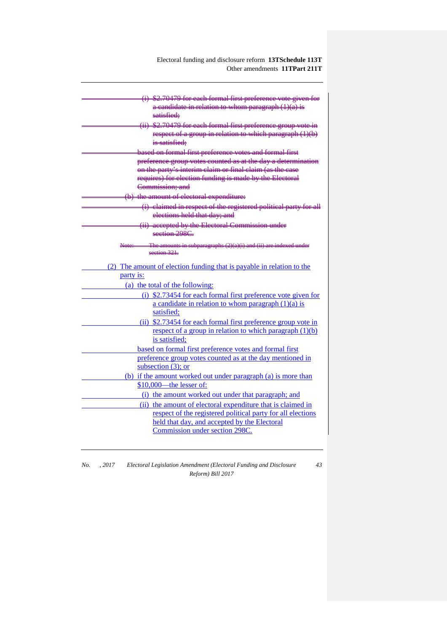Electoral funding and disclosure reform **13TSchedule 113T** Other amendments **11TPart 211T**

| (i) \$2.70479 for each formal first preference vote given for         |
|-----------------------------------------------------------------------|
| $a$ candidate in relation to whom paragraph $(1)(a)$ is               |
| satisfied:                                                            |
| (ii) \$2.70479 for each formal first preference group vote in         |
| respect of a group in relation to which paragraph (1)(b)              |
| is satisfied:                                                         |
| based on formal first preference votes and formal first               |
| preference group votes counted as at the day a determination          |
| on the party's interim claim or final claim (as the case              |
| requires) for election funding is made by the Electoral               |
| Commission: and                                                       |
| (b) the amount of electoral expenditure:                              |
| (i) claimed in respect of the registered political party for all      |
| elections held that day; and                                          |
| (ii) accepted by the Electoral Commission under                       |
| section 298C.                                                         |
| The amounts in subparagraphs $(2)(a)(i)$ and $(ii)$ are indexed under |
| section 321                                                           |
| (2) The amount of election funding that is payable in relation to the |
| party is:                                                             |
| (a) the total of the following:                                       |
| (i) \$2.73454 for each formal first preference vote given for         |
| a candidate in relation to whom paragraph $(1)(a)$ is                 |
| satisfied:                                                            |
| (ii) \$2.73454 for each formal first preference group vote in         |
| respect of a group in relation to which paragraph (1)(b)              |
| is satisfied:                                                         |
| based on formal first preference votes and formal first               |
| preference group votes counted as at the day mentioned in             |
| subsection $(3)$ ; or                                                 |
| (b) if the amount worked out under paragraph (a) is more than         |
| \$10,000-the lesser of:                                               |
| (i) the amount worked out under that paragraph; and                   |
| (ii) the amount of electoral expenditure that is claimed in           |
| respect of the registered political party for all elections           |
| held that day, and accepted by the Electoral                          |
| Commission under section 298C.                                        |
|                                                                       |

| No. | . 2017 | Electoral Legislation Amendment (Electoral Funding and Disclosure |  |
|-----|--------|-------------------------------------------------------------------|--|
|     |        | Reform) Bill 2017                                                 |  |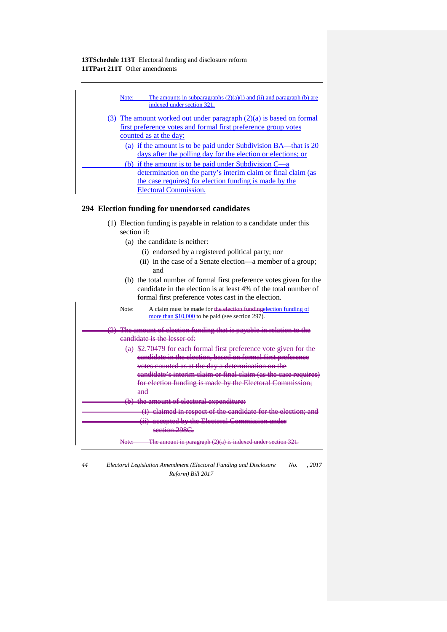| The amounts in subparagraphs $(2)(a)(i)$ and $(ii)$ and paragraph $(b)$ are<br>Note:<br>indexed under section 321.                                                                            |
|-----------------------------------------------------------------------------------------------------------------------------------------------------------------------------------------------|
| The amount worked out under paragraph $(2)(a)$ is based on formal<br><u>first preference votes and formal first preference group votes</u><br>counted as at the day:                          |
| (a) if the amount is to be paid under Subdivision BA—that is 20<br>days after the polling day for the election or elections; or                                                               |
| (b) if the amount is to be paid under Subdivision $C_{\text{--}a}$<br>determination on the party's interim claim or final claim (as<br>the case requires) for election funding is made by the |
| <b>Electoral Commission.</b>                                                                                                                                                                  |

# **294 Election funding for unendorsed candidates**

- (1) Election funding is payable in relation to a candidate under this section if:
	- (a) the candidate is neither:
		- (i) endorsed by a registered political party; nor
		- (ii) in the case of a Senate election—a member of a group; and
	- (b) the total number of formal first preference votes given for the candidate in the election is at least 4% of the total number of formal first preference votes cast in the election.

| Note: | A claim must be made for the election funding election funding of<br>more than \$10,000 to be paid (see section 297).        |
|-------|------------------------------------------------------------------------------------------------------------------------------|
|       | The amount of election funding that is payable in relation to the<br>eandidate is the lesser of:                             |
|       | (a) \$2.70479 for each formal first preference vote given for the                                                            |
|       | eandidate in the election, based on formal first preference<br>votes counted as at the day a determination on the            |
|       | eandidate's interim claim or final claim (as the case requires)<br>for election funding is made by the Electoral Commission; |
| $and$ | (b) the amount of electoral expenditure:                                                                                     |
|       | (i) claimed in respect of the candidate for the election; and                                                                |
|       | (ii) accepted by the Electoral Commission under<br>section 298C                                                              |
|       | <del>The amount in paragraph (2)(a) is</del>                                                                                 |

- *44 Electoral Legislation Amendment (Electoral Funding and Disclosure Reform) Bill 2017 No. , 2017*
-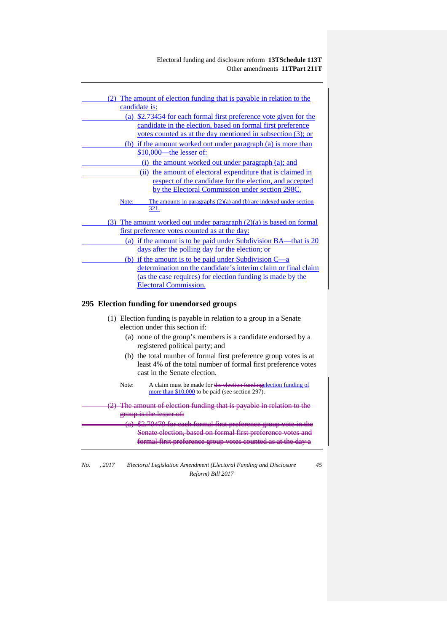Electoral funding and disclosure reform **13TSchedule 113T** Other amendments **11TPart 211T**

| (2) The amount of election funding that is payable in relation to the           |
|---------------------------------------------------------------------------------|
| candidate is:                                                                   |
| (a) \$2.73454 for each formal first preference vote given for the               |
| candidate in the election, based on formal first preference                     |
| votes counted as at the day mentioned in subsection (3); or                     |
| (b) if the amount worked out under paragraph (a) is more than                   |
| \$10,000 - the lesser of:                                                       |
| (i) the amount worked out under paragraph (a); and                              |
| (ii) the amount of electoral expenditure that is claimed in                     |
| respect of the candidate for the election, and accepted                         |
| by the Electoral Commission under section 298C.                                 |
| The amounts in paragraphs $(2)(a)$ and $(b)$ are indexed under section<br>Note: |
| 321.                                                                            |
| (3) The amount worked out under paragraph $(2)(a)$ is based on formal           |
| first preference votes counted as at the day:                                   |
| (a) if the amount is to be paid under Subdivision BA—that is 20                 |
| days after the polling day for the election; or                                 |
| (b) if the amount is to be paid under Subdivision $C_{-a}$                      |
| determination on the candidate's interim claim or final claim                   |
| (as the case requires) for election funding is made by the                      |
| <b>Electoral Commission.</b>                                                    |
|                                                                                 |
| 295 Election funding for unendorsed groups                                      |
| (1) Election funding is payable in relation to a group in a Senate              |
| election under this section if:                                                 |
| (a) none of the group's momborois a sendidate and excel by a                    |

- (a) none of the group's members is a candidate endorsed by a registered political party; and
- (b) the total number of formal first preference group votes is at least 4% of the total number of formal first preference votes cast in the Senate election.
- Note: A claim must be made for the election fundingelection funding of more than \$10,000 to be paid (see section 297).

The amount of election funding that is payable in relation to the group is the lesser of (a)  $\stackrel{\frown}{\text{82.70479}}$  for each formal first preference group vote Senate election, based on formal first preference votes and formal first preference group votes counted as at the day a

*No. , 2017 Electoral Legislation Amendment (Electoral Funding and Disclosure Reform) Bill 2017*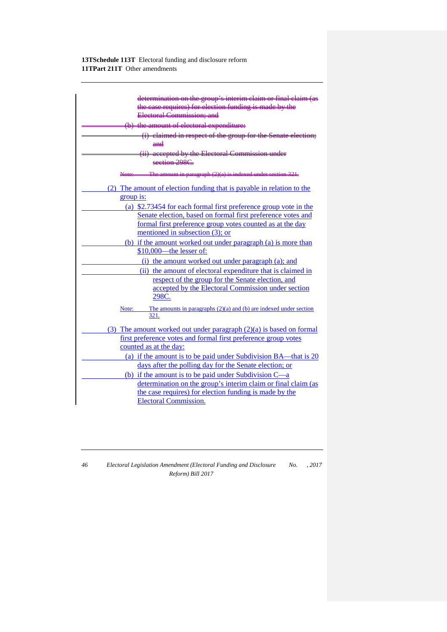| determination on the group's interim claim or final claim (as<br>the case requires) for election funding is made by the                                                                                                                                                                                                       |
|-------------------------------------------------------------------------------------------------------------------------------------------------------------------------------------------------------------------------------------------------------------------------------------------------------------------------------|
| Electoral Commission; and                                                                                                                                                                                                                                                                                                     |
| (b) the amount of electoral expenditure:                                                                                                                                                                                                                                                                                      |
| (i) claimed in respect of the group for the Senate election;                                                                                                                                                                                                                                                                  |
| ₩₩                                                                                                                                                                                                                                                                                                                            |
| (ii) accepted by the Electoral Commission under                                                                                                                                                                                                                                                                               |
| section 298C.                                                                                                                                                                                                                                                                                                                 |
| The amount in paragraph $(2)(a)$ is indexed under                                                                                                                                                                                                                                                                             |
| (2) The amount of election funding that is payable in relation to the<br>group is:                                                                                                                                                                                                                                            |
| (a) \$2.73454 for each formal first preference group vote in the<br>Senate election, based on formal first preference votes and<br>formal first preference group votes counted as at the day<br>mentioned in subsection (3); or<br>(b) if the amount worked out under paragraph (a) is more than<br>\$10,000 - the lesser of: |
| (i) the amount worked out under paragraph (a); and                                                                                                                                                                                                                                                                            |
| (ii) the amount of electoral expenditure that is claimed in                                                                                                                                                                                                                                                                   |
| respect of the group for the Senate election, and<br>accepted by the Electoral Commission under section<br>298C.                                                                                                                                                                                                              |
| The amounts in paragraphs $(2)(a)$ and $(b)$ are indexed under section<br>Note:<br>321.                                                                                                                                                                                                                                       |
| (3) The amount worked out under paragraph $(2)(a)$ is based on formal<br>first preference votes and formal first preference group votes<br>counted as at the day:                                                                                                                                                             |
| (a) if the amount is to be paid under Subdivision BA—that is 20<br>days after the polling day for the Senate election; or                                                                                                                                                                                                     |
| (b) if the amount is to be paid under Subdivision C—a<br>determination on the group's interim claim or final claim (as<br>the case requires) for election funding is made by the<br><b>Electoral Commission.</b>                                                                                                              |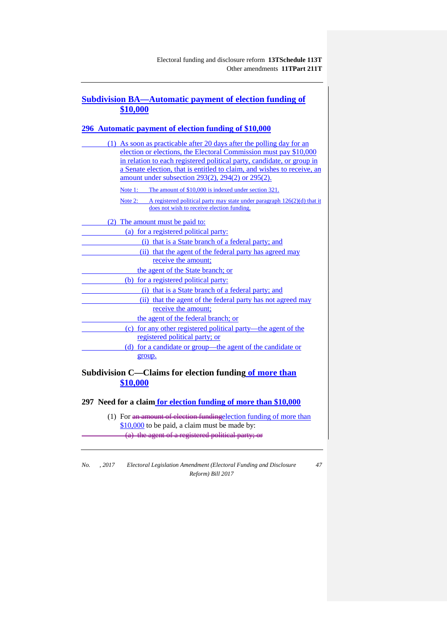# **Subdivision BA—Automatic payment of election funding of \$10,000**

# **296 Automatic payment of election funding of \$10,000**

| (1) As soon as practicable after 20 days after the polling day for an              |
|------------------------------------------------------------------------------------|
| election or elections, the Electoral Commission must pay \$10,000                  |
| in relation to each registered political party, candidate, or group in             |
| a Senate election, that is entitled to claim, and wishes to receive, an            |
| amount under subsection 293(2), 294(2) or 295(2).                                  |
| The amount of \$10,000 is indexed under section 321.<br>Note 1:                    |
| Note 2: A registered political party may state under paragraph $126(2)(d)$ that it |
| does not wish to receive election funding.                                         |
| (2) The amount must be paid to:                                                    |
| (a) for a registered political party:                                              |
| (i) that is a State branch of a federal party; and                                 |
| (ii) that the agent of the federal party has agreed may                            |
| receive the amount:                                                                |
| the agent of the State branch; or                                                  |
| (b) for a registered political party:                                              |
| (i) that is a State branch of a federal party; and                                 |
| (ii) that the agent of the federal party has not agreed may                        |
| receive the amount;                                                                |
| the agent of the federal branch; or                                                |
| (c) for any other registered political party—the agent of the                      |
| registered political party; or                                                     |
| (d) for a candidate or group—the agent of the candidate or                         |
| group.                                                                             |
| Subdivision C. Claims for election funding of more than                            |

**Subdivision C—Claims for election funding of more than \$10,000**

**297 Need for a claim for election funding of more than \$10,000**

(1) For <del>an amount of election funding</del>election funding of more than \$10,000 to be paid, a claim must be made by: (a) the agent of a registered political party; or

*No. , 2017 Electoral Legislation Amendment (Electoral Funding and Disclosure Reform) Bill 2017 47*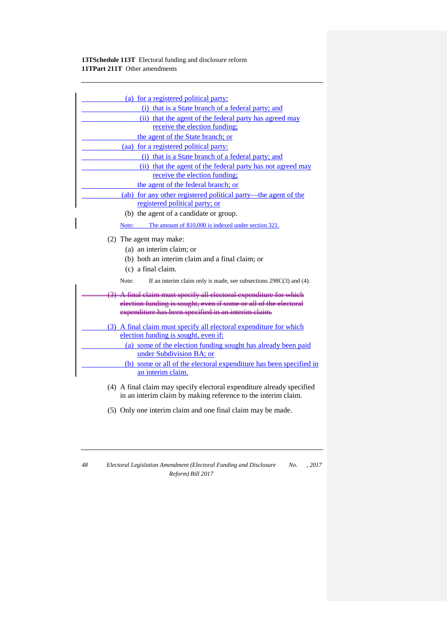| (a) for a registered political party:                                         |
|-------------------------------------------------------------------------------|
| (i) that is a State branch of a federal party; and                            |
| (ii) that the agent of the federal party has agreed may                       |
| receive the election funding;                                                 |
| the agent of the State branch; or                                             |
| (aa) for a registered political party:                                        |
| (i) that is a State branch of a federal party; and                            |
| (ii) that the agent of the federal party has not agreed may                   |
| receive the election funding;                                                 |
| the agent of the federal branch; or                                           |
| (ab) for any other registered political party—the agent of the                |
| registered political party; or                                                |
| (b) the agent of a candidate or group.                                        |
| The amount of \$10,000 is indexed under section 321.<br>Note:                 |
| (2) The agent may make:                                                       |
| (a) an interim claim; or                                                      |
| (b) both an interim claim and a final claim; or                               |
| (c) a final claim.                                                            |
|                                                                               |
| Note:<br>If an interim claim only is made, see subsections $298C(3)$ and (4). |
| A final claim must specify all electoral expenditure for which                |
| election funding is sought, even if some or all of the electoral              |
| expenditure has been specified in an interim claim.                           |
| (3) A final claim must specify all electoral expenditure for which            |
| election funding is sought, even if:                                          |
| (a) some of the election funding sought has already been paid                 |
| under Subdivision BA; or                                                      |
| (b) some or all of the electoral expenditure has been specified in            |
| an interim claim.                                                             |
| (4) A final claim may specify electoral expenditure already specified         |
| in an interim claim by making reference to the interim claim.                 |

(5) Only one interim claim and one final claim may be made.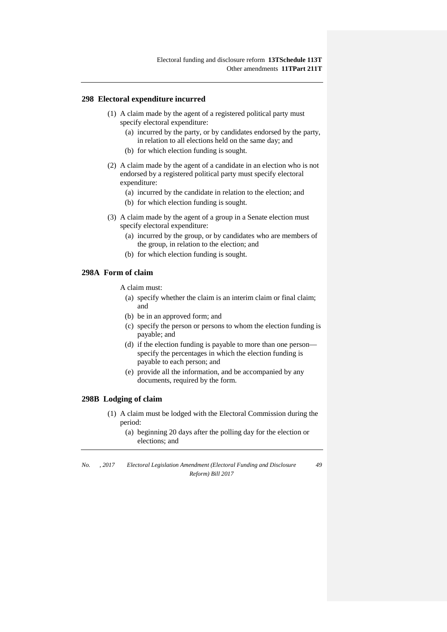### **298 Electoral expenditure incurred**

- (1) A claim made by the agent of a registered political party must specify electoral expenditure:
	- (a) incurred by the party, or by candidates endorsed by the party, in relation to all elections held on the same day; and
	- (b) for which election funding is sought.
- (2) A claim made by the agent of a candidate in an election who is not endorsed by a registered political party must specify electoral expenditure:
	- (a) incurred by the candidate in relation to the election; and
	- (b) for which election funding is sought.
- (3) A claim made by the agent of a group in a Senate election must specify electoral expenditure:
	- (a) incurred by the group, or by candidates who are members of the group, in relation to the election; and
	- (b) for which election funding is sought.

### **298A Form of claim**

A claim must:

- (a) specify whether the claim is an interim claim or final claim; and
- (b) be in an approved form; and
- (c) specify the person or persons to whom the election funding is payable; and
- (d) if the election funding is payable to more than one person specify the percentages in which the election funding is payable to each person; and
- (e) provide all the information, and be accompanied by any documents, required by the form.

### **298B Lodging of claim**

- (1) A claim must be lodged with the Electoral Commission during the period:
	- (a) beginning 20 days after the polling day for the election or elections; and

*No. , 2017 Electoral Legislation Amendment (Electoral Funding and Disclosure Reform) Bill 2017 49*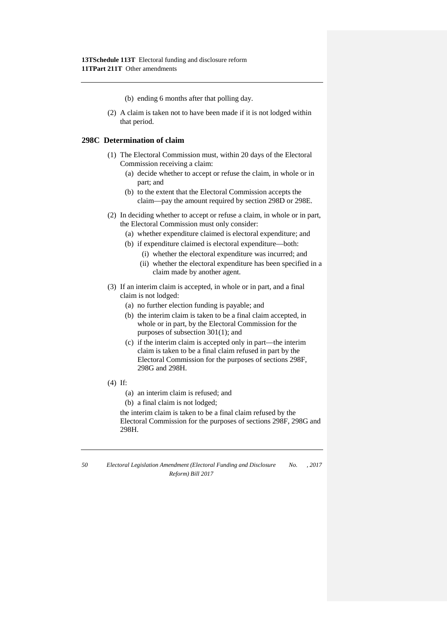- (b) ending 6 months after that polling day.
- (2) A claim is taken not to have been made if it is not lodged within that period.

# **298C Determination of claim**

- (1) The Electoral Commission must, within 20 days of the Electoral Commission receiving a claim:
	- (a) decide whether to accept or refuse the claim, in whole or in part; and
	- (b) to the extent that the Electoral Commission accepts the claim—pay the amount required by section 298D or 298E.
- (2) In deciding whether to accept or refuse a claim, in whole or in part, the Electoral Commission must only consider:
	- (a) whether expenditure claimed is electoral expenditure; and
	- (b) if expenditure claimed is electoral expenditure—both:
		- (i) whether the electoral expenditure was incurred; and
		- (ii) whether the electoral expenditure has been specified in a claim made by another agent.
- (3) If an interim claim is accepted, in whole or in part, and a final claim is not lodged:
	- (a) no further election funding is payable; and
	- (b) the interim claim is taken to be a final claim accepted, in whole or in part, by the Electoral Commission for the purposes of subsection 301(1); and
	- (c) if the interim claim is accepted only in part—the interim claim is taken to be a final claim refused in part by the Electoral Commission for the purposes of sections 298F, 298G and 298H.
- (4) If:
	- (a) an interim claim is refused; and
	- (b) a final claim is not lodged;

the interim claim is taken to be a final claim refused by the Electoral Commission for the purposes of sections 298F, 298G and 298H.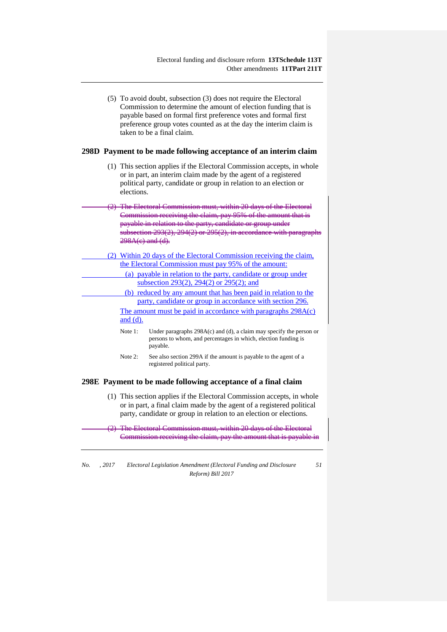(5) To avoid doubt, subsection (3) does not require the Electoral Commission to determine the amount of election funding that is payable based on formal first preference votes and formal first preference group votes counted as at the day the interim claim is taken to be a final claim.

#### **298D Payment to be made following acceptance of an interim claim**

(1) This section applies if the Electoral Commission accepts, in whole or in part, an interim claim made by the agent of a registered political party, candidate or group in relation to an election or elections.

(2) The Electoral Commission must, within 20 days of the Commission receiving the claim, pay 95% of the amount the payable in relation to the party, candidate or group under subsection  $293(2)$ ,  $294(2)$  or  $295(2)$ , in accordance 298A(c) and (d).

- (2) Within 20 days of the Electoral Commission receiving the claim, the Electoral Commission must pay 95% of the amount: (a) payable in relation to the party, candidate or group under subsection 293(2), 294(2) or 295(2); and
	- (b) reduced by any amount that has been paid in relation to the party, candidate or group in accordance with section 296. The amount must be paid in accordance with paragraphs 298A(c)

and (d).

- Note 1: Under paragraphs 298A(c) and (d), a claim may specify the person or persons to whom, and percentages in which, election funding is payable.
- Note 2: See also section 299A if the amount is payable to the agent of a registered political party.

### **298E Payment to be made following acceptance of a final claim**

(1) This section applies if the Electoral Commission accepts, in whole or in part, a final claim made by the agent of a registered political party, candidate or group in relation to an election or elections.

(2) The Electoral Commission must, within 20 days of the Electoral Commission receiving the claim, pay the amount that is payable in

*No. , 2017 Electoral Legislation Amendment (Electoral Funding and Disclosure Reform) Bill 2017*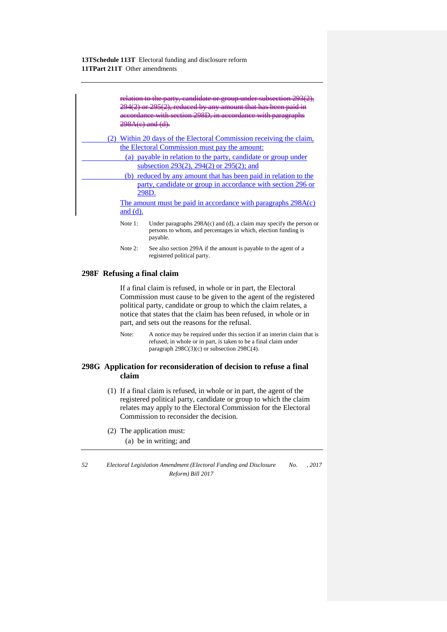| relation to the party, candidate or group under subsection 29<br>$294(2)$ or $295(2)$ , reduced by any amount that has been paid<br>cordance with section 298D, in accordance with paragraphs<br><del>298A(e) and (d).</del>   |
|--------------------------------------------------------------------------------------------------------------------------------------------------------------------------------------------------------------------------------|
| Within 20 days of the Electoral Commission receiving the claim,<br>the Electoral Commission must pay the amount:<br>(a) payable in relation to the party, candidate or group under<br>subsection 293(2), 294(2) or 295(2); and |
| (b) reduced by any amount that has been paid in relation to the<br>party, candidate or group in accordance with section 296 or<br>298D.<br>The amount must be paid in accordance with paragraphs $298A(c)$<br>and $(d)$ .      |
| Under paragraphs $298A(c)$ and (d), a claim may specify the person or<br>Note 1:<br>persons to whom, and percentages in which, election funding is<br>payable.                                                                 |

Note 2: See also section 299A if the amount is payable to the agent of a registered political party.

### **298F Refusing a final claim**

If a final claim is refused, in whole or in part, the Electoral Commission must cause to be given to the agent of the registered political party, candidate or group to which the claim relates, a notice that states that the claim has been refused, in whole or in part, and sets out the reasons for the refusal.

Note: A notice may be required under this section if an interim claim that is refused, in whole or in part, is taken to be a final claim under paragraph 298C(3)(c) or subsection 298C(4).

# **298G Application for reconsideration of decision to refuse a final claim**

- (1) If a final claim is refused, in whole or in part, the agent of the registered political party, candidate or group to which the claim relates may apply to the Electoral Commission for the Electoral Commission to reconsider the decision.
- (2) The application must:

(a) be in writing; and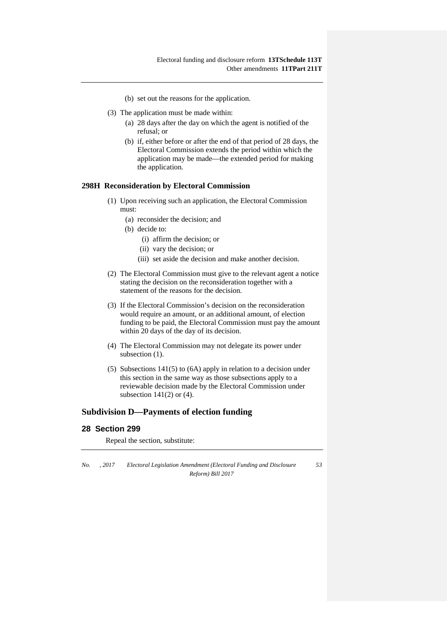- (b) set out the reasons for the application.
- (3) The application must be made within:
	- (a) 28 days after the day on which the agent is notified of the refusal; or
	- (b) if, either before or after the end of that period of 28 days, the Electoral Commission extends the period within which the application may be made—the extended period for making the application.

# **298H Reconsideration by Electoral Commission**

- (1) Upon receiving such an application, the Electoral Commission must:
	- (a) reconsider the decision; and
	- (b) decide to:
		- (i) affirm the decision; or
		- (ii) vary the decision; or
		- (iii) set aside the decision and make another decision.
- (2) The Electoral Commission must give to the relevant agent a notice stating the decision on the reconsideration together with a statement of the reasons for the decision.
- (3) If the Electoral Commission's decision on the reconsideration would require an amount, or an additional amount, of election funding to be paid, the Electoral Commission must pay the amount within 20 days of the day of its decision.
- (4) The Electoral Commission may not delegate its power under subsection  $(1)$ .
- (5) Subsections 141(5) to (6A) apply in relation to a decision under this section in the same way as those subsections apply to a reviewable decision made by the Electoral Commission under subsection  $141(2)$  or  $(4)$ .

# **Subdivision D—Payments of election funding**

# **28 Section 299**

Repeal the section, substitute:

*No. , 2017 Electoral Legislation Amendment (Electoral Funding and Disclosure Reform) Bill 2017*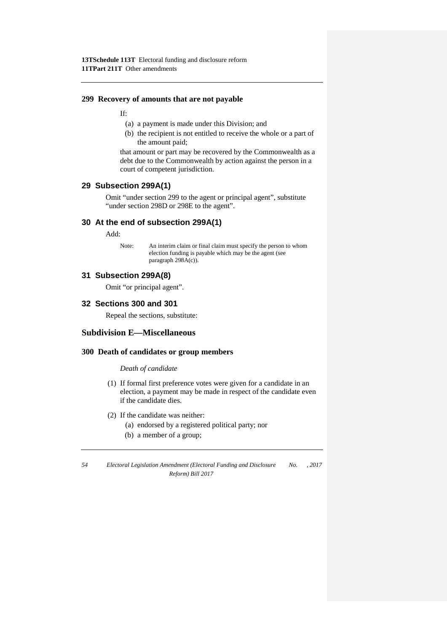### **299 Recovery of amounts that are not payable**

If:

- (a) a payment is made under this Division; and
- (b) the recipient is not entitled to receive the whole or a part of the amount paid;

that amount or part may be recovered by the Commonwealth as a debt due to the Commonwealth by action against the person in a court of competent jurisdiction.

# **29 Subsection 299A(1)**

Omit "under section 299 to the agent or principal agent", substitute "under section 298D or 298E to the agent".

# **30 At the end of subsection 299A(1)**

Add:

Note: An interim claim or final claim must specify the person to whom election funding is payable which may be the agent (see paragraph 298A(c)).

# **31 Subsection 299A(8)**

Omit "or principal agent".

# **32 Sections 300 and 301**

Repeal the sections, substitute:

# **Subdivision E—Miscellaneous**

### **300 Death of candidates or group members**

*Death of candidate*

- (1) If formal first preference votes were given for a candidate in an election, a payment may be made in respect of the candidate even if the candidate dies.
- (2) If the candidate was neither:
	- (a) endorsed by a registered political party; nor
	- (b) a member of a group;

*<sup>54</sup> Electoral Legislation Amendment (Electoral Funding and Disclosure Reform) Bill 2017 No. , 2017*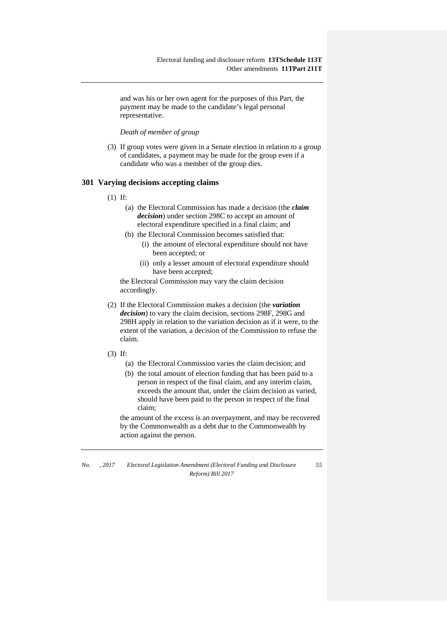and was his or her own agent for the purposes of this Part, the payment may be made to the candidate's legal personal representative.

*Death of member of group*

(3) If group votes were given in a Senate election in relation to a group of candidates, a payment may be made for the group even if a candidate who was a member of the group dies.

### **301 Varying decisions accepting claims**

- (1) If:
	- (a) the Electoral Commission has made a decision (the *claim decision*) under section 298C to accept an amount of electoral expenditure specified in a final claim; and
	- (b) the Electoral Commission becomes satisfied that:
		- (i) the amount of electoral expenditure should not have been accepted; or
		- (ii) only a lesser amount of electoral expenditure should have been accepted;

the Electoral Commission may vary the claim decision accordingly.

- (2) If the Electoral Commission makes a decision (the *variation decision*) to vary the claim decision, sections 298F, 298G and 298H apply in relation to the variation decision as if it were, to the extent of the variation, a decision of the Commission to refuse the claim.
- (3) If:
	- (a) the Electoral Commission varies the claim decision; and
	- (b) the total amount of election funding that has been paid to a person in respect of the final claim, and any interim claim, exceeds the amount that, under the claim decision as varied, should have been paid to the person in respect of the final claim;

the amount of the excess is an overpayment, and may be recovered by the Commonwealth as a debt due to the Commonwealth by action against the person.

*No. , 2017 Electoral Legislation Amendment (Electoral Funding and Disclosure Reform) Bill 2017 55*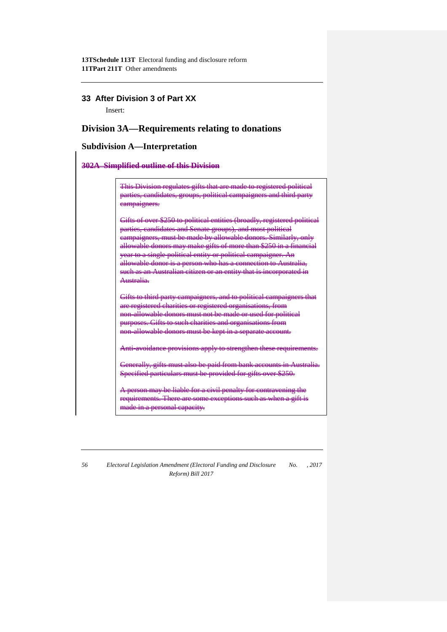# **33 After Division 3 of Part XX**

Insert:

# **Division 3A—Requirements relating to donations**

# **Subdivision A—Interpretation**

### **302A Simplified outline of this Division**

This Division regulates gifts that are made to registered polit parties, candidates, groups, political campaigners and third party campaigners.

Gifts of over \$250 to political entities (broadly, registered political parties, candidates and Senate groups), and most political campaigners, must be made by allowable donors. Similarly, only allowable donors may make gifts of more than year to a single political entity or political campaigner. An allowable donor is <del>such as an Au</del> Australia.

Gifts to third party campaigners, and to political campaigners that are registered charities or registered organisations, from non-allowable donors must not be made or used for political purposes. Gifts to such charities and organisations from non-allowable donors must be kept in a separate account.

Anti-avoidance provisions apply to strengthen these requirements.

Generally, gifts must also be paid from bank accounts in Australia. Specified particulars must be provided for gifts over \$250.

rson may be liable for a civil penalty for contra requirements. There are some exceptions such as when a gift is made in a personal capacity.

*56 Electoral Legislation Amendment (Electoral Funding and Disclosure No. , 2017 Reform) Bill 2017*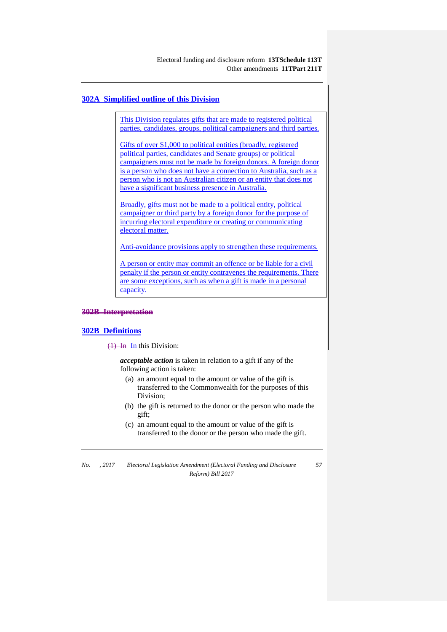### **302A Simplified outline of this Division**

This Division regulates gifts that are made to registered political parties, candidates, groups, political campaigners and third parties.

Gifts of over \$1,000 to political entities (broadly, registered political parties, candidates and Senate groups) or political campaigners must not be made by foreign donors. A foreign donor is a person who does not have a connection to Australia, such as a person who is not an Australian citizen or an entity that does not have a significant business presence in Australia.

Broadly, gifts must not be made to a political entity, political campaigner or third party by a foreign donor for the purpose of incurring electoral expenditure or creating or communicating electoral matter.

Anti-avoidance provisions apply to strengthen these requirements.

A person or entity may commit an offence or be liable for a civil penalty if the person or entity contravenes the requirements. There are some exceptions, such as when a gift is made in a personal capacity.

#### **302B Interpretation**

#### **302B Definitions**

 $\overline{(1)}$  In this Division:

*acceptable action* is taken in relation to a gift if any of the following action is taken:

- (a) an amount equal to the amount or value of the gift is transferred to the Commonwealth for the purposes of this Division;
- (b) the gift is returned to the donor or the person who made the gift;
- (c) an amount equal to the amount or value of the gift is transferred to the donor or the person who made the gift.

*No. , 2017 Electoral Legislation Amendment (Electoral Funding and Disclosure Reform) Bill 2017 57*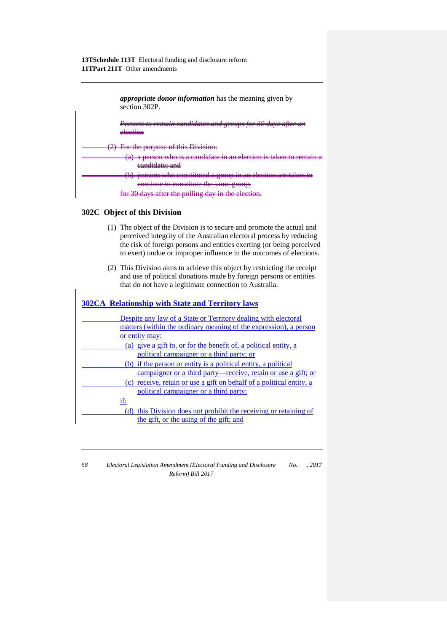

### **302C Object of this Division**

- (1) The object of the Division is to secure and promote the actual and perceived integrity of the Australian electoral process by reducing the risk of foreign persons and entities exerting (or being perceived to exert) undue or improper influence in the outcomes of elections.
- (2) This Division aims to achieve this object by restricting the receipt and use of political donations made by foreign persons or entities that do not have a legitimate connection to Australia.

| <b>302CA</b> Relationship with State and Territory laws              |
|----------------------------------------------------------------------|
| Despite any law of a State or Territory dealing with electoral       |
| matters (within the ordinary meaning of the expression), a person    |
| or entity may:                                                       |
| (a) give a gift to, or for the benefit of, a political entity, a     |
| political campaigner or a third party; or                            |
| (b) if the person or entity is a political entity, a political       |
| campaigner or a third party—receive, retain or use a gift; or        |
| (c) receive, retain or use a gift on behalf of a political entity, a |
| political campaigner or a third party;                               |
| if:                                                                  |
| (d) this Division does not prohibit the receiving or retaining of    |
| the gift, or the using of the gift; and                              |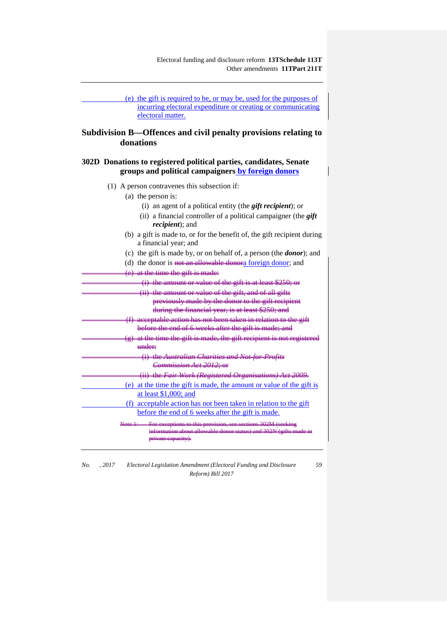Electoral funding and disclosure reform **13TSchedule 113T** Other amendments **11TPart 211T**

(e) the gift is required to be, or may be, used for the purposes of incurring electoral expenditure or creating or communicating electoral matter.

# **Subdivision B—Offences and civil penalty provisions relating to donations**

# **302D Donations to registered political parties, candidates, Senate groups and political campaigners by foreign donors**

- (1) A person contravenes this subsection if:
	- (a) the person is:
		- (i) an agent of a political entity (the *gift recipient*); or
		- (ii) a financial controller of a political campaigner (the *gift recipient*); and
	- (b) a gift is made to, or for the benefit of, the gift recipient during a financial year; and
	- (c) the gift is made by, or on behalf of, a person (the *donor*); and
	- (d) the donor is not an allowable donora foreign donor; and
	- (e) at the time the gift is made:

| (i) the amount or value of the gift is at least \$250; or                                  |
|--------------------------------------------------------------------------------------------|
| (ii) the amount or value of the gift, and of all gifts                                     |
| previously made by the donor to the gift recipient                                         |
| during the financial year, is at least \$250; and                                          |
| (f) acceptable action has not been taken in relation to the gift                           |
| before the end of 6 weeks after the gift is made; and                                      |
| $(g)$ at the time the gift is made, the gift recipient is not registered                   |
| under:                                                                                     |
| (i) the Australian Charities and Not-for-Profits                                           |
| <del>Commission Act 2012: or</del>                                                         |
| (ii) the Fair Work (Registered Organisations) Act 2009.                                    |
| (e) at the time the gift is made, the amount or value of the gift is                       |
| at least \$1,000; and                                                                      |
| (f) acceptable action has not been taken in relation to the gift                           |
| before the end of 6 weeks after the gift is made.                                          |
| $N_{\alpha\beta\alpha}$ 1.<br>For exceptions to this provision, see sections 302M (seeking |
| on about allowable donor status) and :                                                     |
| <del>rivate capacity)</del>                                                                |

*No. , 2017 Electoral Legislation Amendment (Electoral Funding and Disclosure Reform) Bill 2017*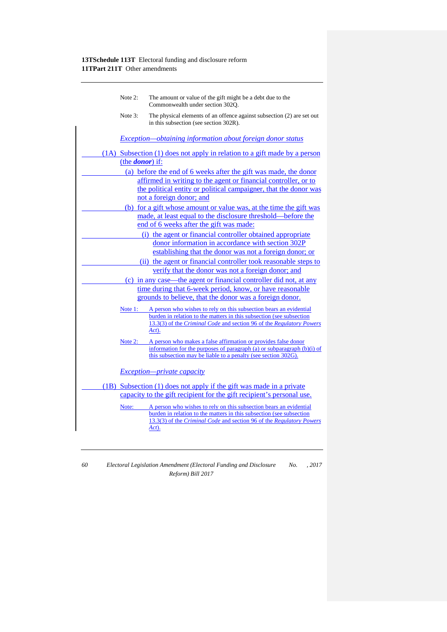| Note $2$ :              | The amount or value of the gift might be a debt due to the<br>Commonwealth under section 302Q.                                                                                                                              |
|-------------------------|-----------------------------------------------------------------------------------------------------------------------------------------------------------------------------------------------------------------------------|
| Note 3:                 | The physical elements of an offence against subsection (2) are set out<br>in this subsection (see section 302R).                                                                                                            |
|                         | Exception—obtaining information about foreign donor status                                                                                                                                                                  |
|                         | (1A) Subsection (1) does not apply in relation to a gift made by a person                                                                                                                                                   |
| (the <i>donor</i> ) if: |                                                                                                                                                                                                                             |
|                         | (a) before the end of 6 weeks after the gift was made, the donor                                                                                                                                                            |
|                         | affirmed in writing to the agent or financial controller, or to                                                                                                                                                             |
|                         | the political entity or political campaigner, that the donor was                                                                                                                                                            |
|                         | not a foreign donor; and                                                                                                                                                                                                    |
|                         | (b) for a gift whose amount or value was, at the time the gift was                                                                                                                                                          |
|                         | made, at least equal to the disclosure threshold—before the                                                                                                                                                                 |
|                         | end of 6 weeks after the gift was made:                                                                                                                                                                                     |
|                         | (i) the agent or financial controller obtained appropriate                                                                                                                                                                  |
|                         | donor information in accordance with section 302P                                                                                                                                                                           |
|                         | establishing that the donor was not a foreign donor; or                                                                                                                                                                     |
|                         | (ii) the agent or financial controller took reasonable steps to                                                                                                                                                             |
|                         | verify that the donor was not a foreign donor; and                                                                                                                                                                          |
|                         | (c) in any case—the agent or financial controller did not, at any                                                                                                                                                           |
|                         | time during that 6-week period, know, or have reasonable                                                                                                                                                                    |
|                         | grounds to believe, that the donor was a foreign donor.                                                                                                                                                                     |
| Note $1$ :              | A person who wishes to rely on this subsection bears an evidential<br>burden in relation to the matters in this subsection (see subsection<br>13.3(3) of the Criminal Code and section 96 of the Regulatory Powers<br>Act). |
| Note $2:$               | A person who makes a false affirmation or provides false donor                                                                                                                                                              |
|                         | information for the purposes of paragraph (a) or subparagraph $(b)(i)$ of                                                                                                                                                   |
|                         | this subsection may be liable to a penalty (see section 302G).                                                                                                                                                              |
|                         | <i>Exception—private capacity</i>                                                                                                                                                                                           |
|                         | (1B) Subsection (1) does not apply if the gift was made in a private                                                                                                                                                        |
|                         | capacity to the gift recipient for the gift recipient's personal use.                                                                                                                                                       |
| Note:                   | A person who wishes to rely on this subsection bears an evidential                                                                                                                                                          |
|                         | burden in relation to the matters in this subsection (see subsection<br>13.3(3) of the Criminal Code and section 96 of the Regulatory Powers                                                                                |
|                         | Act).                                                                                                                                                                                                                       |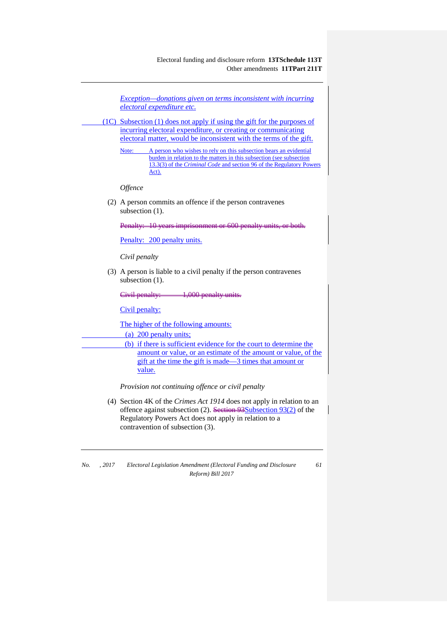Electoral funding and disclosure reform **13TSchedule 113T** Other amendments **11TPart 211T**

*Exception—donations given on terms inconsistent with incurring electoral expenditure etc.* (1C) Subsection (1) does not apply if using the gift for the purposes of incurring electoral expenditure, or creating or communicating electoral matter, would be inconsistent with the terms of the gift. Note: A person who wishes to rely on this subsection bears an evidential burden in relation to the matters in this subsection (see subsection 13.3(3) of the *Criminal Code* and section 96 of the Regulatory Powers Act). *Offence* (2) A person commits an offence if the person contravenes subsection  $(1)$ . Penalty: 10 years imprisonment or 600 Penalty: 200 penalty units. *Civil penalty* (3) A person is liable to a civil penalty if the person contravenes subsection  $(1)$ . Civil penalty: 1,000 penalty units Civil penalty: The higher of the following amounts: (a) 200 penalty units; (b) if there is sufficient evidence for the court to determine the amount or value, or an estimate of the amount or value, of the gift at the time the gift is made—3 times that amount or value. *Provision not continuing offence or civil penalty* (4) Section 4K of the *Crimes Act 1914* does not apply in relation to an offence against subsection (2). Section 93Subsection 93(2) of the Regulatory Powers Act does not apply in relation to a

contravention of subsection (3).

*No. , 2017 Electoral Legislation Amendment (Electoral Funding and Disclosure Reform) Bill 2017*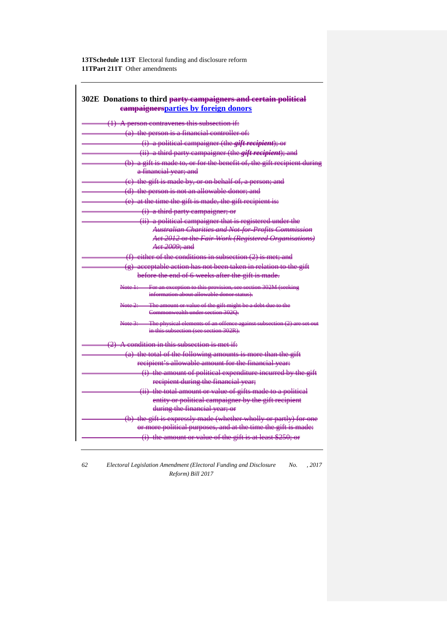| 302E Donations to third party campaigners and certain political<br>eampaignersparties by foreign donors                |
|------------------------------------------------------------------------------------------------------------------------|
| $(1)$ A person contravenes this subsection if:                                                                         |
| $(a)$ the person is a financial controller of:                                                                         |
| (i) a political campaigner (the <i>gift recipient</i> ); or                                                            |
| (ii) a third party campaigner (the <i>gift recipient</i> ); and                                                        |
| (b) a gift is made to, or for the benefit of, the gift recipient during<br>a financial year; and                       |
| (e) the gift is made by, or on behalf of, a person; and                                                                |
| (d) the person is not an allowable donor; and                                                                          |
| $(e)$ at the time the gift is made, the gift recipient is:                                                             |
| (i) a third party campaigner; or                                                                                       |
| (ii) a political campaigner that is registered under the                                                               |
| <b>Australian Charities and Not-for-Profits Commission</b>                                                             |
| Act 2012 or the Fair Work (Registered Organisations)                                                                   |
| Act 2009; and                                                                                                          |
| $(f)$ either of the conditions in subsection $(2)$ is met; and                                                         |
| (g) acceptable action has not been taken in relation to the gift                                                       |
| before the end of 6 weeks after the gift is made.                                                                      |
| Note 1: For an exception to this provision, see section 302M (seeking<br>information about allowable donor status).    |
| The amount or value of the gift might be a debt due to the<br>Note <del>2: —</del><br>Commonwealth under section 302Q. |
| Note 3: The physical elements of an offence against subsection<br>in this subsection (see section 202R).               |
| $(2)$ A condition in this subsection is met if:                                                                        |
| (a) the total of the following amounts is more than the gift                                                           |
| recipient's allowable amount for the financial year:                                                                   |
| (i) the amount of political expenditure incurred by the gift                                                           |
| recipient during the financial year;                                                                                   |
| (ii) the total amount or value of gifts made to a political                                                            |
| entity or political campaigner by the gift recipient                                                                   |
| during the financial year; or                                                                                          |
| (b) the gift is expressly made (whether wholly or partly) for one                                                      |
| or more political purposes, and at the time the gift is made:                                                          |
| $(i)$ the amount or value of the gift is at least \$250; or                                                            |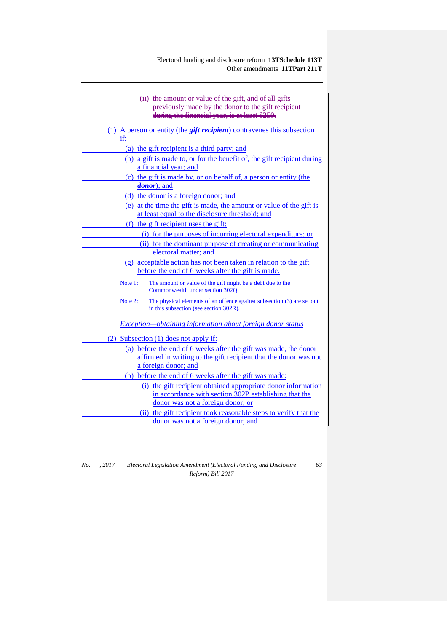| (ii) the amount or value of the gift, and of all gifts                                                                      |
|-----------------------------------------------------------------------------------------------------------------------------|
| previously made by the donor to the gift recipient                                                                          |
| during the financial year, is at least \$250.                                                                               |
| (1) A person or entity (the <i>gift recipient</i> ) contravenes this subsection                                             |
| if:                                                                                                                         |
| (a) the gift recipient is a third party; and                                                                                |
| (b) a gift is made to, or for the benefit of, the gift recipient during                                                     |
| a financial year; and                                                                                                       |
| (c) the gift is made by, or on behalf of, a person or entity (the                                                           |
| <i>donor</i> ); and                                                                                                         |
| (d) the donor is a foreign donor; and                                                                                       |
| (e) at the time the gift is made, the amount or value of the gift is                                                        |
| at least equal to the disclosure threshold; and                                                                             |
| (f) the gift recipient uses the gift:                                                                                       |
| (i) for the purposes of incurring electoral expenditure; or                                                                 |
| (ii) for the dominant purpose of creating or communicating                                                                  |
| electoral matter; and                                                                                                       |
| (g) acceptable action has not been taken in relation to the gift                                                            |
| before the end of 6 weeks after the gift is made.                                                                           |
| Note 1: The amount or value of the gift might be a debt due to the<br>Commonwealth under section 302Q.                      |
| The physical elements of an offence against subsection (3) are set out<br>Note 2:<br>in this subsection (see section 302R). |
| <i>Exception—obtaining information about foreign donor status</i>                                                           |
| (2) Subsection (1) does not apply if:                                                                                       |
| (a) before the end of 6 weeks after the gift was made, the donor                                                            |
| affirmed in writing to the gift recipient that the donor was not                                                            |
| a foreign donor; and                                                                                                        |
| (b) before the end of 6 weeks after the gift was made:                                                                      |
| (i) the gift recipient obtained appropriate donor information                                                               |
| in accordance with section 302P establishing that the                                                                       |
| donor was not a foreign donor; or                                                                                           |
| (ii) the gift recipient took reasonable steps to verify that the                                                            |
| donor was not a foreign donor; and                                                                                          |
|                                                                                                                             |

*No. , 2017 Electoral Legislation Amendment (Electoral Funding and Disclosure Reform) Bill 2017 63*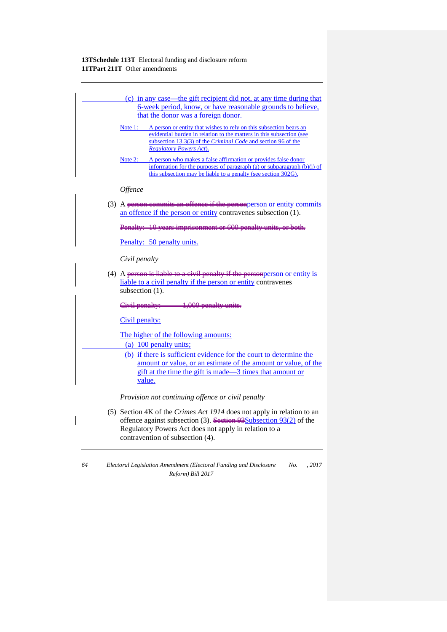| (c) in any case—the gift recipient did not, at any time during that                                                                                                                                                                                                 |
|---------------------------------------------------------------------------------------------------------------------------------------------------------------------------------------------------------------------------------------------------------------------|
| 6-week period, know, or have reasonable grounds to believe,<br>that the donor was a foreign donor.                                                                                                                                                                  |
| <u>Note 1:</u> A person or entity that wishes to rely on this subsection bears an<br>evidential burden in relation to the matters in this subsection (see<br>subsection 13.3(3) of the <i>Criminal Code</i> and section 96 of the<br><b>Regulatory Powers Act).</b> |
| A person who makes a false affirmation or provides false donor<br><u>Note 2: __</u><br>information for the purposes of paragraph (a) or subparagraph (b)(i) of<br>this subsection may be liable to a penalty (see section 302G).                                    |
| Offence                                                                                                                                                                                                                                                             |
| (3) A person commits an offence if the personperson or entity commits<br>an offence if the person or entity contravenes subsection (1).                                                                                                                             |
| Penalty: 10 years imprisonment or 600 penalty units, or both.                                                                                                                                                                                                       |
| Penalty: 50 penalty units.                                                                                                                                                                                                                                          |
| Civil penalty                                                                                                                                                                                                                                                       |
| (4) A person is liable to a civil penalty if the person person or entity is<br>liable to a civil penalty if the person or entity contravenes<br>subsection (1).                                                                                                     |
| Civil penalty: 1,000 penalty units.                                                                                                                                                                                                                                 |
| Civil penalty:                                                                                                                                                                                                                                                      |
| The higher of the following amounts:                                                                                                                                                                                                                                |
| (a) 100 penalty units;<br>(b) if there is sufficient evidence for the court to determine the<br>amount or value, or an estimate of the amount or value, of the<br>gift at the time the gift is made—3 times that amount or<br>value.                                |
| Provision not continuing offence or civil penalty                                                                                                                                                                                                                   |
| (5) Section 4K of the <i>Crimes Act 1914</i> does not apply in relation to an<br>offence against subsection (3). Section $93\text{Subsection }93(2)$ of the<br>Regulatory Powers Act does not apply in relation to a<br>contravention of subsection (4).            |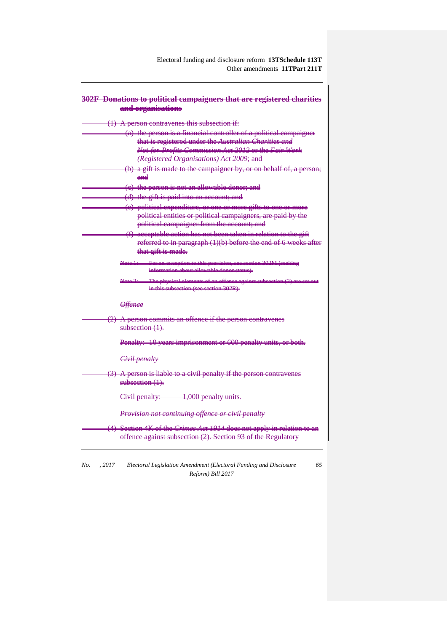| 302F Donations to political campaigners that are registered charities<br>and organisations                                                    |
|-----------------------------------------------------------------------------------------------------------------------------------------------|
|                                                                                                                                               |
| A person contravenes this subsection if:<br>$\leftrightarrow$                                                                                 |
| (a) the person is a financial controller of a political campaigner                                                                            |
| that is registered under the Australian Charities and                                                                                         |
| Not-for-Profits Commission Act 2012 or the Fair Work                                                                                          |
| (Registered Organisations) Act 2009; and                                                                                                      |
| (b) a gift is made to the campaigner by, or on behalf of, a person;                                                                           |
| $and$                                                                                                                                         |
| (e) the person is not an allowable donor; and                                                                                                 |
| (d) the gift is paid into an account; and                                                                                                     |
| (e) political expenditure, or one or more gifts to one or more                                                                                |
| political entities or political campaigners, are paid by the                                                                                  |
| political campaigner from the account; and                                                                                                    |
| (f) acceptable action has not been taken in relation to the gift                                                                              |
| referred to in paragraph (1)(b) before the end of 6 weeks after                                                                               |
| that gift is made.                                                                                                                            |
| For an exception to this provision, see section 302M (seeking<br><del>Note 1: -</del>                                                         |
| information about allowable donor status).                                                                                                    |
| The physical elements of an offence against subsection<br>in this subsection (see section 302R).                                              |
| <b>Offence</b>                                                                                                                                |
| (2) A person commits an offence if the person contravenes<br>$subsection(1)$ .                                                                |
| Penalty: 10 years imprisonment or 600 penalty units, or both.                                                                                 |
| Civil penalty                                                                                                                                 |
| (3) A person is liable to a civil penalty if the person contravenes<br>subsection (1).                                                        |
| 1,000 penalty units.<br>Civil penalty: —                                                                                                      |
| Provision not continuing offence or civil penalty                                                                                             |
| (4) Section 4K of the <i>Crimes Act 1914</i> does not apply in relation to an<br>offence against subsection (2). Section 93 of the Regulatory |

*No. , 2017 Electoral Legislation Amendment (Electoral Funding and Disclosure Reform) Bill 2017 65*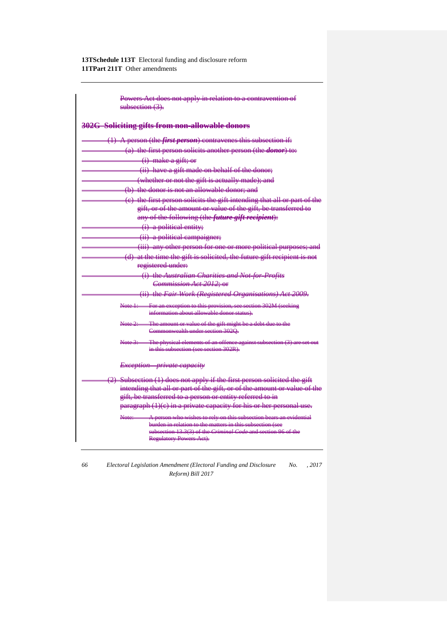> Powers Act does not apply in relation to a contravention of ection  $(3)$ .

| 302G Soliciting gifts from non-allowable donors                                                              |
|--------------------------------------------------------------------------------------------------------------|
| (1) A person (the <i>first person</i> ) contravenes this subsection if:                                      |
| (a) the first person solicits another person (the <i>donor</i> ) to:                                         |
| (i) make a gift; or                                                                                          |
| (ii) have a gift made on behalf of the donor;                                                                |
| (whether or not the gift is actually made); and                                                              |
| (b) the donor is not an allowable donor; and                                                                 |
| (e) the first person solicits the gift intending that all or part of the                                     |
| gift, or of the amount or value of the gift, be transferred to                                               |
| any of the following (the <i>future gift recipient</i> ):                                                    |
| (i) a political entity;                                                                                      |
| (ii) a political campaigner;                                                                                 |
| (iii) any other person for one or more political purposes; and                                               |
| (d) at the time the gift is solicited, the future gift recipient is not                                      |
| registered under:                                                                                            |
| (i) the Australian Charities and Not-for-Profits                                                             |
| Commission Act 2012: or                                                                                      |
| (ii) the Fair Work (Registered Organisations) Act 2009.                                                      |
| Note 1: For an exception to this provision, see section 302M (seeking                                        |
| information about allowable donor status).                                                                   |
| The amount or value of the gift might be a debt due to the<br>Note 2:<br>Commonwealth under section 3020.    |
|                                                                                                              |
| Note 3: The physical elements of an offence against subsection (3)<br>in this subsection (see section 302R). |
|                                                                                                              |
| <i>Exception-private capacity</i>                                                                            |
| (2) Subsection (1) does not apply if the first person solicited the gift                                     |
| intending that all or part of the gift, or of the amount or value of the                                     |
| gift, be transferred to a person or entity referred to in                                                    |
| paragraph (1)(e) in a private capacity for his or her personal use.                                          |
| A person who wishes to rely on this subsection bears an evidential<br>Note:——                                |
| burden in relation to the matters in this subsection (see                                                    |
| subsection 13.3(3) of the Criminal Code and section 96 of the<br>Regulatory Powers Act).                     |
|                                                                                                              |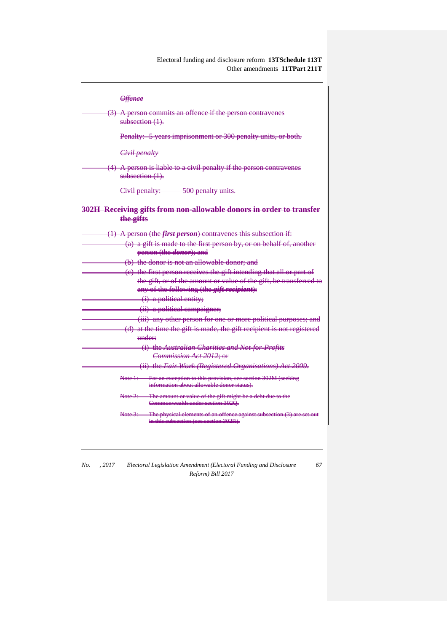Electoral funding and disclosure reform **13TSchedule 113T** Other amendments **11TPart 211T**

| <del>Offence</del>                                                                                                                                                                       |
|------------------------------------------------------------------------------------------------------------------------------------------------------------------------------------------|
| (3) A person commits an offence if the person contravenes<br>$subsection(1)$ .                                                                                                           |
| Penalty: 5 years imprisonment or 300 penalty units, or both.                                                                                                                             |
| Civil penalty                                                                                                                                                                            |
| (4) A person is liable to a civil penalty if the person contravenes<br>$subsection(1)$ .                                                                                                 |
| Civil penalty: 500 penalty units.                                                                                                                                                        |
| 302H Receiving gifts from non-allowable donors in order to transfer<br>the gifts                                                                                                         |
| (1) A person (the <i>first person</i> ) contravenes this subsection if:                                                                                                                  |
| (a) a gift is made to the first person by, or on behalf of, another<br>person (the <i>donor</i> ); and                                                                                   |
| (b) the donor is not an allowable donor; and                                                                                                                                             |
| (e) the first person receives the gift intending that all or part of<br>the gift, or of the amount or value of the gift, be transferred to<br>any of the following (the gift recipient): |
| (i) a political entity;                                                                                                                                                                  |
| (ii) a political campaigner;                                                                                                                                                             |
| (iii) any other person for one or more political purposes; and                                                                                                                           |
| (d) at the time the gift is made, the gift recipient is not registered                                                                                                                   |
| <del>under:</del>                                                                                                                                                                        |
| (i) the Australian Charities and Not-for-Profits                                                                                                                                         |
| Commission Act 2012; or                                                                                                                                                                  |
| (ii) the Fair Work (Registered Organisations) Act 2009.                                                                                                                                  |
| For an exception to this provision, see section 302M (seeking<br>Note 1:<br>information about allowable donor status).                                                                   |
| The amount or value of the gift might be a debt due to the<br><del>Note 2: –</del><br>Commonwealth under section 302Q.                                                                   |
| The physical elements of an offence against subsection (3)<br>in this subsection (see section 302R).                                                                                     |
|                                                                                                                                                                                          |

*No. , 2017 Electoral Legislation Amendment (Electoral Funding and Disclosure Reform) Bill 2017 67*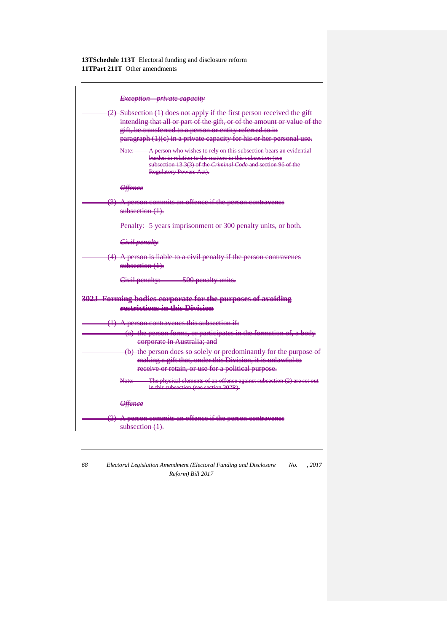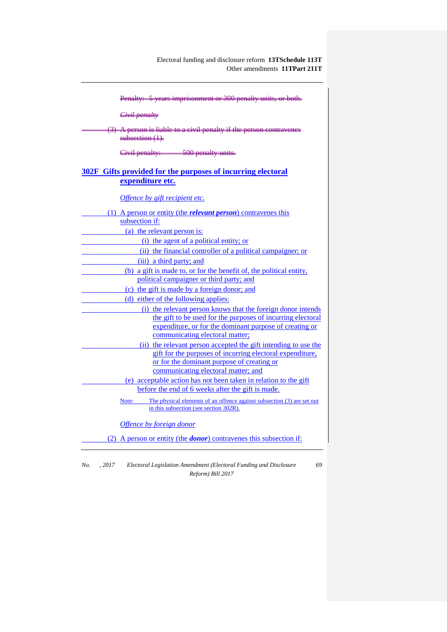| Penalty: 5 years imprisonment or 300 penalty units, or both.                      |
|-----------------------------------------------------------------------------------|
| <del>Civil penalty</del>                                                          |
|                                                                                   |
| (3) A person is liable to a civil penalty if the person contravenes               |
| $subsection(1)$ .                                                                 |
| Civil penalty: 500 penalty units.                                                 |
|                                                                                   |
| 302F Gifts provided for the purposes of incurring electoral                       |
| expenditure etc.                                                                  |
| Offence by gift recipient etc.                                                    |
| (1) A person or entity (the <i>relevant person</i> ) contravenes this             |
| subsection if:                                                                    |
| (a) the relevant person is:                                                       |
| (i) the agent of a political entity; or                                           |
| (ii) the financial controller of a political campaigner; or                       |
| (iii) a third party; and                                                          |
| (b) a gift is made to, or for the benefit of, the political entity,               |
| political campaigner or third party; and                                          |
| (c) the gift is made by a foreign donor; and                                      |
| (d) either of the following applies:                                              |
| (i) the relevant person knows that the foreign donor intends                      |
| the gift to be used for the purposes of incurring electoral                       |
| expenditure, or for the dominant purpose of creating or                           |
| communicating electoral matter;                                                   |
| (ii) the relevant person accepted the gift intending to use the                   |
| gift for the purposes of incurring electoral expenditure.                         |
| or for the dominant purpose of creating or                                        |
| communicating electoral matter; and                                               |
| (e) acceptable action has not been taken in relation to the gift                  |
| before the end of 6 weeks after the gift is made.                                 |
| The physical elements of an offence against subsection (3) are set out<br>Note:   |
| in this subsection (see section 302R).                                            |
| Offence by foreign donor                                                          |
| (2) A person or entity (the <b><i>donor</i></b> ) contravenes this subsection if: |
|                                                                                   |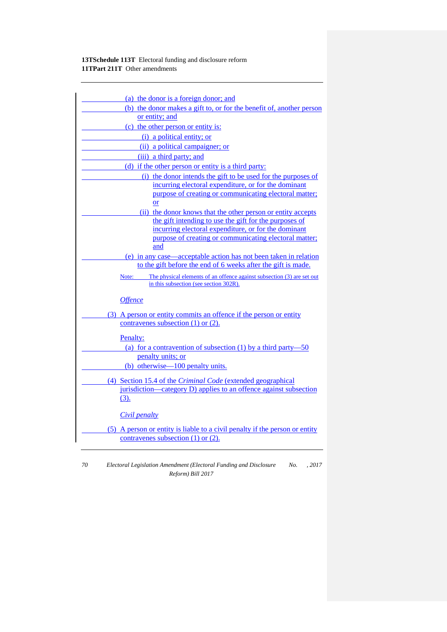| (a) the donor is a foreign donor; and                                                                                                    |
|------------------------------------------------------------------------------------------------------------------------------------------|
| (b) the donor makes a gift to, or for the benefit of, another person                                                                     |
| or entity; and                                                                                                                           |
| (c) the other person or entity is:                                                                                                       |
| (i) a political entity; or                                                                                                               |
| (ii) a political campaigner; or                                                                                                          |
| (iii) a third party; and                                                                                                                 |
| (d) if the other person or entity is a third party:                                                                                      |
| (i) the donor intends the gift to be used for the purposes of                                                                            |
| incurring electoral expenditure, or for the dominant                                                                                     |
| purpose of creating or communicating electoral matter;                                                                                   |
| <b>or</b>                                                                                                                                |
| (ii) the donor knows that the other person or entity accepts                                                                             |
| the gift intending to use the gift for the purposes of                                                                                   |
| incurring electoral expenditure, or for the dominant<br>purpose of creating or communicating electoral matter;                           |
| and                                                                                                                                      |
| (e) in any case—acceptable action has not been taken in relation                                                                         |
| to the gift before the end of 6 weeks after the gift is made.                                                                            |
| Note:<br>The physical elements of an offence against subsection (3) are set out<br>in this subsection (see section 302R).                |
| <b>Offence</b>                                                                                                                           |
| (3) A person or entity commits an offence if the person or entity                                                                        |
| contravenes subsection $(1)$ or $(2)$ .                                                                                                  |
| Penalty:                                                                                                                                 |
| (a) for a contravention of subsection (1) by a third party-50                                                                            |
| penalty units; or                                                                                                                        |
| (b) otherwise—100 penalty units.                                                                                                         |
|                                                                                                                                          |
| (4) Section 15.4 of the <i>Criminal Code</i> (extended geographical<br>jurisdiction—category D) applies to an offence against subsection |
| $(3)$ .                                                                                                                                  |
|                                                                                                                                          |
| Civil penalty                                                                                                                            |
| (5) A person or entity is liable to a civil penalty if the person or entity                                                              |
| contravenes subsection $(1)$ or $(2)$ .                                                                                                  |
|                                                                                                                                          |

*70 Electoral Legislation Amendment (Electoral Funding and Disclosure No. , 2017 Reform) Bill 2017*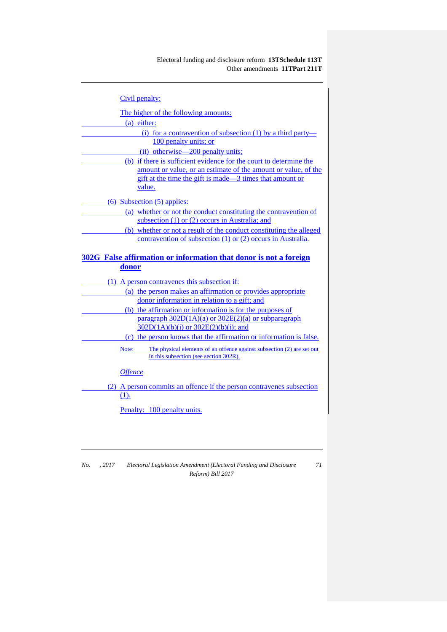| Civil penalty:                                                                                                                     |
|------------------------------------------------------------------------------------------------------------------------------------|
| The higher of the following amounts:                                                                                               |
| (a) either:                                                                                                                        |
| (i) for a contravention of subsection (1) by a third party—                                                                        |
| 100 penalty units; or                                                                                                              |
| (ii) otherwise—200 penalty units;                                                                                                  |
| (b) if there is sufficient evidence for the court to determine the                                                                 |
| amount or value, or an estimate of the amount or value, of the                                                                     |
| gift at the time the gift is made—3 times that amount or<br>value.                                                                 |
| $(6)$ Subsection $(5)$ applies:                                                                                                    |
| (a) whether or not the conduct constituting the contravention of                                                                   |
| subsection $(1)$ or $(2)$ occurs in Australia; and                                                                                 |
| (b) whether or not a result of the conduct constituting the alleged<br>contravention of subsection (1) or (2) occurs in Australia. |
|                                                                                                                                    |
| 302G False affirmation or information that donor is not a foreign                                                                  |
| donor                                                                                                                              |
|                                                                                                                                    |
|                                                                                                                                    |
| (1) A person contravenes this subsection if:                                                                                       |
| (a) the person makes an affirmation or provides appropriate                                                                        |
| donor information in relation to a gift; and                                                                                       |
| (b) the affirmation or information is for the purposes of<br>paragraph $302D(1A)(a)$ or $302E(2)(a)$ or subparagraph               |
| $302D(1A)(b)(i)$ or $302E(2)(b)(i)$ ; and                                                                                          |
| (c) the person knows that the affirmation or information is false.                                                                 |
| The physical elements of an offence against subsection (2) are set out<br>Note:<br>in this subsection (see section 302R).          |
| <b>Offence</b>                                                                                                                     |
| (2) A person commits an offence if the person contravenes subsection                                                               |
| (1).                                                                                                                               |
| Penalty: 100 penalty units.                                                                                                        |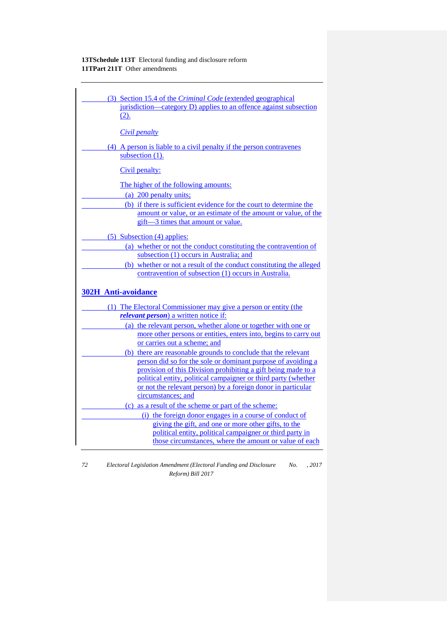| (3) Section 15.4 of the <i>Criminal Code</i> (extended geographical                                                           |
|-------------------------------------------------------------------------------------------------------------------------------|
| jurisdiction—category D) applies to an offence against subsection                                                             |
| (2).                                                                                                                          |
|                                                                                                                               |
| Civil penalty                                                                                                                 |
| (4) A person is liable to a civil penalty if the person contravenes                                                           |
| subsection (1).                                                                                                               |
| Civil penalty:                                                                                                                |
| The higher of the following amounts:                                                                                          |
| (a) 200 penalty units;                                                                                                        |
| (b) if there is sufficient evidence for the court to determine the                                                            |
| amount or value, or an estimate of the amount or value, of the                                                                |
| gift-3 times that amount or value.                                                                                            |
| $(5)$ Subsection $(4)$ applies:                                                                                               |
| (a) whether or not the conduct constituting the contravention of                                                              |
| subsection (1) occurs in Australia; and                                                                                       |
| (b) whether or not a result of the conduct constituting the alleged                                                           |
| contravention of subsection (1) occurs in Australia.                                                                          |
| <b>302H Anti-avoidance</b>                                                                                                    |
| (1) The Electoral Commissioner may give a person or entity (the                                                               |
| <i>relevant person</i> ) a written notice if:                                                                                 |
| (a) the relevant person, whether alone or together with one or                                                                |
| more other persons or entities, enters into, begins to carry out                                                              |
| or carries out a scheme; and                                                                                                  |
| (b) there are reasonable grounds to conclude that the relevant                                                                |
| person did so for the sole or dominant purpose of avoiding a<br>provision of this Division prohibiting a gift being made to a |
| political entity, political campaigner or third party (whether                                                                |
| or not the relevant person) by a foreign donor in particular                                                                  |
| circumstances; and                                                                                                            |
| (c) as a result of the scheme or part of the scheme:                                                                          |
| (i) the foreign donor engages in a course of conduct of                                                                       |
| giving the gift, and one or more other gifts, to the                                                                          |
| political entity, political campaigner or third party in                                                                      |
| those circumstances, where the amount or value of each                                                                        |
|                                                                                                                               |

*72 Electoral Legislation Amendment (Electoral Funding and Disclosure No. , 2017 Reform) Bill 2017*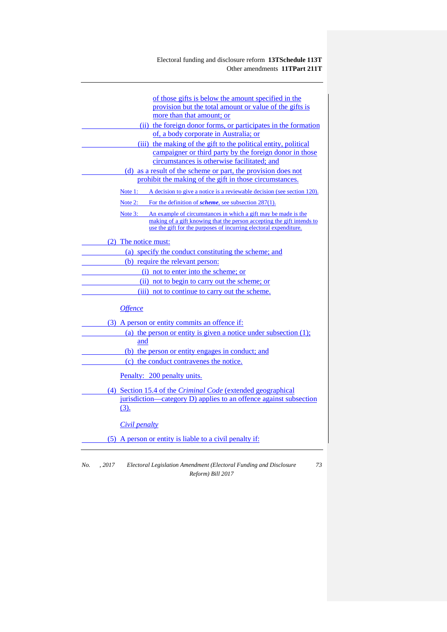| of those gifts is below the amount specified in the                                                                                                                                                                   |
|-----------------------------------------------------------------------------------------------------------------------------------------------------------------------------------------------------------------------|
| provision but the total amount or value of the gifts is                                                                                                                                                               |
| more than that amount; or                                                                                                                                                                                             |
| (ii) the foreign donor forms, or participates in the formation                                                                                                                                                        |
| of, a body corporate in Australia; or                                                                                                                                                                                 |
| (iii) the making of the gift to the political entity, political                                                                                                                                                       |
| campaigner or third party by the foreign donor in those                                                                                                                                                               |
| circumstances is otherwise facilitated; and                                                                                                                                                                           |
| (d) as a result of the scheme or part, the provision does not                                                                                                                                                         |
| prohibit the making of the gift in those circumstances.                                                                                                                                                               |
| Note 1: A decision to give a notice is a reviewable decision (see section 120).                                                                                                                                       |
| Note 2: For the definition of <i>scheme</i> , see subsection $287(1)$ .                                                                                                                                               |
| Note 3: An example of circumstances in which a gift may be made is the<br>making of a gift knowing that the person accepting the gift intends to<br>use the gift for the purposes of incurring electoral expenditure. |
| (2) The notice must:                                                                                                                                                                                                  |
| (a) specify the conduct constituting the scheme; and                                                                                                                                                                  |
| (b) require the relevant person:                                                                                                                                                                                      |
| (i) not to enter into the scheme; or                                                                                                                                                                                  |
| (ii) not to begin to carry out the scheme; or                                                                                                                                                                         |
| (iii) not to continue to carry out the scheme.                                                                                                                                                                        |
| <b>Offence</b>                                                                                                                                                                                                        |
| (3) A person or entity commits an offence if:                                                                                                                                                                         |
| (a) the person or entity is given a notice under subsection $(1)$ ;                                                                                                                                                   |
| and                                                                                                                                                                                                                   |
| (b) the person or entity engages in conduct; and                                                                                                                                                                      |
| (c) the conduct contravenes the notice.                                                                                                                                                                               |
| Penalty: 200 penalty units.                                                                                                                                                                                           |
| (4) Section 15.4 of the <i>Criminal Code</i> (extended geographical                                                                                                                                                   |
| jurisdiction—category D) applies to an offence against subsection<br>$(3)$ .                                                                                                                                          |
| <i>Civil penalty</i>                                                                                                                                                                                                  |
| (5) A person or entity is liable to a civil penalty if:                                                                                                                                                               |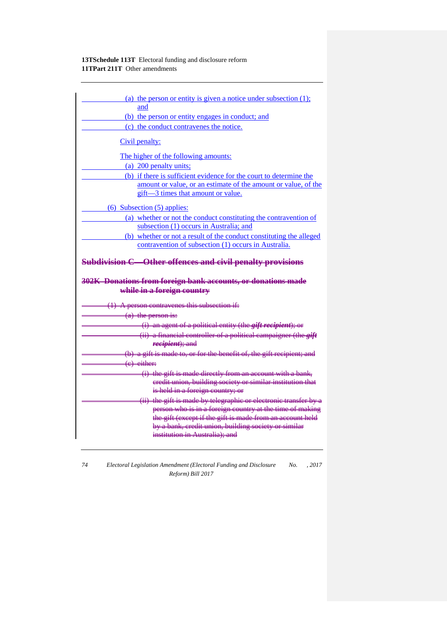| (a) the person or entity is given a notice under subsection $(1)$ ;                                                      |  |
|--------------------------------------------------------------------------------------------------------------------------|--|
| and                                                                                                                      |  |
| (b) the person or entity engages in conduct; and                                                                         |  |
| (c) the conduct contravenes the notice.                                                                                  |  |
| Civil penalty:                                                                                                           |  |
| The higher of the following amounts:                                                                                     |  |
| (a) 200 penalty units;                                                                                                   |  |
| (b) if there is sufficient evidence for the court to determine the                                                       |  |
| amount or value, or an estimate of the amount or value, of the                                                           |  |
| gift-3 times that amount or value.                                                                                       |  |
| $(6)$ Subsection $(5)$ applies:                                                                                          |  |
| (a) whether or not the conduct constituting the contravention of                                                         |  |
| subsection (1) occurs in Australia; and                                                                                  |  |
| (b) whether or not a result of the conduct constituting the alleged                                                      |  |
| contravention of subsection (1) occurs in Australia.                                                                     |  |
| <b>Subdivision C-Other offences and civil penalty provisions</b>                                                         |  |
| 302K Donations from foreign bank accounts, or donations made<br>while in a foreign country                               |  |
|                                                                                                                          |  |
| $(1)$ A person contravenes this subsection if:<br>$(a)$ the person is:                                                   |  |
|                                                                                                                          |  |
| (i) an agent of a political entity (the <i>gift recipient</i> ); or                                                      |  |
| $(ii)$ a financial controller of a political campaigner (the $giff$<br>recipient); and                                   |  |
| (b) a gift is made to, or for the benefit of, the gift recipient; and                                                    |  |
| $(e)$ either:                                                                                                            |  |
|                                                                                                                          |  |
| (i) the gift is made directly from an account with a bank,<br>eredit union, building society or similar institution that |  |
| is held in a foreign country; or                                                                                         |  |
| (ii) the gift is made by telegraphic or electronic transfer by a                                                         |  |
| person who is in a foreign country at the time of making                                                                 |  |
| the gift (except if the gift is made from an account held                                                                |  |
| by a bank, credit union, building society or similar                                                                     |  |
| institution in Australia); and                                                                                           |  |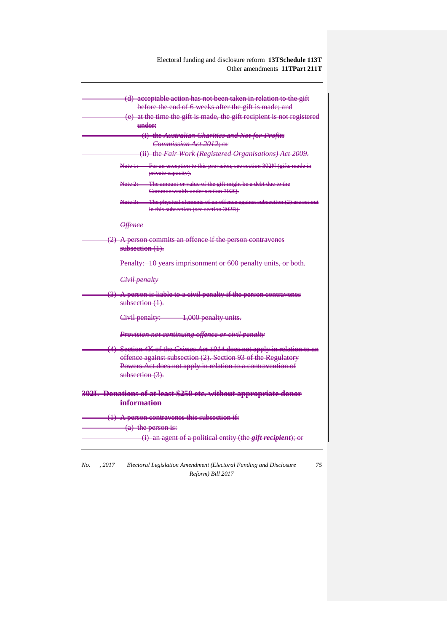| (d) acceptable action has not been taken in relation to the gift                                                                 |  |
|----------------------------------------------------------------------------------------------------------------------------------|--|
| before the end of 6 weeks after the gift is made; and                                                                            |  |
| (e) at the time the gift is made, the gift recipient is not registered                                                           |  |
| ###de##                                                                                                                          |  |
| (i) the Australian Charities and Not-for-Profits                                                                                 |  |
| Commission Act 2012; or                                                                                                          |  |
| (ii) the Fair Work (Registered Organisations) Act 2009.                                                                          |  |
| For an exception to this provision, see section 302N (gifts made in<br>Note 1:<br>private capacity).                             |  |
| The amount or value of the gift might be a debt due to the<br>Note <del>2: -</del><br>Commonwealth under section 3020.           |  |
| The physical elements of an offence against subsection (2) are<br><del>Note 3: —</del><br>in this subsection (see section 302R). |  |
| <del>Offence</del>                                                                                                               |  |
| (2) A person commits an offence if the person contravenes                                                                        |  |
| subsection $(1)$ .                                                                                                               |  |
| Penalty: 10 years imprisonment or 600 penalty units, or both.                                                                    |  |
| Civil penalty                                                                                                                    |  |
| (3) A person is liable to a civil penalty if the person contravenes<br>subsection (1).                                           |  |
| Civil penalty: 1,000 penalty units.                                                                                              |  |
| Provision not continuing offence or civil penalty                                                                                |  |
| (4) Section 4K of the Crimes Act 1914 does not apply in relation to an                                                           |  |
| offence against subsection (2). Section 93 of the Regulatory                                                                     |  |
| Powers Act does not apply in relation to a contravention of                                                                      |  |
| $subsection (3)$ .                                                                                                               |  |
| 302L Donations of at least \$250 etc. without appropriate donor                                                                  |  |
| information                                                                                                                      |  |
| (1) A person contravenes this subsection if:                                                                                     |  |
| (a) the person is:                                                                                                               |  |
| (i) an agent of a political entity (the <i>gift recipient</i> ); or                                                              |  |
|                                                                                                                                  |  |

*No. , 2017 Electoral Legislation Amendment (Electoral Funding and Disclosure Reform) Bill 2017*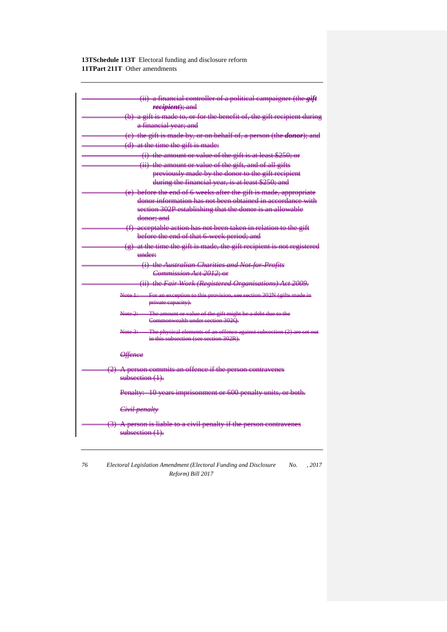| (ii) a financial controller of a political campaigner (the <i>gift</i>                               |
|------------------------------------------------------------------------------------------------------|
| recipient); and                                                                                      |
| $(b)$ a gift is made to, or for the benefit of, the gift recipient during                            |
| a financial year; and                                                                                |
| (e) the gift is made by, or on behalf of, a person (the <i>donor</i> ); and                          |
| (d) at the time the gift is made:                                                                    |
| (i) the amount or value of the gift is at least \$250; or                                            |
| (ii) the amount or value of the gift, and of all gifts                                               |
| previously made by the donor to the gift recipient                                                   |
| during the financial year, is at least \$250; and                                                    |
| (e) before the end of 6 weeks after the gift is made, appropriate                                    |
| donor information has not been obtained in accordance with                                           |
| section 302P establishing that the donor is an allowable                                             |
| <del>donor: and</del>                                                                                |
| (f) acceptable action has not been taken in relation to the gift                                     |
| before the end of that 6-week period; and                                                            |
| $(g)$ at the time the gift is made, the gift recipient is not registered<br>$under$                  |
| (i) the Australian Charities and Not-for-Profits                                                     |
| Commission Act 2012; or                                                                              |
| (ii) the Fair Work (Registered Organisations) Act 2009.                                              |
|                                                                                                      |
| For an exception to this provision, see section 302N (gifts made in<br>Note 1:<br>private eapacity). |
| The amount or value of the gift might be a debt due to the<br><del>Note 2:</del>                     |
| Commonwealth under section 302Q.                                                                     |
| The physical elements of an offence against subsection (2) are set out                               |
| in this subsection (see section 302R).                                                               |
| <del>Offence</del>                                                                                   |
| $(2)$ A person commits an offence if the person contravenes                                          |
| $subsection(1)$ .                                                                                    |
| Penalty: 10 years imprisonment or 600 penalty units, or both.                                        |
| Civil penalty                                                                                        |
| (3) A person is liable to a civil penalty if the person contravenes<br>$subsection(1)$ .             |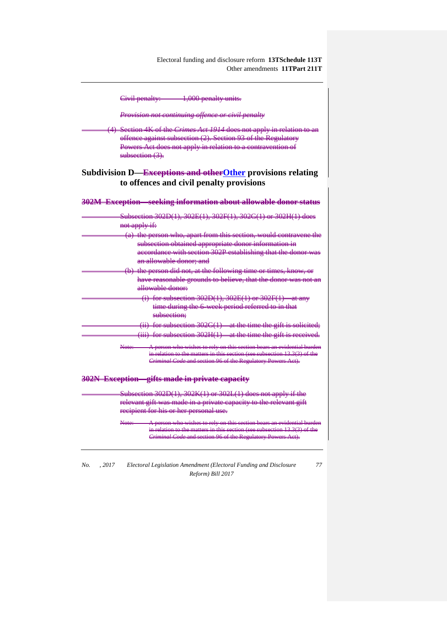| 1,000 penalty units.<br>Civil penalty:                                                                                                                                                                                                 |
|----------------------------------------------------------------------------------------------------------------------------------------------------------------------------------------------------------------------------------------|
| Provision not continuing offence or civil penalty                                                                                                                                                                                      |
| (4) Section 4K of the <i>Crimes Act 1914</i> does not apply in relation to an<br>offence against subsection (2). Section 93 of the Regulatory<br>Powers Act does not apply in relation to a contravention of<br>$subsection (3)$ .     |
| Subdivision D— <del>Exceptions and other Other</del> provisions relating<br>to offences and civil penalty provisions                                                                                                                   |
| 302M Exception seeking information about allowable donor status                                                                                                                                                                        |
| Subsection 302D(1), 302E(1), 302F(1), 302G(1) or 302H(1) does<br>not apply if:                                                                                                                                                         |
| (a) the person who, apart from this section, would contravene the<br>subsection obtained appropriate donor information in<br>accordance with section 302P establishing that the donor was<br>an allowable donor; and                   |
| (b) the person did not, at the following time or times, know, or<br>have reasonable grounds to believe, that the donor was not an<br>allowable donor:                                                                                  |
| $(i)$ for subsection 302D(1), 302E(1) or 302F(1) at any<br>time during the 6-week period referred to in that<br>subsection:                                                                                                            |
| (ii) for subsection $302G(1)$ at the time the gift is solicited;<br>$(iii)$ for subsection 302H(1)—at the time the gift is received.                                                                                                   |
| A person who wishes to rely on this section bears an evidential burden<br>Note:<br>in relation to the matters in this section (see subsection $13.3(3)$ ) of the<br><b>Criminal Code and section 96 of the Regulatory Powers Aet).</b> |
| 302N Exception gifts made in private capacity                                                                                                                                                                                          |
| Subsection 302D(1), 302K(1) or 302L(1) does not apply if the<br>relevant gift was made in a private capacity to the relevant gift<br>recipient for his or her personal use.                                                            |
| person who wishes to rely on this section bears<br>in relation to the matters in this section (see subsection $13.3(3)$ of the<br>Criminal Code and section 96 of the Regulatory Powers Act).                                          |

*No. , 2017 Electoral Legislation Amendment (Electoral Funding and Disclosure Reform) Bill 2017*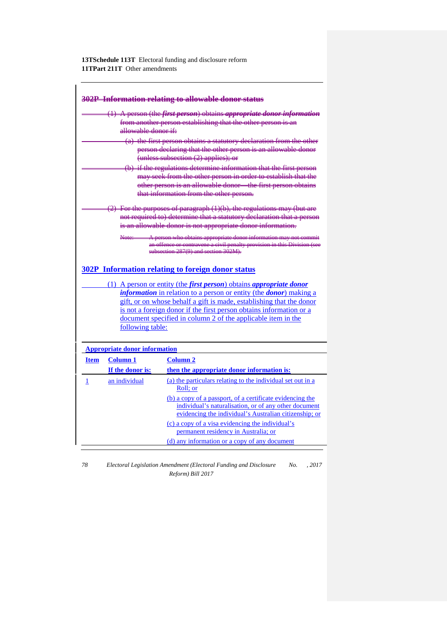|                                                                                                                                                                            |                                                          | 302P Information relating to allowable donor status                                                                                                                                                                                                                                                                                                                                                                                         |
|----------------------------------------------------------------------------------------------------------------------------------------------------------------------------|----------------------------------------------------------|---------------------------------------------------------------------------------------------------------------------------------------------------------------------------------------------------------------------------------------------------------------------------------------------------------------------------------------------------------------------------------------------------------------------------------------------|
|                                                                                                                                                                            | <del>allowable donor if:</del>                           | $(1)$ A person (the <i>first person</i> ) obtains <i>appropriate donor information</i><br>from another person establishing that the other person is an                                                                                                                                                                                                                                                                                      |
|                                                                                                                                                                            |                                                          | (a) the first person obtains a statutory declaration from the other<br>person declaring that the other person is an allowable donor<br>$($ unless subsection $(2)$ applies); or                                                                                                                                                                                                                                                             |
|                                                                                                                                                                            |                                                          | (b) if the regulations determine information that the first person<br>may seek from the other person in order to establish that the<br>other person is an allowable donor—the first person obtains<br>that information from the other person.                                                                                                                                                                                               |
|                                                                                                                                                                            |                                                          | $(2)$ For the purposes of paragraph $(1)(b)$ , the regulations may (but are<br>not required to) determine that a statutory declaration that a person<br>is an allowable donor is not appropriate donor information.                                                                                                                                                                                                                         |
| A person who obtains appropriate donor information may not com-<br>Nete:<br>r contravene a civil penalty provision in this Divisio<br>eubsection 287(9) and section 302M). |                                                          |                                                                                                                                                                                                                                                                                                                                                                                                                                             |
|                                                                                                                                                                            | following table:<br><b>Appropriate donor information</b> | 302P Information relating to foreign donor status<br>(1) A person or entity (the <i>first person</i> ) obtains <i>appropriate donor</i><br><i>information</i> in relation to a person or entity (the <i>donor</i> ) making a<br>gift, or on whose behalf a gift is made, establishing that the donor<br>is not a foreign donor if the first person obtains information or a<br>document specified in column 2 of the applicable item in the |
| <b>Item</b>                                                                                                                                                                | <b>Column</b> 1                                          | <b>Column 2</b>                                                                                                                                                                                                                                                                                                                                                                                                                             |
|                                                                                                                                                                            | If the donor is:                                         | then the appropriate donor information is:                                                                                                                                                                                                                                                                                                                                                                                                  |
| 1                                                                                                                                                                          | an individual                                            | (a) the particulars relating to the individual set out in a<br>Roll; or<br>(b) a copy of a passport, of a certificate evidencing the<br>individual's naturalisation, or of any other document                                                                                                                                                                                                                                               |
|                                                                                                                                                                            |                                                          | evidencing the individual's Australian citizenship; or<br>(c) a copy of a visa evidencing the individual's<br>permanent residency in Australia; or                                                                                                                                                                                                                                                                                          |

*78 Electoral Legislation Amendment (Electoral Funding and Disclosure No. , 2017 Reform) Bill 2017*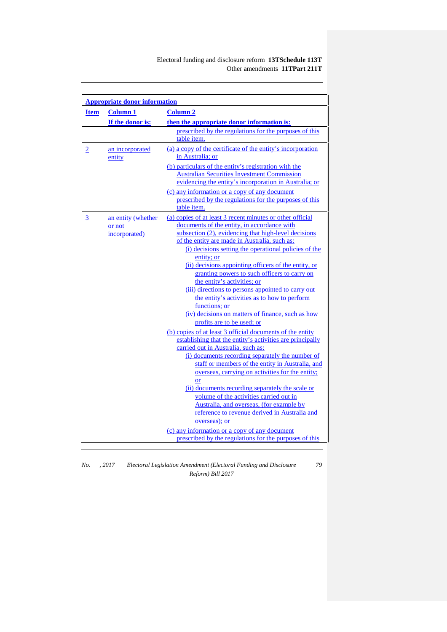|                | <b>Appropriate donor information</b>          |                                                                                                                                                                                                                                                                                                                                                                                                                                                                                                                                                                                                                                                               |  |
|----------------|-----------------------------------------------|---------------------------------------------------------------------------------------------------------------------------------------------------------------------------------------------------------------------------------------------------------------------------------------------------------------------------------------------------------------------------------------------------------------------------------------------------------------------------------------------------------------------------------------------------------------------------------------------------------------------------------------------------------------|--|
| <b>Item</b>    | <b>Column 1</b>                               | <b>Column 2</b>                                                                                                                                                                                                                                                                                                                                                                                                                                                                                                                                                                                                                                               |  |
|                | If the donor is:                              | then the appropriate donor information is:                                                                                                                                                                                                                                                                                                                                                                                                                                                                                                                                                                                                                    |  |
|                |                                               | prescribed by the regulations for the purposes of this<br>table item.                                                                                                                                                                                                                                                                                                                                                                                                                                                                                                                                                                                         |  |
| $\overline{2}$ | an incorporated<br>entity                     | (a) a copy of the certificate of the entity's incorporation<br>in Australia: or                                                                                                                                                                                                                                                                                                                                                                                                                                                                                                                                                                               |  |
|                |                                               | (b) particulars of the entity's registration with the<br><b>Australian Securities Investment Commission</b><br>evidencing the entity's incorporation in Australia; or                                                                                                                                                                                                                                                                                                                                                                                                                                                                                         |  |
|                |                                               | (c) any information or a copy of any document<br>prescribed by the regulations for the purposes of this<br>table item.                                                                                                                                                                                                                                                                                                                                                                                                                                                                                                                                        |  |
| $\overline{3}$ | an entity (whether<br>or not<br>incorporated) | (a) copies of at least 3 recent minutes or other official<br>documents of the entity, in accordance with<br>subsection (2), evidencing that high-level decisions<br>of the entity are made in Australia, such as:<br>(i) decisions setting the operational policies of the<br>entity; or<br>(ii) decisions appointing officers of the entity, or<br>granting powers to such officers to carry on<br>the entity's activities; or<br>(iii) directions to persons appointed to carry out<br>the entity's activities as to how to perform<br>functions: or<br>(iv) decisions on matters of finance, such as how<br>profits are to be used; or                     |  |
|                |                                               | (b) copies of at least 3 official documents of the entity<br>establishing that the entity's activities are principally<br>carried out in Australia, such as:<br>(i) documents recording separately the number of<br>staff or members of the entity in Australia, and<br>overseas, carrying on activities for the entity;<br><b>or</b><br>(ii) documents recording separately the scale or<br>volume of the activities carried out in<br>Australia, and overseas, (for example by<br>reference to revenue derived in Australia and<br>overseas); or<br>(c) any information or a copy of any document<br>prescribed by the regulations for the purposes of this |  |

*No. , 2017 Electoral Legislation Amendment (Electoral Funding and Disclosure Reform) Bill 2017*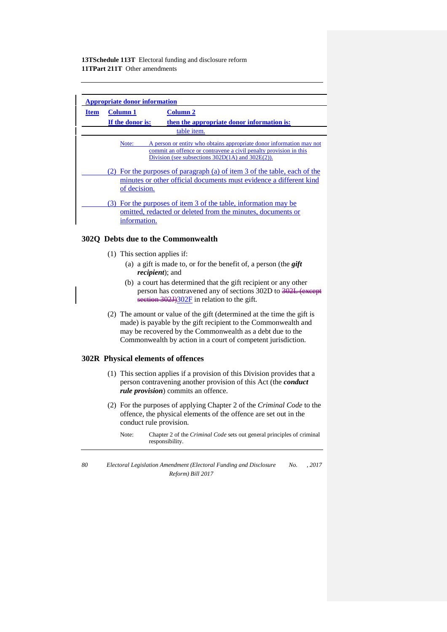| <b>Appropriate donor information</b> |                  |                                                                                                                                                                                                    |  |
|--------------------------------------|------------------|----------------------------------------------------------------------------------------------------------------------------------------------------------------------------------------------------|--|
| <b>Item</b>                          | <b>Column 1</b>  | <b>Column 2</b>                                                                                                                                                                                    |  |
|                                      | If the donor is: | then the appropriate donor information is:                                                                                                                                                         |  |
|                                      |                  | table <i>item</i> .                                                                                                                                                                                |  |
|                                      | Note:            | A person or entity who obtains appropriate donor information may not<br>commit an offence or contravene a civil penalty provision in this<br>Division (see subsections $302D(1A)$ and $302E(2)$ ). |  |
|                                      | of decision.     | (2) For the purposes of paragraph (a) of item 3 of the table, each of the<br>minutes or other official documents must evidence a different kind                                                    |  |
|                                      | information.     | (3) For the purposes of item 3 of the table, information may be<br>omitted, redacted or deleted from the minutes, documents or                                                                     |  |

#### **302Q Debts due to the Commonwealth**

- (1) This section applies if:
	- (a) a gift is made to, or for the benefit of, a person (the *gift recipient*); and
	- (b) a court has determined that the gift recipient or any other person has contravened any of sections 302D to  $\frac{202L}{\text{except}}$ section 302J)302F in relation to the gift.
- (2) The amount or value of the gift (determined at the time the gift is made) is payable by the gift recipient to the Commonwealth and may be recovered by the Commonwealth as a debt due to the Commonwealth by action in a court of competent jurisdiction.

## **302R Physical elements of offences**

- (1) This section applies if a provision of this Division provides that a person contravening another provision of this Act (the *conduct rule provision*) commits an offence.
- (2) For the purposes of applying Chapter 2 of the *Criminal Code* to the offence, the physical elements of the offence are set out in the conduct rule provision.
	- Note: Chapter 2 of the *Criminal Code* sets out general principles of criminal responsibility.
- *80 Electoral Legislation Amendment (Electoral Funding and Disclosure Reform) Bill 2017 No. , 2017*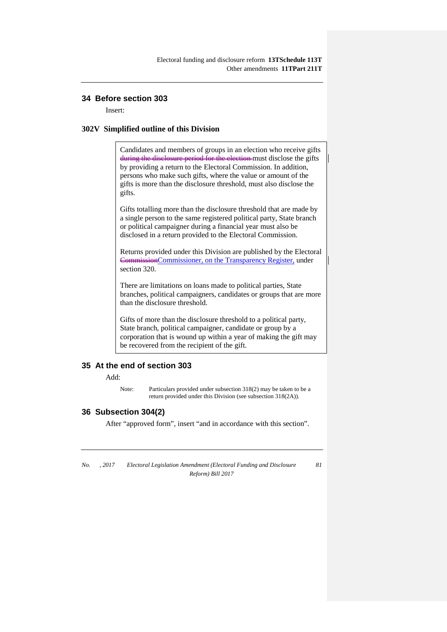## **34 Before section 303**

Insert:

#### **302V Simplified outline of this Division**

Candidates and members of groups in an election who receive gifts during the disclosure period for the election must disclose the gifts by providing a return to the Electoral Commission. In addition, persons who make such gifts, where the value or amount of the gifts is more than the disclosure threshold, must also disclose the gifts.

Gifts totalling more than the disclosure threshold that are made by a single person to the same registered political party, State branch or political campaigner during a financial year must also be disclosed in a return provided to the Electoral Commission.

Returns provided under this Division are published by the Electoral CommissionCommissioner, on the Transparency Register, under section 320.

There are limitations on loans made to political parties, State branches, political campaigners, candidates or groups that are more than the disclosure threshold.

Gifts of more than the disclosure threshold to a political party, State branch, political campaigner, candidate or group by a corporation that is wound up within a year of making the gift may be recovered from the recipient of the gift.

## **35 At the end of section 303**

Add:

Note: Particulars provided under subsection 318(2) may be taken to be a return provided under this Division (see subsection 318(2A)).

#### **36 Subsection 304(2)**

After "approved form", insert "and in accordance with this section".

*No. , 2017 Electoral Legislation Amendment (Electoral Funding and Disclosure Reform) Bill 2017*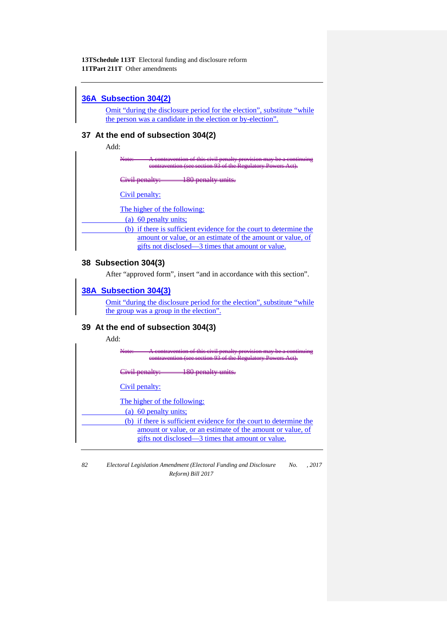# **36A Subsection 304(2)**

Omit "during the disclosure period for the election", substitute "while the person was a candidate in the election or by-election".

# **37 At the end of subsection 304(2)**

Add:

Note: A contravention of this civil penalty provision may be a continuing eontravention (see section 93

Civil penalty: 180 penalty units.

Civil penalty:

The higher of the following:

(a) 60 penalty units;

(b) if there is sufficient evidence for the court to determine the amount or value, or an estimate of the amount or value, of gifts not disclosed—3 times that amount or value.

# **38 Subsection 304(3)**

After "approved form", insert "and in accordance with this section".

# **38A Subsection 304(3)**

Omit "during the disclosure period for the election", substitute "while the group was a group in the election".

# **39 At the end of subsection 304(3)**

Add:

| see section 02 of the Deculatory Dowers                                                                                                                                               |
|---------------------------------------------------------------------------------------------------------------------------------------------------------------------------------------|
| <del>Civil penalty</del>                                                                                                                                                              |
| Civil penalty:                                                                                                                                                                        |
| The higher of the following:<br>(a) 60 penalty units;                                                                                                                                 |
| (b) if there is sufficient evidence for the court to determine the<br>amount or value, or an estimate of the amount or value, of<br>gifts not disclosed—3 times that amount or value. |
|                                                                                                                                                                                       |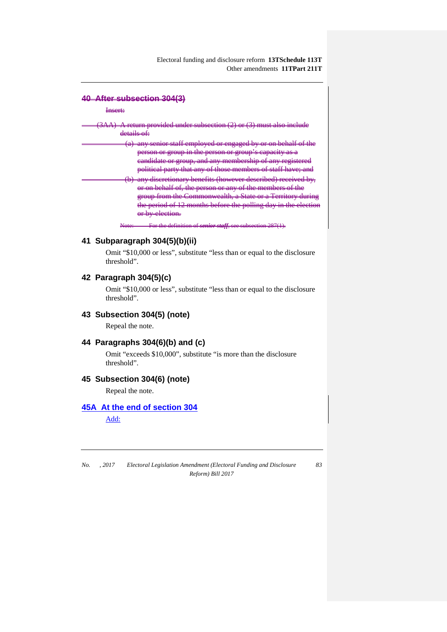#### **40 After subsection 304(3)**

#### Insert:

| 3AA) A return provided under subsection (2) or (3) must also include                                                                                                                                                                                                                                                                                                                 |
|--------------------------------------------------------------------------------------------------------------------------------------------------------------------------------------------------------------------------------------------------------------------------------------------------------------------------------------------------------------------------------------|
| dataile<br>-------------                                                                                                                                                                                                                                                                                                                                                             |
| ony canior staff amployed or angegod by or an babelf of the<br><del>any semor stan employed or engaged by or on benan or the</del>                                                                                                                                                                                                                                                   |
| <u>parson or group in the parson or group's conseity as a</u><br>$\frac{1}{2}$ $\frac{1}{2}$ $\frac{1}{2}$ $\frac{1}{2}$ $\frac{1}{2}$ $\frac{1}{2}$ $\frac{1}{2}$ $\frac{1}{2}$ $\frac{1}{2}$ $\frac{1}{2}$ $\frac{1}{2}$ $\frac{1}{2}$ $\frac{1}{2}$ $\frac{1}{2}$ $\frac{1}{2}$ $\frac{1}{2}$ $\frac{1}{2}$ $\frac{1}{2}$ $\frac{1}{2}$ $\frac{1}{2}$ $\frac{1}{2}$ $\frac{1}{2}$ |
| eandidate or group, and any membership of any registered                                                                                                                                                                                                                                                                                                                             |
| <u>political party that any of those members of staff have, and</u><br>pontrout party that any or those memoris or start nave, and                                                                                                                                                                                                                                                   |
| (b) any discretionary benefits (however described) received by,<br><u>or on bobolf of the person or ony of the mambers of the</u>                                                                                                                                                                                                                                                    |
| <u>UI UII UURKH UI, MU UURUH UI UHA</u><br>group from the Commonwealth, a State or a Territory during                                                                                                                                                                                                                                                                                |
| the period of 12 months before the polling day in the election                                                                                                                                                                                                                                                                                                                       |
| or by election.                                                                                                                                                                                                                                                                                                                                                                      |
| $\Gamma_{\alpha}$ the definition of seview staff, see subsection $297(1)$<br>$N_{\alpha\alpha}$                                                                                                                                                                                                                                                                                      |

## **41 Subparagraph 304(5)(b)(ii)**

Omit "\$10,000 or less", substitute "less than or equal to the disclosure threshold".

# **42 Paragraph 304(5)(c)**

Omit "\$10,000 or less", substitute "less than or equal to the disclosure threshold".

## **43 Subsection 304(5) (note)**

Repeal the note.

## **44 Paragraphs 304(6)(b) and (c)**

Omit "exceeds \$10,000", substitute "is more than the disclosure threshold".

### **45 Subsection 304(6) (note)**

Repeal the note.

## **45A At the end of section 304**

Add:

*No. , 2017 Electoral Legislation Amendment (Electoral Funding and Disclosure Reform) Bill 2017*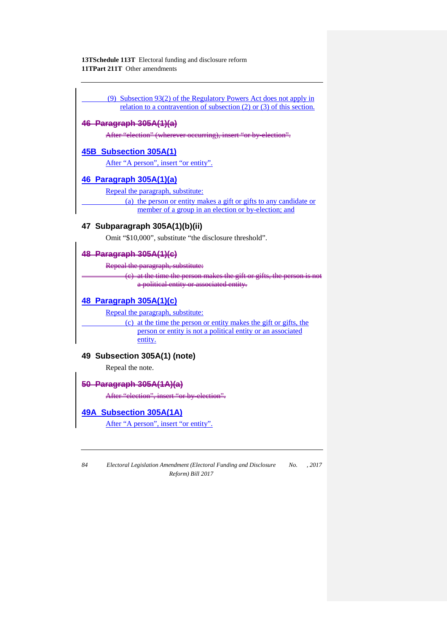(9) Subsection 93(2) of the Regulatory Powers Act does not apply in relation to a contravention of subsection (2) or (3) of this section.

# **46 Paragraph 305A(1)(a)**

After "election" (wherever occurring), insert "or by-election".

# **45B Subsection 305A(1)**

After "A person", insert "or entity".

# **46 Paragraph 305A(1)(a)**

Repeal the paragraph, substitute:

(a) the person or entity makes a gift or gifts to any candidate or member of a group in an election or by-election; and

# **47 Subparagraph 305A(1)(b)(ii)**

Omit "\$10,000", substitute "the disclosure threshold".

### **48 Paragraph 305A(1)(c)**

Repeal the paragraph, substitute:

at the time the person makes the gift or gifts, the person is not a political entity or associated entity.

# **48 Paragraph 305A(1)(c)**

Repeal the paragraph, substitute:

(c) at the time the person or entity makes the gift or gifts, the person or entity is not a political entity or an associated entity.

## **49 Subsection 305A(1) (note)**

Repeal the note.

# **50 Paragraph 305A(1A)(a)**

After "election", insert "or by-election".

## **49A Subsection 305A(1A)**

After "A person", insert "or entity".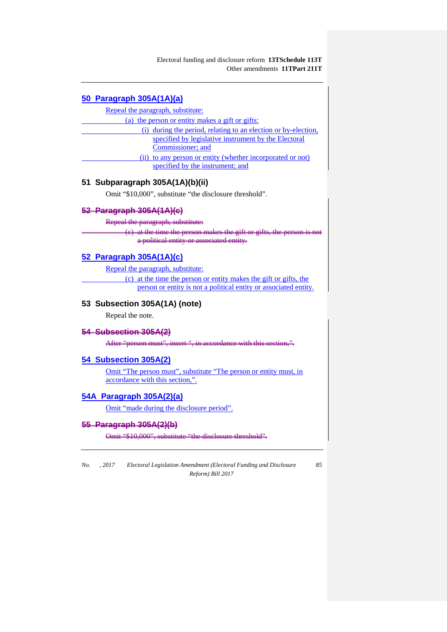# **50 Paragraph 305A(1A)(a)**

Repeal the paragraph, substitute:

(a) the person or entity makes a gift or gifts:

| (i) during the period, relating to an election or by-election, |
|----------------------------------------------------------------|
| specified by legislative instrument by the Electoral           |
| Commissioner; and                                              |
| (ii) to any person or entity (whether incorporated or not)     |
| specified by the instrument; and                               |

# **51 Subparagraph 305A(1A)(b)(ii)**

Omit "\$10,000", substitute "the disclosure threshold".

# **52 Paragraph 305A(1A)(c)**

Repeal the paragraph, substitute:

(c) at the time the person makes the gift or gifts a political entity or associated entity.

# **52 Paragraph 305A(1A)(c)**

Repeal the paragraph, substitute:

(c) at the time the person or entity makes the gift or gifts, the person or entity is not a political entity or associated entity.

# **53 Subsection 305A(1A) (note)**

Repeal the note.

#### **54 Subsection 305A(2)**

After "person must

## **54 Subsection 305A(2)**

Omit "The person must", substitute "The person or entity must, in accordance with this section,".

## **54A Paragraph 305A(2)(a)**

Omit "made during the disclosure period".

## **55 Paragraph 305A(2)(b)**

Omit "\$10,000", substitute "the disclosure threshold".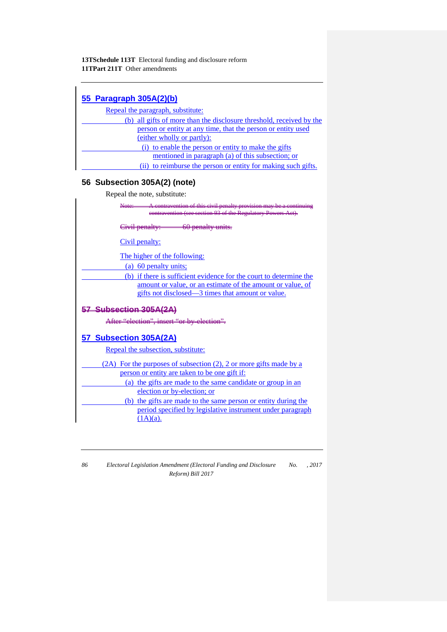| 55 Paragraph 305A(2)(b)                                              |
|----------------------------------------------------------------------|
| Repeal the paragraph, substitute:                                    |
| (b) all gifts of more than the disclosure threshold, received by the |
| person or entity at any time, that the person or entity used         |
| (either wholly or partly):                                           |
| (i) to enable the person or entity to make the gifts                 |
| mentioned in paragraph (a) of this subsection; or                    |
| (ii) to reimburse the person or entity for making such gifts.        |
| 56 Subsection 305A(2) (note)                                         |
| Repeal the note, substitute:                                         |
| A contravention of this civil penalt                                 |
| eontravention (see section 93 of the Regulatory                      |
| Civil penalty: 60 penalty units.                                     |
| Civil penalty:                                                       |
| The higher of the following:                                         |
| (a) 60 penalty units;                                                |
| (b) if there is sufficient evidence for the court to determine the   |
| amount or value, or an estimate of the amount or value, of           |
| gifts not disclosed—3 times that amount or value.                    |
| 57 Subsection 305A(2A)                                               |
| After "election", insert "or by-election".                           |
| 57 Subsection 305A(2A)                                               |
| Repeal the subsection, substitute:                                   |
| (2A) For the purposes of subsection (2), 2 or more gifts made by a   |
| person or entity are taken to be one gift if:                        |
| (a) the gifts are made to the same candidate or group in an          |
| election or by-election; or                                          |
| (b) the gifts are made to the same person or entity during the       |
| period specified by legislative instrument under paragraph           |
| $(1A)(a)$ .                                                          |
|                                                                      |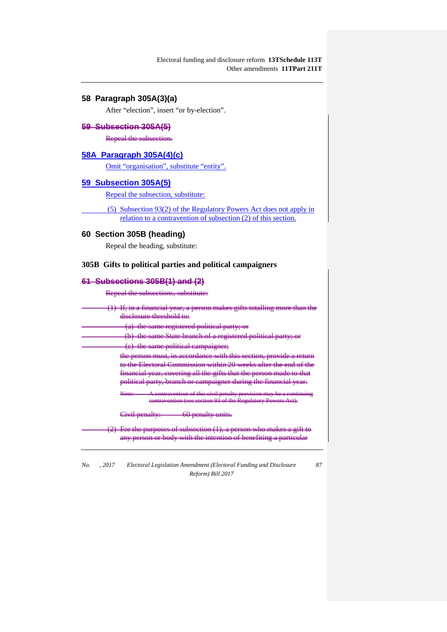# **58 Paragraph 305A(3)(a)**

After "election", insert "or by-election".

## **59 Subsection 305A(5)**

Repeal the subsection.

## **58A Paragraph 305A(4)(c)**

Omit "organisation", substitute "entity".

## **59 Subsection 305A(5)**

Repeal the subsection, substitute:

(5) Subsection 93(2) of the Regulatory Powers Act does not apply in relation to a contravention of subsection (2) of this section.

## **60 Section 305B (heading)**

Repeal the heading, substitute:

## **305B Gifts to political parties and political campaigners**

#### **61 Subsections 305B(1) and (2)**

Repeal the subsections, substitute:

| (1) If, in a financial year, a person makes gifts totalling more than                  |
|----------------------------------------------------------------------------------------|
| diselosure threshold to:                                                               |
| (a) the same registered political party; or                                            |
| (b) the same State branch of a registered political party; or                          |
| (e) the same political campaigner;                                                     |
| the person must, in accordance with this section, provide a return                     |
| to the Electoral Commission within 20 weeks after the end of the                       |
| financial year, covering all the gifts that the person made to that                    |
| political party, branch or campaigner during the financial year.                       |
| Note: $\overline{A}$ contravention of this civil penalty provision may be a continuing |
| contravention (see section 93 of the Regulatory Powers Act).                           |
| Civil penalty:<br><del>- 60 penalty units.</del>                                       |
| $(2)$ For the purposes of subsection $(1)$ , a person who makes a gi                   |
| body with the intention of benefiting a parti-                                         |

*No. , 2017 Electoral Legislation Amendment (Electoral Funding and Disclosure Reform) Bill 2017*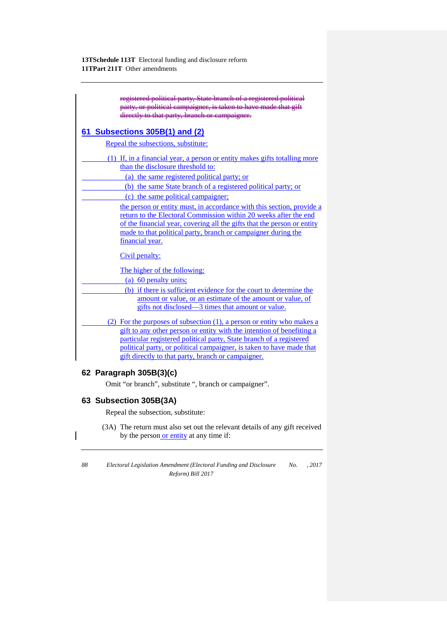| registered political party, State branch of a registered political<br>party, or political campaigner, is taken to have made that gift<br>directly to that party, branch or campaigner. |
|----------------------------------------------------------------------------------------------------------------------------------------------------------------------------------------|
| 61 Subsections 305B(1) and (2)                                                                                                                                                         |
| Repeal the subsections, substitute:                                                                                                                                                    |
| (1) If, in a financial year, a person or entity makes gifts totalling more                                                                                                             |
| than the disclosure threshold to:                                                                                                                                                      |
| (a) the same registered political party; or                                                                                                                                            |
| (b) the same State branch of a registered political party; or                                                                                                                          |
| (c) the same political campaigner;                                                                                                                                                     |
| the person or entity must, in accordance with this section, provide a                                                                                                                  |
| return to the Electoral Commission within 20 weeks after the end                                                                                                                       |
| of the financial year, covering all the gifts that the person or entity                                                                                                                |
| made to that political party, branch or campaigner during the<br>financial year.                                                                                                       |
|                                                                                                                                                                                        |
| Civil penalty:                                                                                                                                                                         |
| The higher of the following:                                                                                                                                                           |
| (a) 60 penalty units;                                                                                                                                                                  |
| (b) if there is sufficient evidence for the court to determine the                                                                                                                     |
| amount or value, or an estimate of the amount or value, of                                                                                                                             |
| gifts not disclosed—3 times that amount or value.                                                                                                                                      |
| (2) For the purposes of subsection (1), a person or entity who makes a                                                                                                                 |
| gift to any other person or entity with the intention of benefiting a                                                                                                                  |
| particular registered political party, State branch of a registered                                                                                                                    |
| political party, or political campaigner, is taken to have made that                                                                                                                   |
| gift directly to that party, branch or campaigner.                                                                                                                                     |
| 62 Paragraph 305B(3)(c)                                                                                                                                                                |

Omit "or branch", substitute ", branch or campaigner".

# **63 Subsection 305B(3A)**

Repeal the subsection, substitute:

(3A) The return must also set out the relevant details of any gift received by the person or entity at any time if:

*88 Electoral Legislation Amendment (Electoral Funding and Disclosure No. , 2017 Reform) Bill 2017*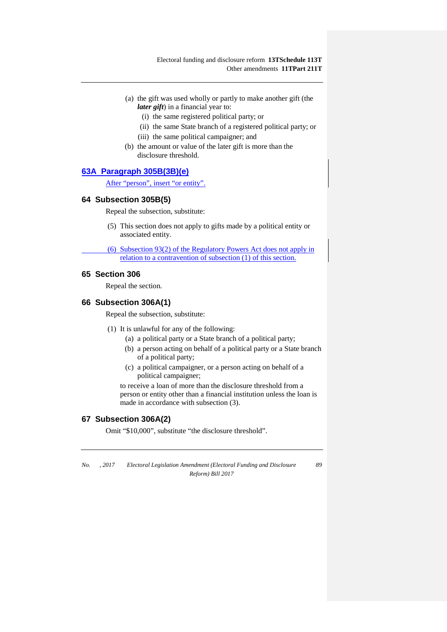- (a) the gift was used wholly or partly to make another gift (the *later gift*) in a financial year to:
	- (i) the same registered political party; or
	- (ii) the same State branch of a registered political party; or
	- (iii) the same political campaigner; and
- (b) the amount or value of the later gift is more than the disclosure threshold.

## **63A Paragraph 305B(3B)(e)**

After "person", insert "or entity".

#### **64 Subsection 305B(5)**

Repeal the subsection, substitute:

(5) This section does not apply to gifts made by a political entity or associated entity.

(6) Subsection 93(2) of the Regulatory Powers Act does not apply in relation to a contravention of subsection (1) of this section.

## **65 Section 306**

Repeal the section.

## **66 Subsection 306A(1)**

Repeal the subsection, substitute:

- (1) It is unlawful for any of the following:
	- (a) a political party or a State branch of a political party;
	- (b) a person acting on behalf of a political party or a State branch of a political party;
	- (c) a political campaigner, or a person acting on behalf of a political campaigner;

to receive a loan of more than the disclosure threshold from a person or entity other than a financial institution unless the loan is made in accordance with subsection (3).

## **67 Subsection 306A(2)**

Omit "\$10,000", substitute "the disclosure threshold".

*No. , 2017 Electoral Legislation Amendment (Electoral Funding and Disclosure Reform) Bill 2017*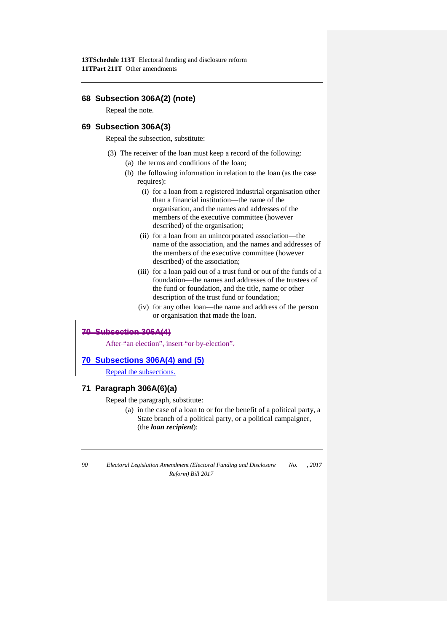## **68 Subsection 306A(2) (note)**

Repeal the note.

# **69 Subsection 306A(3)**

Repeal the subsection, substitute:

- (3) The receiver of the loan must keep a record of the following:
	- (a) the terms and conditions of the loan;
	- (b) the following information in relation to the loan (as the case requires):
		- (i) for a loan from a registered industrial organisation other than a financial institution—the name of the organisation, and the names and addresses of the members of the executive committee (however described) of the organisation;
		- (ii) for a loan from an unincorporated association—the name of the association, and the names and addresses of the members of the executive committee (however described) of the association;
		- (iii) for a loan paid out of a trust fund or out of the funds of a foundation—the names and addresses of the trustees of the fund or foundation, and the title, name or other description of the trust fund or foundation;
		- (iv) for any other loan—the name and address of the person or organisation that made the loan.

## **70 Subsection 306A(4)**

After "an election", insert "or by-election".

### **70 Subsections 306A(4) and (5)**

Repeal the subsections.

#### **71 Paragraph 306A(6)(a)**

Repeal the paragraph, substitute:

(a) in the case of a loan to or for the benefit of a political party, a State branch of a political party, or a political campaigner, (the *loan recipient*):

*<sup>90</sup> Electoral Legislation Amendment (Electoral Funding and Disclosure Reform) Bill 2017 No. , 2017*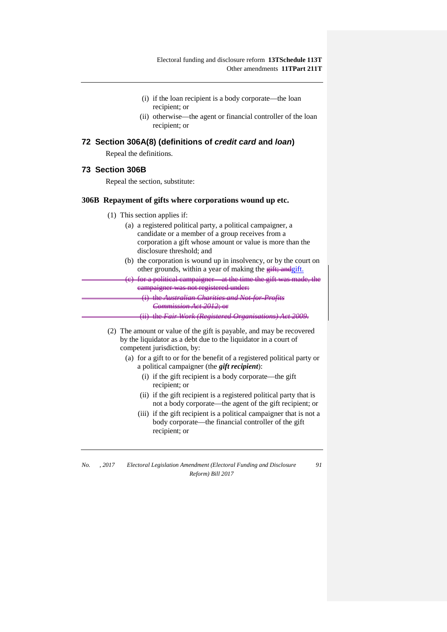- (i) if the loan recipient is a body corporate—the loan recipient; or
- (ii) otherwise—the agent or financial controller of the loan recipient; or

### **72 Section 306A(8) (definitions of** *credit card* **and** *loan***)**

Repeal the definitions.

### **73 Section 306B**

Repeal the section, substitute:

#### **306B Repayment of gifts where corporations wound up etc.**

- (1) This section applies if:
	- (a) a registered political party, a political campaigner, a candidate or a member of a group receives from a corporation a gift whose amount or value is more than the disclosure threshold; and
	- (b) the corporation is wound up in insolvency, or by the court on other grounds, within a year of making the eift; and gift.

for a political campaigner—at the time the gift was made campaigner was not registered under: (i) the *Australian Charities and Not-for-Profits* 

*Commission Act 2012*; or

(ii) the *Fair Work (Registered Organisations) Act 2009*.

- (2) The amount or value of the gift is payable, and may be recovered by the liquidator as a debt due to the liquidator in a court of competent jurisdiction, by:
	- (a) for a gift to or for the benefit of a registered political party or a political campaigner (the *gift recipient*):
		- (i) if the gift recipient is a body corporate—the gift recipient; or
		- (ii) if the gift recipient is a registered political party that is not a body corporate—the agent of the gift recipient; or
		- (iii) if the gift recipient is a political campaigner that is not a body corporate—the financial controller of the gift recipient; or

| No. | .2017 | Electoral Legislation Amendment (Electoral Funding and Disclosure | 91 |
|-----|-------|-------------------------------------------------------------------|----|
|     |       | Reform) Bill 2017                                                 |    |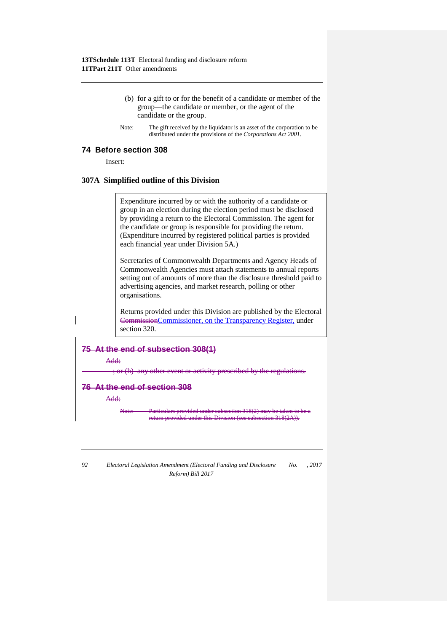- (b) for a gift to or for the benefit of a candidate or member of the group—the candidate or member, or the agent of the candidate or the group.
- Note: The gift received by the liquidator is an asset of the corporation to be distributed under the provisions of the *Corporations Act 2001*.

#### **74 Before section 308**

Insert:

#### **307A Simplified outline of this Division**

Expenditure incurred by or with the authority of a candidate or group in an election during the election period must be disclosed by providing a return to the Electoral Commission. The agent for the candidate or group is responsible for providing the return. (Expenditure incurred by registered political parties is provided each financial year under Division 5A.)

Secretaries of Commonwealth Departments and Agency Heads of Commonwealth Agencies must attach statements to annual reports setting out of amounts of more than the disclosure threshold paid to advertising agencies, and market research, polling or other organisations.

Returns provided under this Division are published by the Electoral CommissionCommissioner, on the Transparency Register, under section 320.

# **75 At the end of subsection 308(1)**

Add:

; or (h) any other event or activity prescribed by the regulations.

#### **76 At the end of section 308**

Add:

Note: Particulars provided under subsection 318(2) may be taken to be a return provided under this Division (see subsection 318(2A)).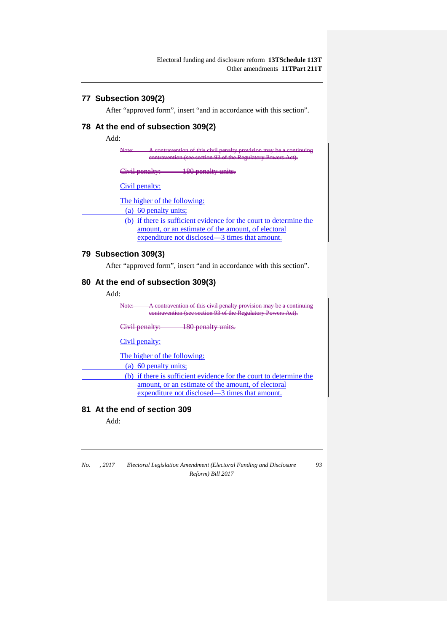# **77 Subsection 309(2)**

After "approved form", insert "and in accordance with this section".

# **78 At the end of subsection 309(2)**

Add:

Note: A contravention of this civil penalty provision may be a continuing contravention (see section 93 of the Regulatory Powers Act).

Civil penalty: 180 penalty units.

Civil penalty:

The higher of the following:

(a) 60 penalty units;

(b) if there is sufficient evidence for the court to determine the amount, or an estimate of the amount, of electoral expenditure not disclosed—3 times that amount.

# **79 Subsection 309(3)**

After "approved form", insert "and in accordance with this section".

# **80 At the end of subsection 309(3)**

Add:

Note: A contravention of this civil penalty provision may be a continuing contravention (see section 93 of the Regulatory Powers Act).

Civil penalty: 180 penalty units.

Civil penalty:

The higher of the following:

(a) 60 penalty units;

(b) if there is sufficient evidence for the court to determine the amount, or an estimate of the amount, of electoral expenditure not disclosed—3 times that amount.

# **81 At the end of section 309**

Add: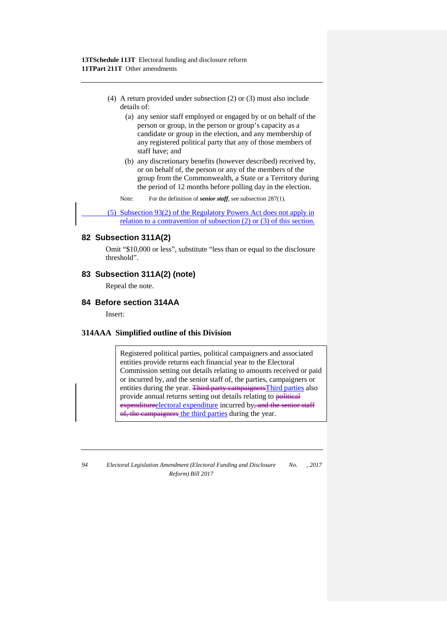- (4) A return provided under subsection (2) or (3) must also include details of:
	- (a) any senior staff employed or engaged by or on behalf of the person or group, in the person or group's capacity as a candidate or group in the election, and any membership of any registered political party that any of those members of staff have; and
	- (b) any discretionary benefits (however described) received by, or on behalf of, the person or any of the members of the group from the Commonwealth, a State or a Territory during the period of 12 months before polling day in the election.

Note: For the definition of *senior staff*, see subsection 287(1).

(5) Subsection 93(2) of the Regulatory Powers Act does not apply in relation to a contravention of subsection (2) or (3) of this section.

### **82 Subsection 311A(2)**

Omit "\$10,000 or less", substitute "less than or equal to the disclosure threshold".

## **83 Subsection 311A(2) (note)**

Repeal the note.

### **84 Before section 314AA**

Insert:

## **314AAA Simplified outline of this Division**

Registered political parties, political campaigners and associated entities provide returns each financial year to the Electoral Commission setting out details relating to amounts received or paid or incurred by, and the senior staff of, the parties, campaigners or entities during the year. Third party campaigners Third parties also provide annual returns setting out details relating to political expenditureelectoral expenditure incurred by, and the senior staff of, the campaigners the third parties during the year.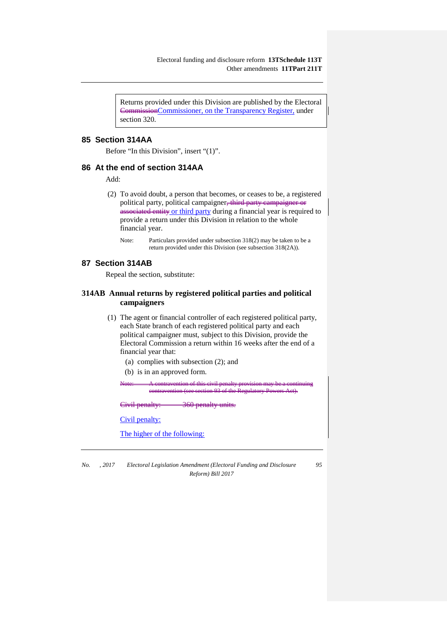Returns provided under this Division are published by the Electoral CommissionCommissioner, on the Transparency Register, under section 320.

## **85 Section 314AA**

Before "In this Division", insert "(1)".

#### **86 At the end of section 314AA**

Add:

(2) To avoid doubt, a person that becomes, or ceases to be, a registered political party, political campaigner<del>, third party campaig</del> associated entity or third party during a financial year is required to provide a return under this Division in relation to the whole financial year.

Note: Particulars provided under subsection 318(2) may be taken to be a return provided under this Division (see subsection 318(2A)).

#### **87 Section 314AB**

Repeal the section, substitute:

## **314AB Annual returns by registered political parties and political campaigners**

- (1) The agent or financial controller of each registered political party, each State branch of each registered political party and each political campaigner must, subject to this Division, provide the Electoral Commission a return within 16 weeks after the end of a financial year that:
	- (a) complies with subsection (2); and
	- (b) is in an approved form.

Note: A contravention of this civil penalty provision may be a continuing contravention (see section 93 of the Regulatory Powers Act).

Ci<del>vil penalt</del>

Civil penalty:

The higher of the following:

*No. , 2017 Electoral Legislation Amendment (Electoral Funding and Disclosure Reform) Bill 2017*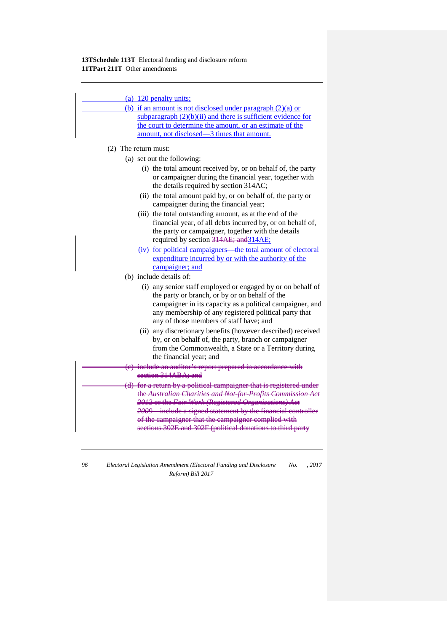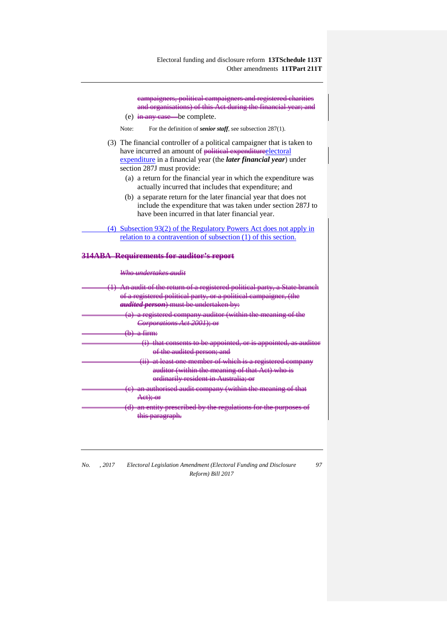campaigners, political campaigners and registered charities and organisations) of this Act during the financial year; and (e)  $\frac{1}{2}$  in any case—be complete. Note: For the definition of *senior staff*, see subsection 287(1). (3) The financial controller of a political campaigner that is taken to have incurred an amount of political expendituredlectoral expenditure in a financial year (the *later financial year*) under section 287J must provide: (a) a return for the financial year in which the expenditure was actually incurred that includes that expenditure; and (b) a separate return for the later financial year that does not include the expenditure that was taken under section 287J to have been incurred in that later financial year. (4) Subsection 93(2) of the Regulatory Powers Act does not apply in relation to a contravention of subsection (1) of this section. **314ABA Requirements for auditor's report** *Who undertakes audit* (1) An audit of the return of a registered political party, a State branch of a registered political party, or a political campaigner, (the *audited person*) must be undertaken by: (a) a registered company auditor (within the meaning of the *Corporations Act 2001*); or  ${\rm firm}$ (i) that consents to be appointed, or is appointed, as auditor of the audited person; and (ii) at least one member of which is a registered company ithin the ordinarily resident in Australia; or (c) an authorised audit company (within the meaning of that  $A$ ot); (d) an entity prescribed by the regulations for the purposes of this paragraph.

*No. , 2017 Electoral Legislation Amendment (Electoral Funding and Disclosure Reform) Bill 2017*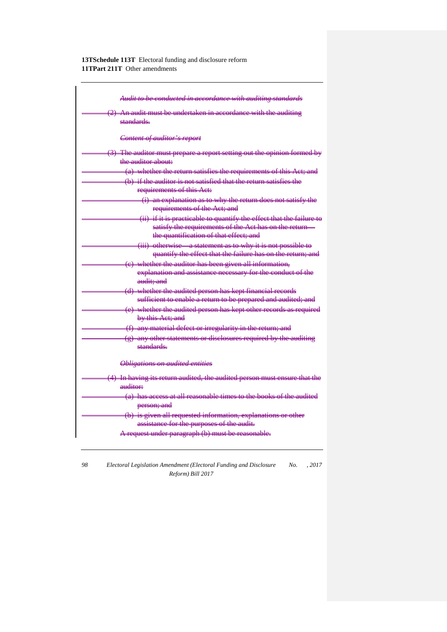| Audit to be conducted in accordance with auditing standards                                  |
|----------------------------------------------------------------------------------------------|
| (2) An audit must be undertaken in accordance with the auditing                              |
| standards.                                                                                   |
| Content of auditor's report                                                                  |
| (3) The auditor must prepare a report setting out the opinion formed by                      |
| the auditor about:                                                                           |
| (a) whether the return satisfies the requirements of this Act; and                           |
| (b) if the auditor is not satisfied that the return satisfies the                            |
| requirements of this Act:                                                                    |
| (i) an explanation as to why the return does not satisfy the<br>requirements of the Act; and |
| (ii) if it is practicable to quantify the effect that the failure to                         |
| satisfy the requirements of the Act has on the return-                                       |
| the quantification of that effect; and                                                       |
| (iii) otherwise a statement as to why it is not possible to                                  |
| quantify the effect that the failure has on the return; and                                  |
| (e) whether the auditor has been given all information,                                      |
| explanation and assistance necessary for the conduct of the                                  |
| audit: and                                                                                   |
| (d) whether the audited person has kept financial records                                    |
| sufficient to enable a return to be prepared and audited; and                                |
| (e) whether the audited person has kept other records as required<br>by this Act; and        |
| (f) any material defect or irregularity in the return; and                                   |
| (g) any other statements or diselosures required by the auditing                             |
| etandarde                                                                                    |
| <b>Obligations on audited entities</b>                                                       |
| (4) In having its return audited, the audited person must ensure that the                    |
| auditor                                                                                      |
| (a) has access at all reasonable times to the books of the audited                           |
| person; and                                                                                  |
| (b) is given all requested information, explanations or other                                |
| assistance for the purposes of the audit.                                                    |
| A request under paragraph (b) must be reasonable.                                            |
|                                                                                              |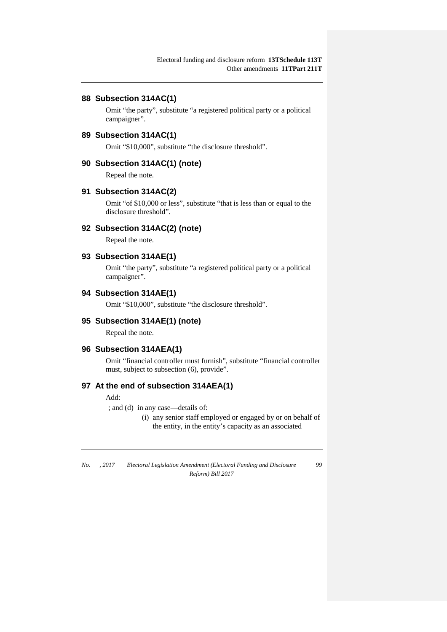#### **88 Subsection 314AC(1)**

Omit "the party", substitute "a registered political party or a political campaigner".

#### **89 Subsection 314AC(1)**

Omit "\$10,000", substitute "the disclosure threshold".

#### **90 Subsection 314AC(1) (note)**

Repeal the note.

#### **91 Subsection 314AC(2)**

Omit "of \$10,000 or less", substitute "that is less than or equal to the disclosure threshold".

#### **92 Subsection 314AC(2) (note)**

Repeal the note.

#### **93 Subsection 314AE(1)**

Omit "the party", substitute "a registered political party or a political campaigner".

# **94 Subsection 314AE(1)**

Omit "\$10,000", substitute "the disclosure threshold".

#### **95 Subsection 314AE(1) (note)**

Repeal the note.

#### **96 Subsection 314AEA(1)**

Omit "financial controller must furnish", substitute "financial controller must, subject to subsection (6), provide".

# **97 At the end of subsection 314AEA(1)**

#### Add:

; and (d) in any case—details of:

(i) any senior staff employed or engaged by or on behalf of the entity, in the entity's capacity as an associated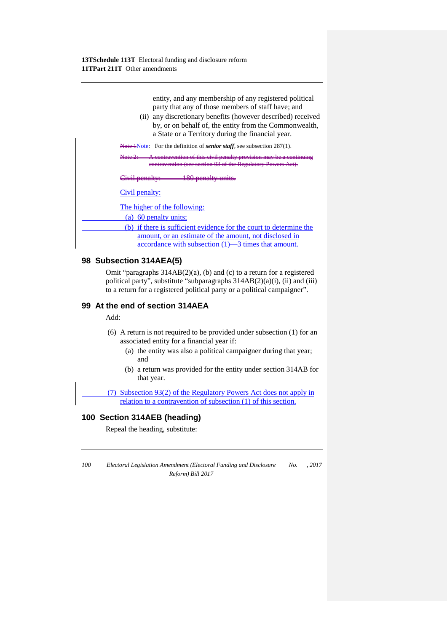entity, and any membership of any registered political party that any of those members of staff have; and

(ii) any discretionary benefits (however described) received by, or on behalf of, the entity from the Commonwealth, a State or a Territory during the financial year.

Hote 1Note: For the definition of *senior staff*, see subsection 287(1).

Note 2: A contravention of this civil penalty provision may be a continuing contravention (see section 93 of the Regulatory Powers Act).

Civil penalty: 180 penalty units.

Civil penalty:

The higher of the following:

(a) 60 penalty units;

(b) if there is sufficient evidence for the court to determine the amount, or an estimate of the amount, not disclosed in accordance with subsection (1)—3 times that amount.

## **98 Subsection 314AEA(5)**

Omit "paragraphs 314AB(2)(a), (b) and (c) to a return for a registered political party", substitute "subparagraphs  $314AB(2)(a)(i)$ , (ii) and (iii) to a return for a registered political party or a political campaigner".

# **99 At the end of section 314AEA**

Add:

- (6) A return is not required to be provided under subsection (1) for an associated entity for a financial year if:
	- (a) the entity was also a political campaigner during that year; and
	- (b) a return was provided for the entity under section 314AB for that year.

(7) Subsection 93(2) of the Regulatory Powers Act does not apply in relation to a contravention of subsection (1) of this section.

# **100 Section 314AEB (heading)**

Repeal the heading, substitute: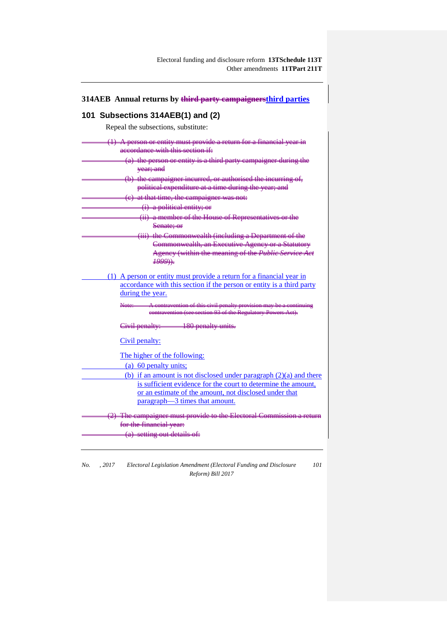| 314AEB Annual returns by third party campaignersthird parties                                             |  |  |
|-----------------------------------------------------------------------------------------------------------|--|--|
| 101 Subsections 314AEB(1) and (2)                                                                         |  |  |
| Repeal the subsections, substitute:                                                                       |  |  |
|                                                                                                           |  |  |
| $(1)$ A person or entity must provide a return for a financial year in<br>accordance with this section if |  |  |
| (a) the person or entity is a third party campaigner during the                                           |  |  |
| <del>vear; and</del>                                                                                      |  |  |
| (b) the campaigner incurred, or authorised the incurring of,                                              |  |  |
| political expenditure at a time during the year; and                                                      |  |  |
| (e) at that time, the campaigner was not:                                                                 |  |  |
| (i) a political entity; or                                                                                |  |  |
| (ii) a member of the House of Representatives or the<br>Senate; or                                        |  |  |
| (iii) the Commonwealth (including a Department of the                                                     |  |  |
| Commonwealth, an Executive Agency or a Statutory                                                          |  |  |
| Ageney (within the meaning of the Public Service Act<br>$\frac{1999}{1}$                                  |  |  |
| (1) A person or entity must provide a return for a financial year in                                      |  |  |
| accordance with this section if the person or entity is a third party                                     |  |  |
| during the year.                                                                                          |  |  |
| A contravention of this civil penalty provision may be a continuing<br><del>Nate:</del>                   |  |  |
| contravention (see section 93 of the Regulatory Powers Act).                                              |  |  |
| Civil penalty: 180 penalty units.                                                                         |  |  |
| Civil penalty:                                                                                            |  |  |
| The higher of the following:                                                                              |  |  |
| (a) 60 penalty units;                                                                                     |  |  |
| (b) if an amount is not disclosed under paragraph $(2)(a)$ and there                                      |  |  |
| is sufficient evidence for the court to determine the amount,                                             |  |  |
| or an estimate of the amount, not disclosed under that                                                    |  |  |
| paragraph—3 times that amount.                                                                            |  |  |
| (2) The campaigner must provide to the Electoral Commission a return                                      |  |  |
| for the financial year:                                                                                   |  |  |
| (a) setting out details of:                                                                               |  |  |
|                                                                                                           |  |  |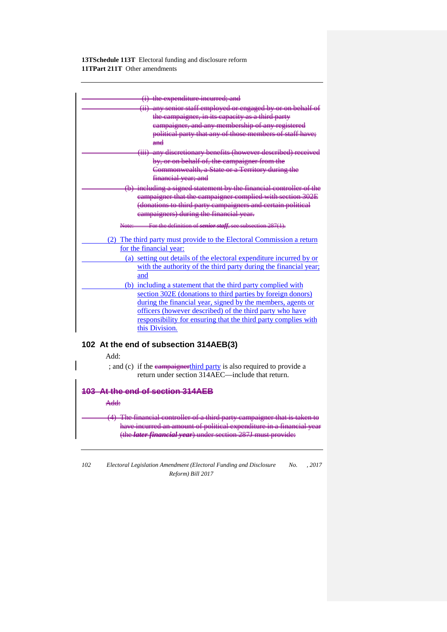

## **102 At the end of subsection 314AEB(3)**

Add:

; and (c) if the eampaignerthird party is also required to provide a return under section 314AEC—include that return.

#### **103 At the end of section 314AEB**

#### Add:

(4) The financial controller of a third party have incurred an amount of political expenditure in a financial y (the *later financial year*) under section 287J must provide: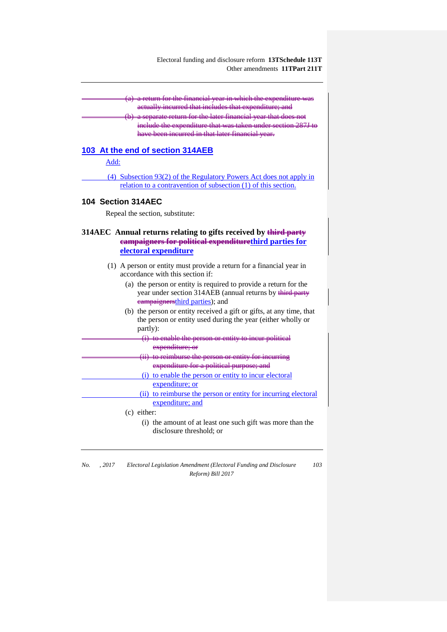(a) a return for the financial year in which the expenditure was actually incurred that includes that expenditure; and

(b) a separate return for the later financial year that does not enditure that was tak have been incurred in that later finan

#### **103 At the end of section 314AEB**

Add:

(4) Subsection 93(2) of the Regulatory Powers Act does not apply in relation to a contravention of subsection (1) of this section.

#### **104 Section 314AEC**

Repeal the section, substitute:

## **314AEC Annual returns relating to gifts received by third party campaigners for political expenditurethird parties for electoral expenditure**

- (1) A person or entity must provide a return for a financial year in accordance with this section if:
	- (a) the person or entity is required to provide a return for the year under section 314AEB (annual returns by third party campaignersthird parties); and
	- (b) the person or entity received a gift or gifts, at any time, that the person or entity used during the year (either wholly or partly):
- (i) to enable the person or entity to incur political expenditure; or (ii) to reimburse the person or entity for incurring expenditure for a political purpose; and (i) to enable the person or entity to incur electoral expenditure; or (ii) to reimburse the person or entity for incurring electoral expenditure; and (c) either:
	- (i) the amount of at least one such gift was more than the disclosure threshold; or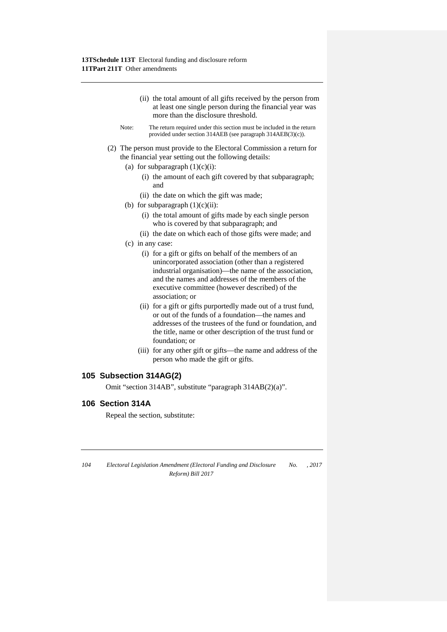- (ii) the total amount of all gifts received by the person from at least one single person during the financial year was more than the disclosure threshold.
- Note: The return required under this section must be included in the return provided under section 314AEB (see paragraph 314AEB(3)(c)).
- (2) The person must provide to the Electoral Commission a return for the financial year setting out the following details:
	- (a) for subparagraph  $(1)(c)(i)$ :
		- (i) the amount of each gift covered by that subparagraph; and
		- (ii) the date on which the gift was made;
	- (b) for subparagraph  $(1)(c)(ii)$ :
		- (i) the total amount of gifts made by each single person who is covered by that subparagraph; and
		- (ii) the date on which each of those gifts were made; and
	- (c) in any case:
		- (i) for a gift or gifts on behalf of the members of an unincorporated association (other than a registered industrial organisation)—the name of the association, and the names and addresses of the members of the executive committee (however described) of the association; or
		- (ii) for a gift or gifts purportedly made out of a trust fund, or out of the funds of a foundation—the names and addresses of the trustees of the fund or foundation, and the title, name or other description of the trust fund or foundation; or
		- (iii) for any other gift or gifts—the name and address of the person who made the gift or gifts.

## **105 Subsection 314AG(2)**

Omit "section 314AB", substitute "paragraph 314AB(2)(a)".

# **106 Section 314A**

Repeal the section, substitute:

| 104 | Electoral Legislation Amendment (Electoral Funding and Disclosure | No. | . 2017 |
|-----|-------------------------------------------------------------------|-----|--------|
|     | Reform) Bill 2017                                                 |     |        |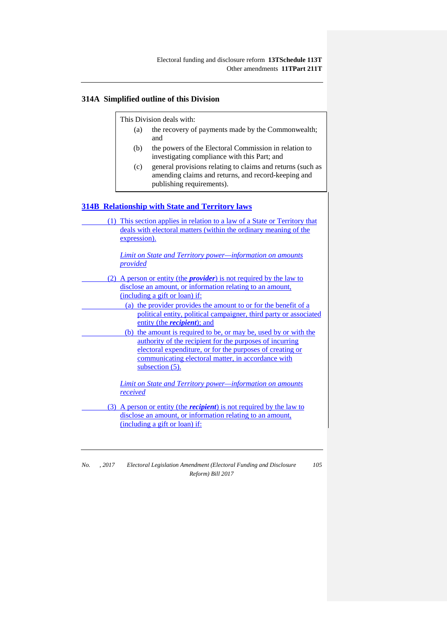## **314A Simplified outline of this Division**

This Division deals with:

- (a) the recovery of payments made by the Commonwealth; and
- (b) the powers of the Electoral Commission in relation to investigating compliance with this Part; and
- (c) general provisions relating to claims and returns (such as amending claims and returns, and record-keeping and publishing requirements).

## **314B Relationship with State and Territory laws**

| (1) This section applies in relation to a law of a State or Territory that<br>deals with electoral matters (within the ordinary meaning of the<br>expression).                                                                                                        |
|-----------------------------------------------------------------------------------------------------------------------------------------------------------------------------------------------------------------------------------------------------------------------|
| Limit on State and Territory power-information on amounts<br>provided                                                                                                                                                                                                 |
| (2) A person or entity (the <i>provider</i> ) is not required by the law to                                                                                                                                                                                           |
| disclose an amount, or information relating to an amount,<br>(including a gift or loan) if:<br>(a) the provider provides the amount to or for the benefit of a                                                                                                        |
| political entity, political campaigner, third party or associated<br>entity (the <i>recipient</i> ); and                                                                                                                                                              |
| (b) the amount is required to be, or may be, used by or with the<br>authority of the recipient for the purposes of incurring<br>electoral expenditure, or for the purposes of creating or<br>communicating electoral matter, in accordance with<br>subsection $(5)$ . |
| Limit on State and Territory power—information on amounts<br>received                                                                                                                                                                                                 |

(3) A person or entity (the *recipient*) is not required by the law to disclose an amount, or information relating to an amount, (including a gift or loan) if:

| No. | .2017 | Electoral Legislation Amendment (Electoral Funding and Disclosure | 105 |
|-----|-------|-------------------------------------------------------------------|-----|
|     |       | Reform) Bill 2017                                                 |     |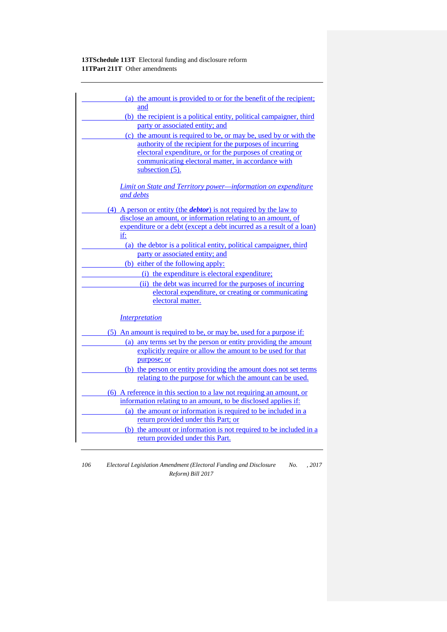| (a) the amount is provided to or for the benefit of the recipient;        |
|---------------------------------------------------------------------------|
| and                                                                       |
| (b) the recipient is a political entity, political campaigner, third      |
| party or associated entity; and                                           |
| (c) the amount is required to be, or may be, used by or with the          |
| authority of the recipient for the purposes of incurring                  |
| electoral expenditure, or for the purposes of creating or                 |
| communicating electoral matter, in accordance with                        |
| subsection (5).                                                           |
| <b>Limit on State and Territory power-information on expenditure</b>      |
| and debts                                                                 |
|                                                                           |
| (4) A person or entity (the <i>debtor</i> ) is not required by the law to |
| disclose an amount, or information relating to an amount, of              |
| expenditure or a debt (except a debt incurred as a result of a loan)      |
| if:                                                                       |
| (a) the debtor is a political entity, political campaigner, third         |
| party or associated entity; and                                           |
| (b) either of the following apply:                                        |
| (i) the expenditure is electoral expenditure;                             |
| (ii) the debt was incurred for the purposes of incurring                  |
| electoral expenditure, or creating or communicating                       |
| electoral matter.                                                         |
|                                                                           |
| <i>Interpretation</i>                                                     |
| (5) An amount is required to be, or may be, used for a purpose if:        |
| (a) any terms set by the person or entity providing the amount            |
| explicitly require or allow the amount to be used for that                |
| purpose; or                                                               |
| (b) the person or entity providing the amount does not set terms          |
| relating to the purpose for which the amount can be used.                 |
|                                                                           |
| (6) A reference in this section to a law not requiring an amount, or      |
| information relating to an amount, to be disclosed applies if:            |
| (a) the amount or information is required to be included in a             |
| return provided under this Part; or                                       |
| (b) the amount or information is not required to be included in a         |
| return provided under this Part.                                          |
|                                                                           |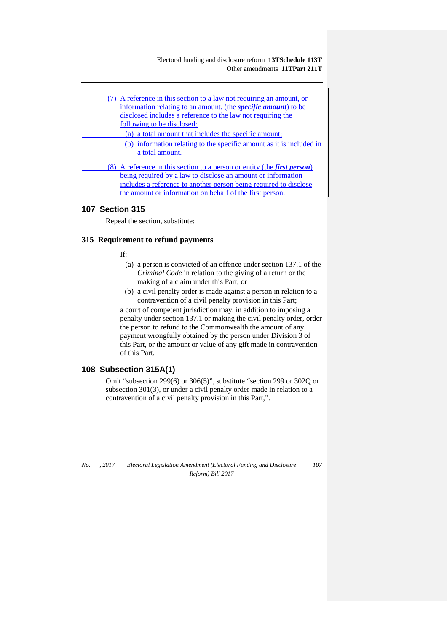Electoral funding and disclosure reform **13TSchedule 113T** Other amendments **11TPart 211T**

| (7) A reference in this section to a law not requiring an amount, or<br>information relating to an amount, (the <i>specific amount</i> ) to be |
|------------------------------------------------------------------------------------------------------------------------------------------------|
| disclosed includes a reference to the law not requiring the                                                                                    |
| following to be disclosed:                                                                                                                     |
| (a) a total amount that includes the specific amount;<br>(b) information relating to the specific amount as it is included in                  |
| a total amount.                                                                                                                                |
| (8) A reference in this section to a person or entity (the <i>first person</i> )                                                               |
| being required by a law to disclose an amount or information                                                                                   |
| includes a reference to another person being required to disclose<br>the amount or information on behalf of the first person.                  |

# **107 Section 315**

Repeal the section, substitute:

#### **315 Requirement to refund payments**

If:

- (a) a person is convicted of an offence under section 137.1 of the *Criminal Code* in relation to the giving of a return or the making of a claim under this Part; or
- (b) a civil penalty order is made against a person in relation to a contravention of a civil penalty provision in this Part;

a court of competent jurisdiction may, in addition to imposing a penalty under section 137.1 or making the civil penalty order, order the person to refund to the Commonwealth the amount of any payment wrongfully obtained by the person under Division 3 of this Part, or the amount or value of any gift made in contravention of this Part.

# **108 Subsection 315A(1)**

Omit "subsection 299(6) or 306(5)", substitute "section 299 or 302Q or subsection 301(3), or under a civil penalty order made in relation to a contravention of a civil penalty provision in this Part,".

*No. , 2017 Electoral Legislation Amendment (Electoral Funding and Disclosure Reform) Bill 2017*

*107*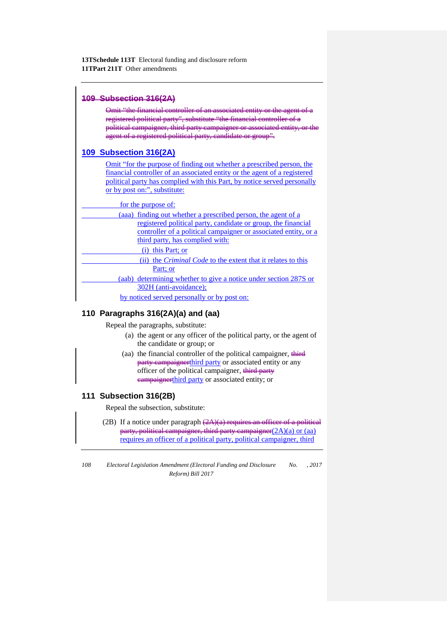## **109 Subsection 316(2A)**

Omit "the financial controller of an associated entity or the agent of a registered political party", substitute "the financial controller of a political campaigner, third party campaigner or associated entity, agent of a registered political party, candidate or group".

# **109 Subsection 316(2A)**

Omit "for the purpose of finding out whether a prescribed person, the financial controller of an associated entity or the agent of a registered political party has complied with this Part, by notice served personally or by post on:", substitute:

for the purpose of:

| (aaa) finding out whether a prescribed person, the agent of a       |
|---------------------------------------------------------------------|
| registered political party, candidate or group, the financial       |
| controller of a political campaigner or associated entity, or a     |
| third party, has complied with:                                     |
| (i) this Part; or                                                   |
| (ii) the <i>Criminal Code</i> to the extent that it relates to this |
| Part; or                                                            |
| (aab) determining whether to give a notice under section 287S or    |
| 302H (anti-avoidance);                                              |
| by noticed served personally or by post on:                         |

# **110 Paragraphs 316(2A)(a) and (aa)**

Repeal the paragraphs, substitute:

- (a) the agent or any officer of the political party, or the agent of the candidate or group; or
- (aa) the financial controller of the political campaigner,  $\frac{d\mathbf{r}}{dt}$ party campaignerthird party or associated entity or any officer of the political campaigner, third party campaignerthird party or associated entity; or

# **111 Subsection 316(2B)**

Repeal the subsection, substitute:

(2B) If a notice under paragraph  $(2A)(a)$  requires an officer of a political party, political campaigner, third party campaigner(2A)(a) or (aa) requires an officer of a political party, political campaigner, third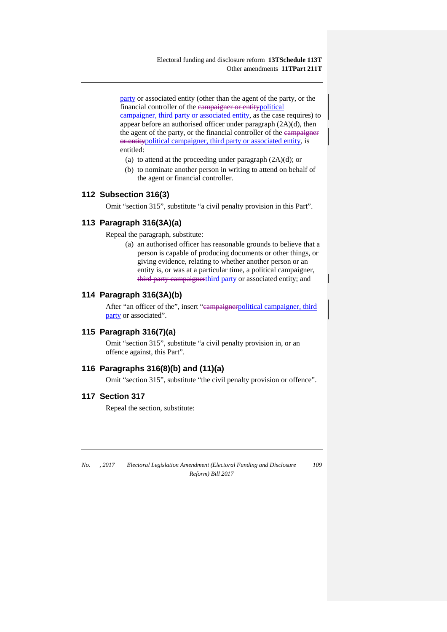party or associated entity (other than the agent of the party, or the financial controller of the campaigner or entitypolitical campaigner, third party or associated entity, as the case requires) to appear before an authorised officer under paragraph (2A)(d), then the agent of the party, or the financial controller of the eampaigner or entitypolitical campaigner, third party or associated entity, is entitled:

- (a) to attend at the proceeding under paragraph  $(2A)(d)$ ; or
- (b) to nominate another person in writing to attend on behalf of the agent or financial controller.

# **112 Subsection 316(3)**

Omit "section 315", substitute "a civil penalty provision in this Part".

## **113 Paragraph 316(3A)(a)**

Repeal the paragraph, substitute:

(a) an authorised officer has reasonable grounds to believe that a person is capable of producing documents or other things, or giving evidence, relating to whether another person or an entity is, or was at a particular time, a political campaigner, third party campaignerthird party or associated entity; and

## **114 Paragraph 316(3A)(b)**

After "an officer of the", insert "eampaignerpolitical campaigner, third party or associated".

# **115 Paragraph 316(7)(a)**

Omit "section 315", substitute "a civil penalty provision in, or an offence against, this Part".

### **116 Paragraphs 316(8)(b) and (11)(a)**

Omit "section 315", substitute "the civil penalty provision or offence".

#### **117 Section 317**

Repeal the section, substitute: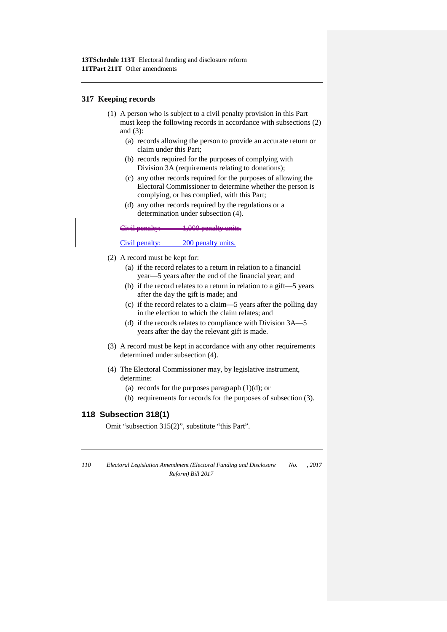#### **317 Keeping records**

- (1) A person who is subject to a civil penalty provision in this Part must keep the following records in accordance with subsections (2) and (3):
	- (a) records allowing the person to provide an accurate return or claim under this Part;
	- (b) records required for the purposes of complying with Division 3A (requirements relating to donations);
	- (c) any other records required for the purposes of allowing the Electoral Commissioner to determine whether the person is complying, or has complied, with this Part;
	- (d) any other records required by the regulations or a determination under subsection (4).

Civil penalty: 1,000 penalty units.

#### Civil penalty: 200 penalty units.

- (2) A record must be kept for:
	- (a) if the record relates to a return in relation to a financial year—5 years after the end of the financial year; and
	- (b) if the record relates to a return in relation to a gift—5 years after the day the gift is made; and
	- (c) if the record relates to a claim—5 years after the polling day in the election to which the claim relates; and
	- (d) if the records relates to compliance with Division 3A—5 years after the day the relevant gift is made.
- (3) A record must be kept in accordance with any other requirements determined under subsection (4).
- (4) The Electoral Commissioner may, by legislative instrument, determine:
	- (a) records for the purposes paragraph (1)(d); or
	- (b) requirements for records for the purposes of subsection (3).

# **118 Subsection 318(1)**

Omit "subsection 315(2)", substitute "this Part".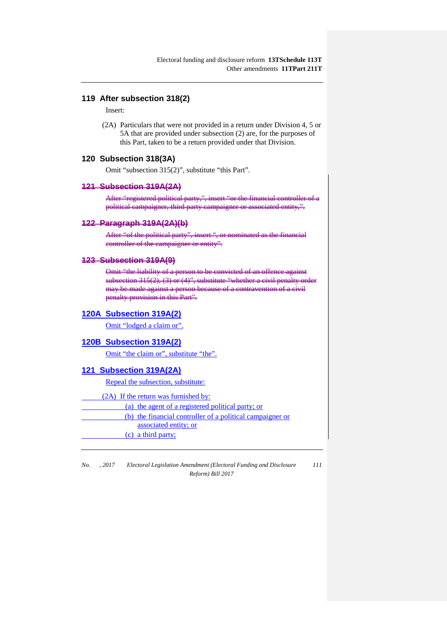# **119 After subsection 318(2)**

Insert:

(2A) Particulars that were not provided in a return under Division 4, 5 or 5A that are provided under subsection (2) are, for the purposes of this Part, taken to be a return provided under that Division.

# **120 Subsection 318(3A)**

Omit "subsection 315(2)", substitute "this Part".

#### **121 Subsection 319A(2A)**

After "registered political campaigner, third party campaigner or associated entity,".

#### **122 Paragraph 319A(2A)(b)**

After "of the political party" controller of the campaigner or entity".

# **123 Subsection 319A(9)**

Omit "the liability of a per<br>subsection 315(2), (3) or (  $\overline{(3)}$  or  $\overline{(4)}$ ; substitute may be made against a person penalty provision in this Part".

#### **120A Subsection 319A(2)**

Omit "lodged a claim or".

#### **120B Subsection 319A(2)**

Omit "the claim or", substitute "the".

#### **121 Subsection 319A(2A)**

Repeal the subsection, substitute:

(2A) If the return was furnished by:

(a) the agent of a registered political party; or

(b) the financial controller of a political campaigner or

associated entity; or

(c) a third party;

*No. , 2017 Electoral Legislation Amendment (Electoral Funding and Disclosure Reform) Bill 2017*

*111*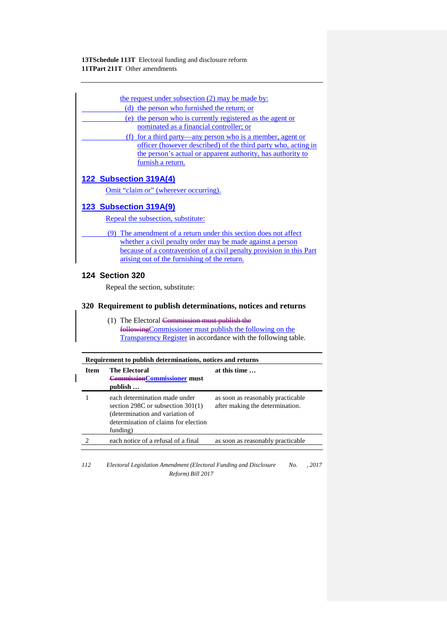| the request under subsection (2) may be made by:                     |
|----------------------------------------------------------------------|
| (d) the person who furnished the return; or                          |
| (e) the person who is currently registered as the agent or           |
| nominated as a financial controller; or                              |
| (f) for a third party—any person who is a member, agent or           |
| officer (however described) of the third party who, acting in        |
| the person's actual or apparent authority, has authority to          |
| furnish a return.                                                    |
|                                                                      |
| 122 Subsection 319A(4)                                               |
| Omit "claim or" (wherever occurring).                                |
|                                                                      |
| 123 Subsection 319A(9)                                               |
| Repeal the subsection, substitute:                                   |
|                                                                      |
| (9) The amendment of a return under this section does not affect     |
| whether a civil penalty order may be made against a person           |
| because of a contravention of a civil penalty provision in this Part |
| arising out of the furnishing of the return.                         |
| <b>124 Section 320</b>                                               |
|                                                                      |
| Repeal the section, substitute:                                      |

(1) The Electoral Commission must publish the followingCommissioner must publish the following on the Transparency Register in accordance with the following table.

| <b>Item</b> | <b>The Electoral</b><br><b>CommissionCommissioner must</b><br>publish                                                                                         | at this time                                                         |
|-------------|---------------------------------------------------------------------------------------------------------------------------------------------------------------|----------------------------------------------------------------------|
|             | each determination made under<br>section $298C$ or subsection $301(1)$<br>(determination and variation of<br>determination of claims for election<br>funding) | as soon as reasonably practicable<br>after making the determination. |
|             | each notice of a refusal of a final                                                                                                                           | as soon as reasonably practicable                                    |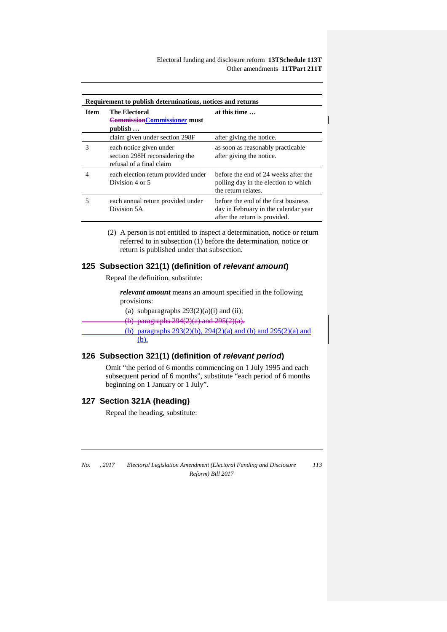Electoral funding and disclosure reform **13TSchedule 113T** Other amendments **11TPart 211T**

| Requirement to publish determinations, notices and returns |                                                                                       |                                                                                                               |
|------------------------------------------------------------|---------------------------------------------------------------------------------------|---------------------------------------------------------------------------------------------------------------|
| <b>Item</b>                                                | <b>The Electoral</b><br><b>CommissionCommissioner must</b><br>publish                 | at this time                                                                                                  |
|                                                            | claim given under section 298F                                                        | after giving the notice.                                                                                      |
| 3                                                          | each notice given under<br>section 298H reconsidering the<br>refusal of a final claim | as soon as reasonably practicable<br>after giving the notice.                                                 |
| 4                                                          | each election return provided under<br>Division 4 or 5                                | before the end of 24 weeks after the<br>polling day in the election to which<br>the return relates.           |
| 5                                                          | each annual return provided under<br>Division 5A                                      | before the end of the first business<br>day in February in the calendar year<br>after the return is provided. |

(2) A person is not entitled to inspect a determination, notice or return referred to in subsection (1) before the determination, notice or return is published under that subsection.

## **125 Subsection 321(1) (definition of** *relevant amount***)**

Repeal the definition, substitute:

*relevant amount* means an amount specified in the following provisions:

(a) subparagraphs  $293(2)(a)(i)$  and (ii);

(b) paragraphs  $294(2)(a)$  and  $295(2)(a)$ .

(b) paragraphs 293(2)(b), 294(2)(a) and (b) and 295(2)(a) and (b).

## **126 Subsection 321(1) (definition of** *relevant period***)**

Omit "the period of 6 months commencing on 1 July 1995 and each subsequent period of 6 months", substitute "each period of 6 months beginning on 1 January or 1 July".

# **127 Section 321A (heading)**

Repeal the heading, substitute: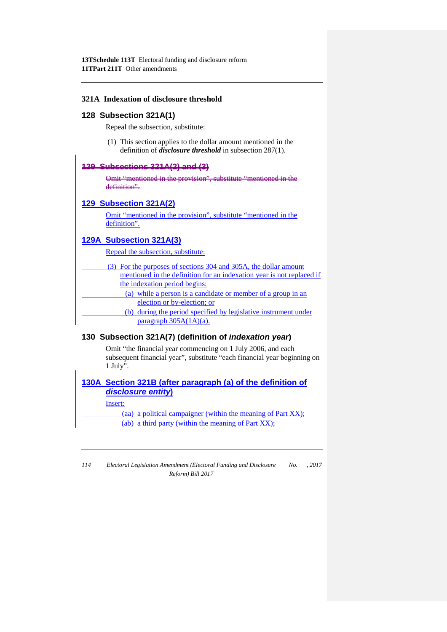### **321A Indexation of disclosure threshold**

#### **128 Subsection 321A(1)**

Repeal the subsection, substitute:

(1) This section applies to the dollar amount mentioned in the definition of *disclosure threshold* in subsection 287(1).

#### **129 Subsections 321A(2) and (3)**

Omit "mentioned in the provision", substitute "mentioned in the definition".

#### **129 Subsection 321A(2)**

Omit "mentioned in the provision", substitute "mentioned in the definition".

## **129A Subsection 321A(3)**

Repeal the subsection, substitute:

| (3) For the purposes of sections 304 and 305A, the dollar amount      |  |
|-----------------------------------------------------------------------|--|
| mentioned in the definition for an indexation year is not replaced if |  |
| the indexation period begins:                                         |  |
| (a) while a person is a candidate or member of a group in an          |  |
| election or by-election; or                                           |  |
| (b) during the period specified by legislative instrument under       |  |
| $paragraph 305A(1A)(a)$ .                                             |  |

### **130 Subsection 321A(7) (definition of** *indexation year***)**

Omit "the financial year commencing on 1 July 2006, and each subsequent financial year", substitute "each financial year beginning on 1 July".

**130A Section 321B (after paragraph (a) of the definition of**  *disclosure entity***)** Insert: (aa) a political campaigner (within the meaning of Part XX); (ab) a third party (within the meaning of Part XX);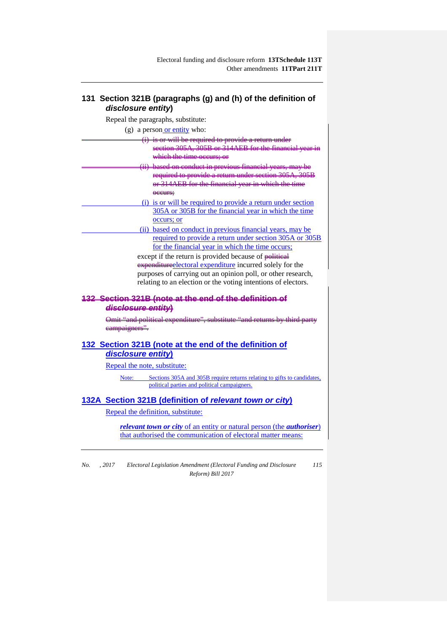# **131 Section 321B (paragraphs (g) and (h) of the definition of**  *disclosure entity***)**

Repeal the paragraphs, substitute:

(g) a person or entity who:

- is or will be required section 305A, 305B or 314AEB for the financial year in which the time occurs based on conduct in previous financial years, may be required to provide a return under section 305A, 305B
	- or 314AEB for the financial year in which the time **occurs;** (i) is or will be required to provide a return under section
		- 305A or 305B for the financial year in which the time occurs; or
			- (ii) based on conduct in previous financial years, may be required to provide a return under section 305A or 305B for the financial year in which the time occurs;

except if the return is provided because of political expenditure electoral expenditure incurred solely for the purposes of carrying out an opinion poll, or other research, relating to an election or the voting intentions of electors.

## **132 Section 321B (note at the end of the definition of**  *disclosure entity***)**

Omit "and political expenditure", substitute "and returns by third campaigners".

# **132 Section 321B (note at the end of the definition of**  *disclosure entity***)**

Repeal the note, substitute:

Note: Sections 305A and 305B require returns relating to gifts to candidates, political parties and political campaigners.

# **132A Section 321B (definition of** *relevant town or city***)**

Repeal the definition, substitute:

*relevant town or city* of an entity or natural person (the *authoriser*) that authorised the communication of electoral matter means: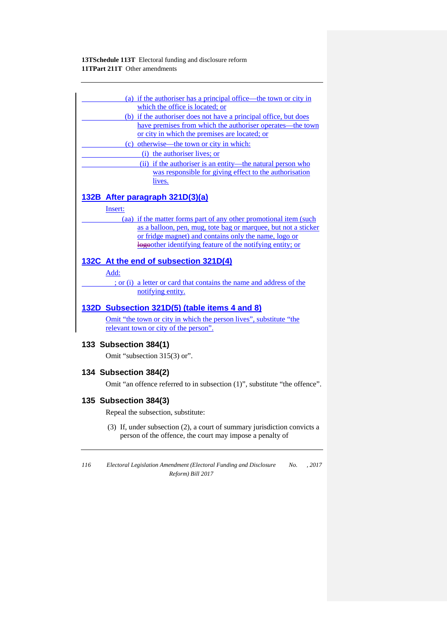| (a) if the authoriser has a principal office—the town or city in    |
|---------------------------------------------------------------------|
| which the office is located; or                                     |
| (b) if the authoriser does not have a principal office, but does    |
| have premises from which the authoriser operates—the town           |
| or city in which the premises are located; or                       |
| (c) otherwise—the town or city in which:                            |
| (i) the authoriser lives; or                                        |
| (ii) if the authoriser is an entity—the natural person who          |
| was responsible for giving effect to the authorisation              |
| lives.                                                              |
|                                                                     |
| 132B After paragraph 321D(3)(a)                                     |
| Insert:                                                             |
| (aa) if the matter forms part of any other promotional item (such   |
| as a balloon, pen, mug, tote bag or marquee, but not a sticker      |
| or fridge magnet) and contains only the name, logo or               |
| logother identifying feature of the notifying entity; or            |
| 132C At the end of subsection 321D(4)                               |
|                                                                     |
| Add:                                                                |
| ; or (i) a letter or card that contains the name and address of the |
| notifying entity.                                                   |
| 132D Subsection 321D(5) (table items 4 and 8)                       |
| Omit "the town or city in which the person lives", substitute "the  |
| relevant town or city of the person".                               |
|                                                                     |
| 133 Subsection 384(1)                                               |
| Omit "subsection 315(3) or".                                        |
|                                                                     |

# **134 Subsection 384(2)**

Omit "an offence referred to in subsection (1)", substitute "the offence".

# **135 Subsection 384(3)**

Repeal the subsection, substitute:

(3) If, under subsection (2), a court of summary jurisdiction convicts a person of the offence, the court may impose a penalty of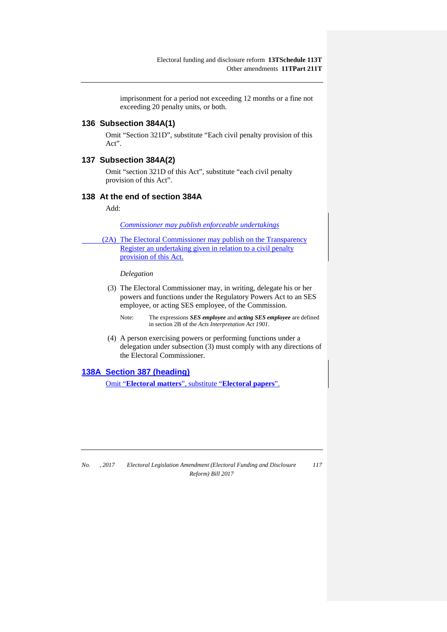imprisonment for a period not exceeding 12 months or a fine not exceeding 20 penalty units, or both.

# **136 Subsection 384A(1)**

Omit "Section 321D", substitute "Each civil penalty provision of this Act".

## **137 Subsection 384A(2)**

Omit "section 321D of this Act", substitute "each civil penalty provision of this Act".

### **138 At the end of section 384A**

Add:

*Commissioner may publish enforceable undertakings*

(2A) The Electoral Commissioner may publish on the Transparency Register an undertaking given in relation to a civil penalty provision of this Act.

*Delegation*

(3) The Electoral Commissioner may, in writing, delegate his or her powers and functions under the Regulatory Powers Act to an SES employee, or acting SES employee, of the Commission.

Note: The expressions *SES employee* and *acting SES employee* are defined in section 2B of the *Acts Interpretation Act 1901*.

(4) A person exercising powers or performing functions under a delegation under subsection (3) must comply with any directions of the Electoral Commissioner.

### **138A Section 387 (heading)**

Omit "**Electoral matters**", substitute "**Electoral papers**".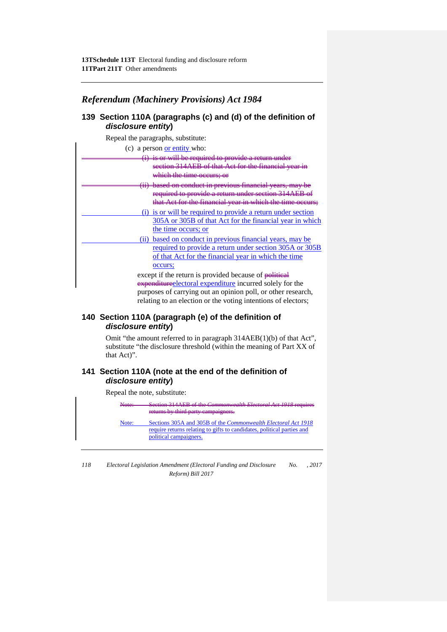# *Referendum (Machinery Provisions) Act 1984*

# **139 Section 110A (paragraphs (c) and (d) of the definition of**  *disclosure entity***)**

| disclosure entity)                                            |
|---------------------------------------------------------------|
| Repeal the paragraphs, substitute:                            |
| (c) a person <u>or entity</u> who:                            |
| is or will be required to provide a return under              |
| section 314AEB of that Act for the financial year in          |
| which the time occurs; or                                     |
| (ii) based on conduct in previous financial years, may be     |
| required to provide a return under section 314AEB of          |
| that Act for the financial year in which the time occurs:     |
| (i) is or will be required to provide a return under section  |
| 305A or 305B of that Act for the financial year in which      |
| the time occurs; or                                           |
| (ii) based on conduct in previous financial years, may be     |
| required to provide a return under section 305A or 305B       |
| of that Act for the financial year in which the time          |
| occurs;                                                       |
| except if the return is provided because of political         |
| expenditure electoral expenditure incurred solely for the     |
| purposes of carrying out an opinion poll, or other research,  |
| relating to an election or the voting intentions of electors; |

# **140 Section 110A (paragraph (e) of the definition of**  *disclosure entity***)**

Omit "the amount referred to in paragraph 314AEB(1)(b) of that Act", substitute "the disclosure threshold (within the meaning of Part XX of that Act)".

# **141 Section 110A (note at the end of the definition of**  *disclosure entity***)**

Repeal the note, substitute:

**Section 314AEB of the** *Commonwealth Electoral Act 1918* **requires** returns by third party campaigners. Note: Sections 305A and 305B of the *Commonwealth Electoral Act 1918*  require returns relating to gifts to candidates, political parties and political campaigners.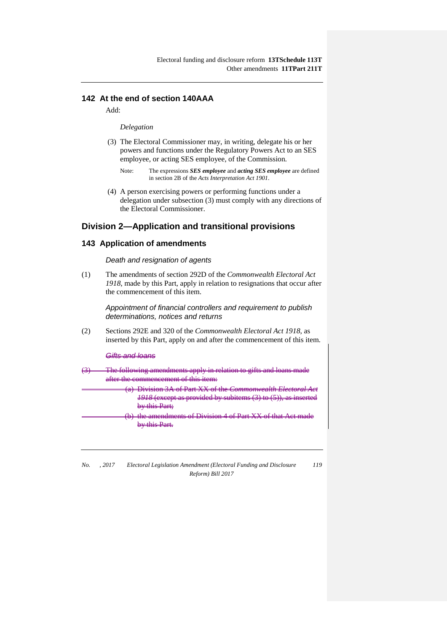# **142 At the end of section 140AAA**

Add:

#### *Delegation*

- (3) The Electoral Commissioner may, in writing, delegate his or her powers and functions under the Regulatory Powers Act to an SES employee, or acting SES employee, of the Commission.
	- Note: The expressions *SES employee* and *acting SES employee* are defined in section 2B of the *Acts Interpretation Act 1901*.
- (4) A person exercising powers or performing functions under a delegation under subsection (3) must comply with any directions of the Electoral Commissioner.

# **Division 2—Application and transitional provisions**

## **143 Application of amendments**

*Death and resignation of agents*

(1) The amendments of section 292D of the *Commonwealth Electoral Act 1918*, made by this Part, apply in relation to resignations that occur after the commencement of this item.

> *Appointment of financial controllers and requirement to publish determinations, notices and returns*

(2) Sections 292E and 320 of the *Commonwealth Electoral Act 1918*, as inserted by this Part, apply on and after the commencement of this item.

*Gifts and loans*

- The following amendments apply in relation to gifts and loans made after the commencement of this item:
	- **Division 3A of Part XX of the** *Commonwealth Electo 1918* (except as provided by subitems (3) to (5)). by this Part;
	- endments of Division 4 of Part XX by this Part.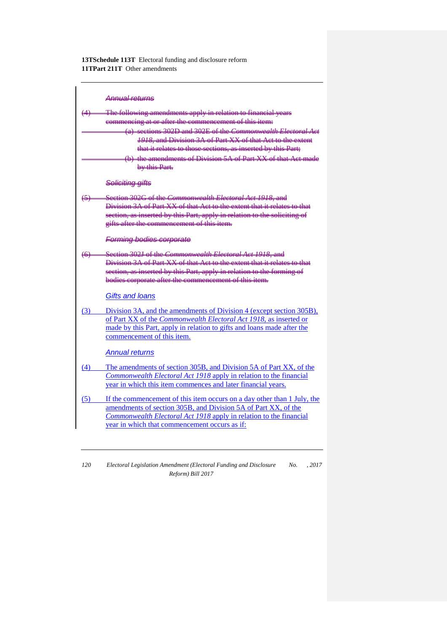|                   | Annual roturns                                                            |
|-------------------|---------------------------------------------------------------------------|
|                   | The following amendments apply in relation to financial years             |
|                   | commencing at or after the commencement of this item:                     |
|                   | (a) sections 302D and 302E of the Commonwealth Electoral Act              |
|                   | 1918, and Division 3A of Part XX of that Act to the extent                |
|                   | that it relates to those sections, as inserted by this Part;              |
|                   | (b) the amendments of Division 5A of Part XX of that Act made             |
|                   | by this Part.                                                             |
|                   | Soliciting gifts                                                          |
| ⇔                 | Section 302G of the Commonwealth Electoral Act 1918, and                  |
|                   | Division 3A of Part XX of that Act to the extent that it relates to that  |
|                   | section, as inserted by this Part, apply in relation to the soliciting of |
|                   | gifts after the commencement of this item.                                |
|                   | <b>Forming bodies corporate</b>                                           |
| $\leftrightarrow$ | Section 302J of the <i>Commonwealth Electoral Act 1918</i> , and          |
|                   | Division 3A of Part XX of that Act to the extent that it relates to that  |
|                   | section, as inserted by this Part, apply in relation to the forming of    |
|                   | bodies corporate after the commencement of this item.                     |
|                   | <b>Gifts and loans</b>                                                    |
| (3)               | Division 3A, and the amendments of Division 4 (except section 305B),      |
|                   | of Part XX of the Commonwealth Electoral Act 1918, as inserted or         |
|                   | made by this Part, apply in relation to gifts and loans made after the    |
|                   | commencement of this item.                                                |
|                   | <b>Annual returns</b>                                                     |
| (4)               | The amendments of section 305B, and Division 5A of Part XX, of the        |
|                   | Commonwealth Electoral Act 1918 apply in relation to the financial        |
|                   | year in which this item commences and later financial years.              |
| (5)               | If the commencement of this item occurs on a day other than 1 July, the   |
|                   | amendments of section 305B, and Division 5A of Part XX, of the            |
|                   | Commonwealth Electoral Act 1918 apply in relation to the financial        |
|                   | year in which that commencement occurs as if:                             |
|                   |                                                                           |

*<sup>120</sup> Electoral Legislation Amendment (Electoral Funding and Disclosure Reform) Bill 2017 No. , 2017*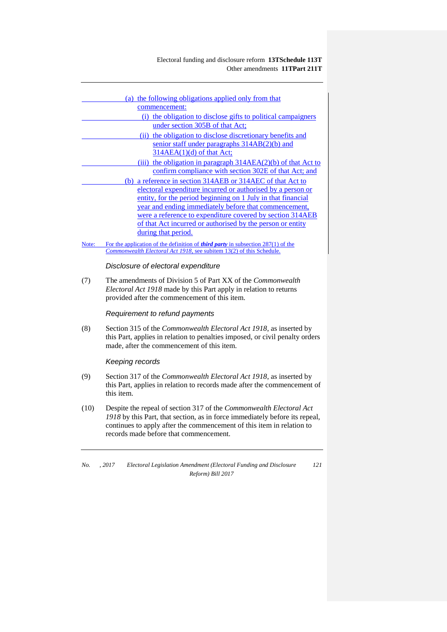## Electoral funding and disclosure reform **13TSchedule 113T** Other amendments **11TPart 211T**

|       | (a) the following obligations applied only from that<br>commencement:                                                                                             |
|-------|-------------------------------------------------------------------------------------------------------------------------------------------------------------------|
|       | (i) the obligation to disclose gifts to political campaigners                                                                                                     |
|       | under section 305B of that Act;                                                                                                                                   |
|       | (ii) the obligation to disclose discretionary benefits and                                                                                                        |
|       | senior staff under paragraphs 314AB(2)(b) and                                                                                                                     |
|       | $314AEA(1)(d)$ of that Act;                                                                                                                                       |
|       | (iii) the obligation in paragraph $314AEA(2)(b)$ of that Act to                                                                                                   |
|       | confirm compliance with section 302E of that Act; and                                                                                                             |
|       | (b) a reference in section 314AEB or 314AEC of that Act to                                                                                                        |
|       | electoral expenditure incurred or authorised by a person or                                                                                                       |
|       | entity, for the period beginning on 1 July in that financial                                                                                                      |
|       | year and ending immediately before that commencement,                                                                                                             |
|       | were a reference to expenditure covered by section 314AEB                                                                                                         |
|       | of that Act incurred or authorised by the person or entity                                                                                                        |
|       | during that period.                                                                                                                                               |
| Note: | For the application of the definition of <i>third party</i> in subsection $287(1)$ of the<br>Commonwealth Electoral Act 1918, see subitem 13(2) of this Schedule. |
|       |                                                                                                                                                                   |
|       | Disclosure of electoral expenditure                                                                                                                               |
| (7)   | The amendments of Division 5 of Part XX of the <i>Commonwealth</i>                                                                                                |
|       | Electoral Act 1918 made by this Part apply in relation to returns                                                                                                 |
|       | provided after the commencement of this item.                                                                                                                     |
|       | Requirement to refund payments                                                                                                                                    |
|       |                                                                                                                                                                   |
| (8)   | Section 315 of the Commonwealth Electoral Act 1918, as inserted by                                                                                                |
|       | this Part, applies in relation to penalties imposed, or civil penalty orders                                                                                      |
|       | made, after the commencement of this item.                                                                                                                        |
|       | Keeping records                                                                                                                                                   |
| (9)   | Section 317 of the Commonwealth Electoral Act 1918, as inserted by                                                                                                |
|       | this Part, applies in relation to records made after the commencement of                                                                                          |
|       | this item.                                                                                                                                                        |
| (10)  | Despite the repeal of section 317 of the Commonwealth Electoral Act                                                                                               |
|       | 1918 by this Part, that section, as in force immediately before its repeal,                                                                                       |

continues to apply after the commencement of this item in relation to records made before that commencement.

*No. , 2017 Electoral Legislation Amendment (Electoral Funding and Disclosure Reform) Bill 2017 121*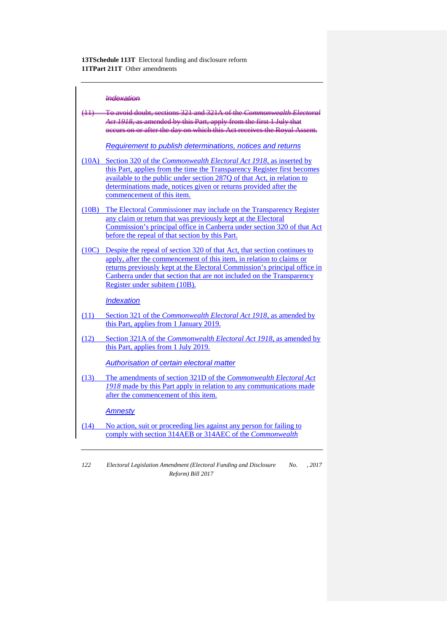## *Indexation*

|       | (11) To avoid doubt, sections 321 and 321A of the Commonwealth Electoral<br>Act 1918, as amended by this Part, apply from the first 1 July that<br>occurs on or after the day on which this Act receives the Royal Assent.                                                                                                               |
|-------|------------------------------------------------------------------------------------------------------------------------------------------------------------------------------------------------------------------------------------------------------------------------------------------------------------------------------------------|
|       | Requirement to publish determinations, notices and returns                                                                                                                                                                                                                                                                               |
|       | (10A) Section 320 of the <i>Commonwealth Electoral Act 1918</i> , as inserted by<br>this Part, applies from the time the Transparency Register first becomes<br>available to the public under section 287Q of that Act, in relation to<br>determinations made, notices given or returns provided after the<br>commencement of this item. |
| (10B) | The Electoral Commissioner may include on the Transparency Register<br>any claim or return that was previously kept at the Electoral<br>Commission's principal office in Canberra under section 320 of that Act<br>before the repeal of that section by this Part.                                                                       |
| (10C) | Despite the repeal of section 320 of that Act, that section continues to<br>apply, after the commencement of this item, in relation to claims or<br>returns previously kept at the Electoral Commission's principal office in<br>Canberra under that section that are not included on the Transparency<br>Register under subitem (10B).  |
|       | <b>Indexation</b>                                                                                                                                                                                                                                                                                                                        |
| (11)  | Section 321 of the <i>Commonwealth Electoral Act 1918</i> , as amended by<br>this Part, applies from 1 January 2019.                                                                                                                                                                                                                     |
| (12)  | Section 321A of the <i>Commonwealth Electoral Act 1918</i> , as amended by<br>this Part, applies from 1 July 2019.                                                                                                                                                                                                                       |
|       | Authorisation of certain electoral matter                                                                                                                                                                                                                                                                                                |
| (13)  | The amendments of section 321D of the Commonwealth Electoral Act<br>1918 made by this Part apply in relation to any communications made<br>after the commencement of this item.                                                                                                                                                          |
|       | <u>Amnesty</u>                                                                                                                                                                                                                                                                                                                           |
| (14)  | No action, suit or proceeding lies against any person for failing to<br>comply with section 314AEB or 314AEC of the <i>Commonwealth</i>                                                                                                                                                                                                  |